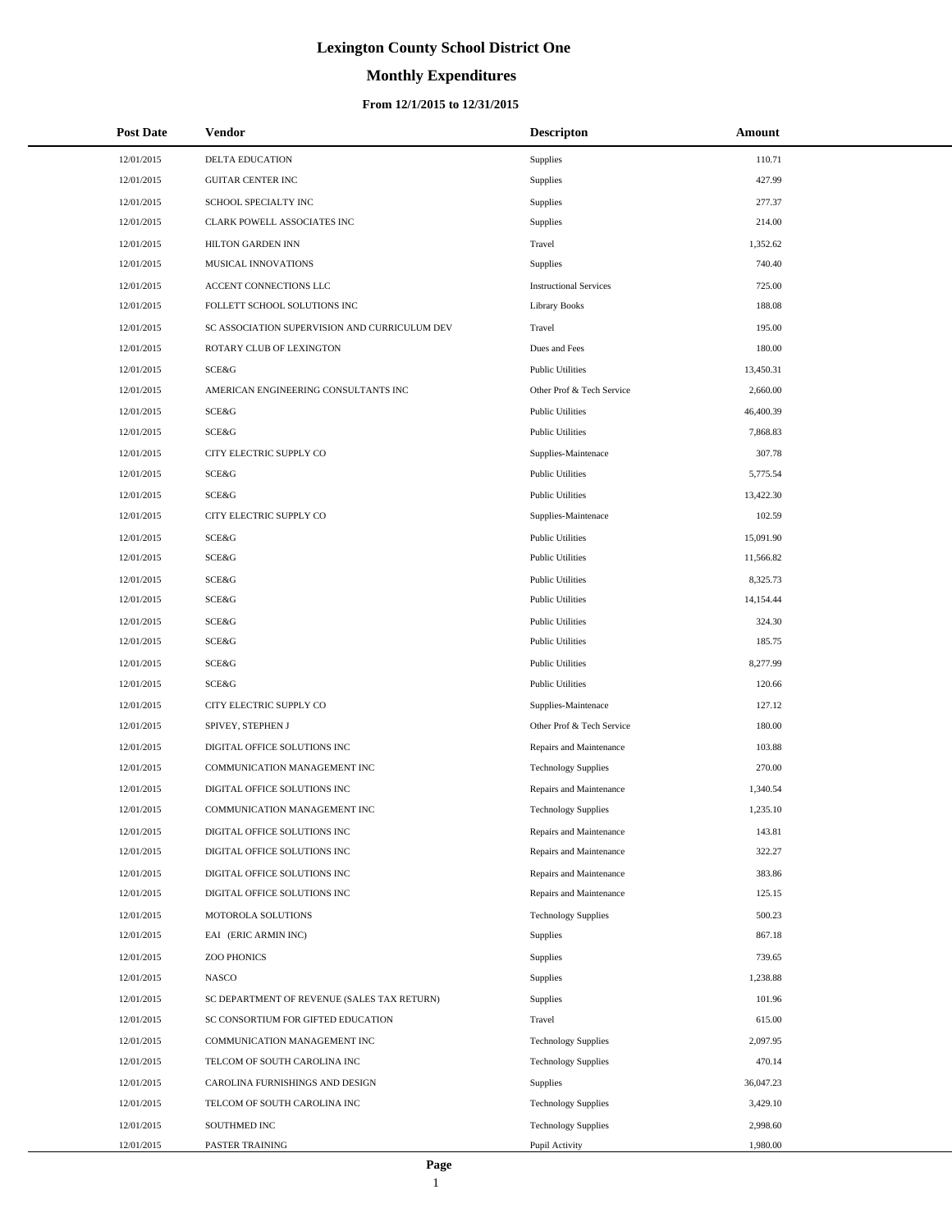# **Monthly Expenditures**

### **From 12/1/2015 to 12/31/2015**

| <b>Post Date</b> | <b>Vendor</b>                                 | <b>Descripton</b>             | Amount    |
|------------------|-----------------------------------------------|-------------------------------|-----------|
| 12/01/2015       | <b>DELTA EDUCATION</b>                        | Supplies                      | 110.71    |
| 12/01/2015       | <b>GUITAR CENTER INC</b>                      | Supplies                      | 427.99    |
| 12/01/2015       | SCHOOL SPECIALTY INC                          | Supplies                      | 277.37    |
| 12/01/2015       | CLARK POWELL ASSOCIATES INC                   | Supplies                      | 214.00    |
| 12/01/2015       | HILTON GARDEN INN                             | Travel                        | 1,352.62  |
| 12/01/2015       | MUSICAL INNOVATIONS                           | Supplies                      | 740.40    |
| 12/01/2015       | ACCENT CONNECTIONS LLC                        | <b>Instructional Services</b> | 725.00    |
| 12/01/2015       | FOLLETT SCHOOL SOLUTIONS INC                  | <b>Library Books</b>          | 188.08    |
| 12/01/2015       | SC ASSOCIATION SUPERVISION AND CURRICULUM DEV | Travel                        | 195.00    |
| 12/01/2015       | ROTARY CLUB OF LEXINGTON                      | Dues and Fees                 | 180.00    |
| 12/01/2015       | SCE&G                                         | <b>Public Utilities</b>       | 13,450.31 |
| 12/01/2015       | AMERICAN ENGINEERING CONSULTANTS INC          | Other Prof & Tech Service     | 2,660.00  |
| 12/01/2015       | SCE&G                                         | <b>Public Utilities</b>       | 46,400.39 |
| 12/01/2015       | SCE&G                                         | <b>Public Utilities</b>       | 7,868.83  |
| 12/01/2015       | CITY ELECTRIC SUPPLY CO                       | Supplies-Maintenace           | 307.78    |
| 12/01/2015       | SCE&G                                         | <b>Public Utilities</b>       | 5,775.54  |
| 12/01/2015       | SCE&G                                         | <b>Public Utilities</b>       | 13,422.30 |
| 12/01/2015       | CITY ELECTRIC SUPPLY CO                       | Supplies-Maintenace           | 102.59    |
| 12/01/2015       | SCE&G                                         | <b>Public Utilities</b>       | 15,091.90 |
| 12/01/2015       | SCE&G                                         | <b>Public Utilities</b>       | 11,566.82 |
| 12/01/2015       | SCE&G                                         | <b>Public Utilities</b>       | 8,325.73  |
| 12/01/2015       | SCE&G                                         | <b>Public Utilities</b>       | 14,154.44 |
| 12/01/2015       | SCE&G                                         | <b>Public Utilities</b>       | 324.30    |
| 12/01/2015       | SCE&G                                         | <b>Public Utilities</b>       | 185.75    |
| 12/01/2015       | SCE&G                                         | <b>Public Utilities</b>       | 8,277.99  |
| 12/01/2015       | SCE&G                                         | <b>Public Utilities</b>       | 120.66    |
| 12/01/2015       | CITY ELECTRIC SUPPLY CO                       | Supplies-Maintenace           | 127.12    |
| 12/01/2015       | SPIVEY, STEPHEN J                             | Other Prof & Tech Service     | 180.00    |
| 12/01/2015       | DIGITAL OFFICE SOLUTIONS INC                  | Repairs and Maintenance       | 103.88    |
| 12/01/2015       | COMMUNICATION MANAGEMENT INC                  | <b>Technology Supplies</b>    | 270.00    |
| 12/01/2015       | DIGITAL OFFICE SOLUTIONS INC                  | Repairs and Maintenance       | 1,340.54  |
| 12/01/2015       | COMMUNICATION MANAGEMENT INC                  | <b>Technology Supplies</b>    | 1,235.10  |
| 12/01/2015       | DIGITAL OFFICE SOLUTIONS INC                  | Repairs and Maintenance       | 143.81    |
| 12/01/2015       | DIGITAL OFFICE SOLUTIONS INC                  | Repairs and Maintenance       | 322.27    |
| 12/01/2015       | DIGITAL OFFICE SOLUTIONS INC                  | Repairs and Maintenance       | 383.86    |
| 12/01/2015       | DIGITAL OFFICE SOLUTIONS INC                  | Repairs and Maintenance       | 125.15    |
| 12/01/2015       | MOTOROLA SOLUTIONS                            | <b>Technology Supplies</b>    | 500.23    |
| 12/01/2015       | EAI (ERIC ARMIN INC)                          | Supplies                      | 867.18    |
| 12/01/2015       | <b>ZOO PHONICS</b>                            | Supplies                      | 739.65    |
| 12/01/2015       | <b>NASCO</b>                                  | Supplies                      | 1,238.88  |
| 12/01/2015       | SC DEPARTMENT OF REVENUE (SALES TAX RETURN)   | Supplies                      | 101.96    |
| 12/01/2015       | SC CONSORTIUM FOR GIFTED EDUCATION            | Travel                        | 615.00    |
| 12/01/2015       | COMMUNICATION MANAGEMENT INC                  | <b>Technology Supplies</b>    | 2,097.95  |
| 12/01/2015       | TELCOM OF SOUTH CAROLINA INC                  | <b>Technology Supplies</b>    | 470.14    |
| 12/01/2015       | CAROLINA FURNISHINGS AND DESIGN               | <b>Supplies</b>               | 36,047.23 |
| 12/01/2015       | TELCOM OF SOUTH CAROLINA INC                  | <b>Technology Supplies</b>    | 3,429.10  |
| 12/01/2015       | SOUTHMED INC                                  | <b>Technology Supplies</b>    | 2,998.60  |
| 12/01/2015       | PASTER TRAINING                               | Pupil Activity                | 1,980.00  |

L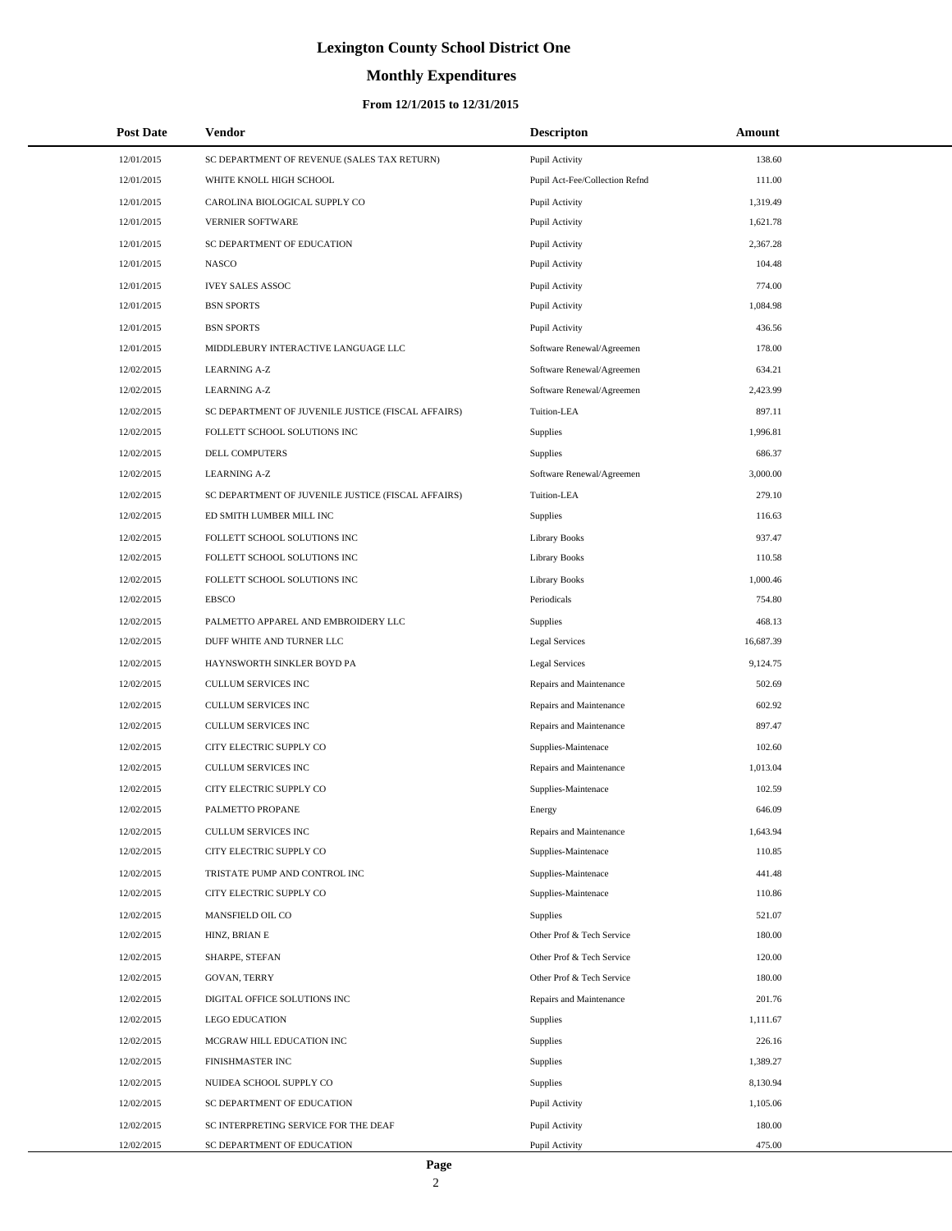# **Monthly Expenditures**

## **From 12/1/2015 to 12/31/2015**

| <b>Post Date</b> | Vendor                                             | <b>Descripton</b>              | Amount    |
|------------------|----------------------------------------------------|--------------------------------|-----------|
| 12/01/2015       | SC DEPARTMENT OF REVENUE (SALES TAX RETURN)        | Pupil Activity                 | 138.60    |
| 12/01/2015       | WHITE KNOLL HIGH SCHOOL                            | Pupil Act-Fee/Collection Refnd | 111.00    |
| 12/01/2015       | CAROLINA BIOLOGICAL SUPPLY CO                      | Pupil Activity                 | 1,319.49  |
| 12/01/2015       | <b>VERNIER SOFTWARE</b>                            | Pupil Activity                 | 1,621.78  |
| 12/01/2015       | SC DEPARTMENT OF EDUCATION                         | Pupil Activity                 | 2,367.28  |
| 12/01/2015       | <b>NASCO</b>                                       | Pupil Activity                 | 104.48    |
| 12/01/2015       | <b>IVEY SALES ASSOC</b>                            | Pupil Activity                 | 774.00    |
| 12/01/2015       | <b>BSN SPORTS</b>                                  | Pupil Activity                 | 1,084.98  |
| 12/01/2015       | <b>BSN SPORTS</b>                                  | Pupil Activity                 | 436.56    |
| 12/01/2015       | MIDDLEBURY INTERACTIVE LANGUAGE LLC                | Software Renewal/Agreemen      | 178.00    |
| 12/02/2015       | <b>LEARNING A-Z</b>                                | Software Renewal/Agreemen      | 634.21    |
| 12/02/2015       | <b>LEARNING A-Z</b>                                | Software Renewal/Agreemen      | 2,423.99  |
| 12/02/2015       | SC DEPARTMENT OF JUVENILE JUSTICE (FISCAL AFFAIRS) | Tuition-LEA                    | 897.11    |
| 12/02/2015       | FOLLETT SCHOOL SOLUTIONS INC                       | Supplies                       | 1,996.81  |
| 12/02/2015       | DELL COMPUTERS                                     | Supplies                       | 686.37    |
| 12/02/2015       | <b>LEARNING A-Z</b>                                | Software Renewal/Agreemen      | 3,000.00  |
| 12/02/2015       | SC DEPARTMENT OF JUVENILE JUSTICE (FISCAL AFFAIRS) | Tuition-LEA                    | 279.10    |
| 12/02/2015       | ED SMITH LUMBER MILL INC                           | Supplies                       | 116.63    |
| 12/02/2015       | FOLLETT SCHOOL SOLUTIONS INC                       | <b>Library Books</b>           | 937.47    |
| 12/02/2015       | FOLLETT SCHOOL SOLUTIONS INC                       | <b>Library Books</b>           | 110.58    |
| 12/02/2015       | FOLLETT SCHOOL SOLUTIONS INC                       | <b>Library Books</b>           | 1,000.46  |
| 12/02/2015       | <b>EBSCO</b>                                       | Periodicals                    | 754.80    |
| 12/02/2015       | PALMETTO APPAREL AND EMBROIDERY LLC                | Supplies                       | 468.13    |
| 12/02/2015       | DUFF WHITE AND TURNER LLC                          | <b>Legal Services</b>          | 16,687.39 |
| 12/02/2015       | HAYNSWORTH SINKLER BOYD PA                         | <b>Legal Services</b>          | 9,124.75  |
| 12/02/2015       | <b>CULLUM SERVICES INC</b>                         | Repairs and Maintenance        | 502.69    |
| 12/02/2015       | <b>CULLUM SERVICES INC</b>                         | Repairs and Maintenance        | 602.92    |
| 12/02/2015       | <b>CULLUM SERVICES INC</b>                         | Repairs and Maintenance        | 897.47    |
| 12/02/2015       | CITY ELECTRIC SUPPLY CO                            | Supplies-Maintenace            | 102.60    |
| 12/02/2015       | <b>CULLUM SERVICES INC</b>                         | Repairs and Maintenance        | 1,013.04  |
| 12/02/2015       | CITY ELECTRIC SUPPLY CO                            | Supplies-Maintenace            | 102.59    |
| 12/02/2015       | PALMETTO PROPANE                                   | Energy                         | 646.09    |
| 12/02/2015       | CULLUM SERVICES INC                                | Repairs and Maintenance        | 1,643.94  |
| 12/02/2015       | CITY ELECTRIC SUPPLY CO                            | Supplies-Maintenace            | 110.85    |
| 12/02/2015       | TRISTATE PUMP AND CONTROL INC                      | Supplies-Maintenace            | 441.48    |
| 12/02/2015       | CITY ELECTRIC SUPPLY CO                            | Supplies-Maintenace            | 110.86    |
| 12/02/2015       | MANSFIELD OIL CO                                   | <b>Supplies</b>                | 521.07    |
| 12/02/2015       | HINZ, BRIAN E                                      | Other Prof & Tech Service      | 180.00    |
| 12/02/2015       | SHARPE, STEFAN                                     | Other Prof & Tech Service      | 120.00    |
| 12/02/2015       | <b>GOVAN, TERRY</b>                                | Other Prof & Tech Service      | 180.00    |
| 12/02/2015       | DIGITAL OFFICE SOLUTIONS INC                       | Repairs and Maintenance        | 201.76    |
| 12/02/2015       | <b>LEGO EDUCATION</b>                              | Supplies                       | 1,111.67  |
| 12/02/2015       | MCGRAW HILL EDUCATION INC                          | Supplies                       | 226.16    |
| 12/02/2015       | FINISHMASTER INC                                   | Supplies                       | 1,389.27  |
| 12/02/2015       | NUIDEA SCHOOL SUPPLY CO                            | Supplies                       | 8,130.94  |
| 12/02/2015       | SC DEPARTMENT OF EDUCATION                         | Pupil Activity                 | 1,105.06  |
| 12/02/2015       | SC INTERPRETING SERVICE FOR THE DEAF               | Pupil Activity                 | 180.00    |
| 12/02/2015       | SC DEPARTMENT OF EDUCATION                         | Pupil Activity                 | 475.00    |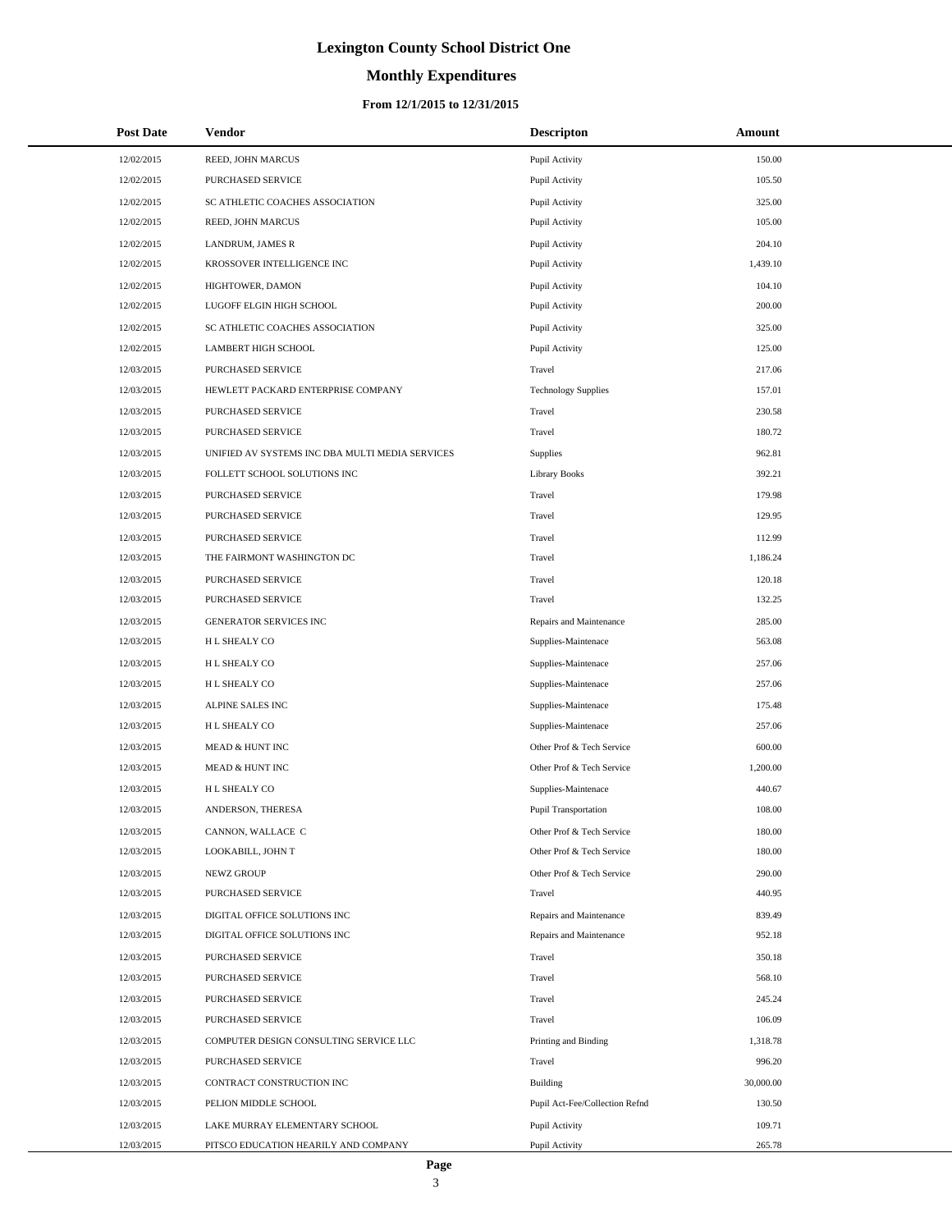# **Monthly Expenditures**

### **From 12/1/2015 to 12/31/2015**

| <b>Post Date</b> | Vendor                                          | <b>Descripton</b>              | Amount    |
|------------------|-------------------------------------------------|--------------------------------|-----------|
| 12/02/2015       | REED, JOHN MARCUS                               | Pupil Activity                 | 150.00    |
| 12/02/2015       | PURCHASED SERVICE                               | Pupil Activity                 | 105.50    |
| 12/02/2015       | SC ATHLETIC COACHES ASSOCIATION                 | Pupil Activity                 | 325.00    |
| 12/02/2015       | REED, JOHN MARCUS                               | Pupil Activity                 | 105.00    |
| 12/02/2015       | LANDRUM, JAMES R                                | Pupil Activity                 | 204.10    |
| 12/02/2015       | KROSSOVER INTELLIGENCE INC                      | Pupil Activity                 | 1,439.10  |
| 12/02/2015       | HIGHTOWER, DAMON                                | Pupil Activity                 | 104.10    |
| 12/02/2015       | LUGOFF ELGIN HIGH SCHOOL                        | Pupil Activity                 | 200.00    |
| 12/02/2015       | SC ATHLETIC COACHES ASSOCIATION                 | Pupil Activity                 | 325.00    |
| 12/02/2015       | <b>LAMBERT HIGH SCHOOL</b>                      | Pupil Activity                 | 125.00    |
| 12/03/2015       | PURCHASED SERVICE                               | Travel                         | 217.06    |
| 12/03/2015       | HEWLETT PACKARD ENTERPRISE COMPANY              | <b>Technology Supplies</b>     | 157.01    |
| 12/03/2015       | PURCHASED SERVICE                               | Travel                         | 230.58    |
| 12/03/2015       | <b>PURCHASED SERVICE</b>                        | Travel                         | 180.72    |
| 12/03/2015       | UNIFIED AV SYSTEMS INC DBA MULTI MEDIA SERVICES | Supplies                       | 962.81    |
| 12/03/2015       | FOLLETT SCHOOL SOLUTIONS INC                    | <b>Library Books</b>           | 392.21    |
| 12/03/2015       | PURCHASED SERVICE                               | Travel                         | 179.98    |
| 12/03/2015       | PURCHASED SERVICE                               | Travel                         | 129.95    |
| 12/03/2015       | PURCHASED SERVICE                               | Travel                         | 112.99    |
| 12/03/2015       | THE FAIRMONT WASHINGTON DC                      | Travel                         | 1,186.24  |
| 12/03/2015       | PURCHASED SERVICE                               | Travel                         | 120.18    |
| 12/03/2015       | PURCHASED SERVICE                               | Travel                         | 132.25    |
| 12/03/2015       | GENERATOR SERVICES INC                          | Repairs and Maintenance        | 285.00    |
| 12/03/2015       | H L SHEALY CO                                   | Supplies-Maintenace            | 563.08    |
| 12/03/2015       | H L SHEALY CO                                   | Supplies-Maintenace            | 257.06    |
| 12/03/2015       | H L SHEALY CO                                   | Supplies-Maintenace            | 257.06    |
| 12/03/2015       | ALPINE SALES INC                                | Supplies-Maintenace            | 175.48    |
| 12/03/2015       | H L SHEALY CO                                   | Supplies-Maintenace            | 257.06    |
| 12/03/2015       | MEAD & HUNT INC                                 | Other Prof & Tech Service      | 600.00    |
| 12/03/2015       | MEAD & HUNT INC                                 | Other Prof & Tech Service      | 1,200.00  |
| 12/03/2015       | H L SHEALY CO                                   | Supplies-Maintenace            | 440.67    |
| 12/03/2015       | ANDERSON, THERESA                               | <b>Pupil Transportation</b>    | 108.00    |
| 12/03/2015       | CANNON, WALLACE C                               | Other Prof & Tech Service      | 180.00    |
| 12/03/2015       | LOOKABILL, JOHN T                               | Other Prof & Tech Service      | 180.00    |
| 12/03/2015       | NEWZ GROUP                                      | Other Prof & Tech Service      | 290.00    |
| 12/03/2015       | PURCHASED SERVICE                               | Travel                         | 440.95    |
| 12/03/2015       | DIGITAL OFFICE SOLUTIONS INC                    | Repairs and Maintenance        | 839.49    |
| 12/03/2015       | DIGITAL OFFICE SOLUTIONS INC                    | Repairs and Maintenance        | 952.18    |
| 12/03/2015       | PURCHASED SERVICE                               | Travel                         | 350.18    |
| 12/03/2015       | PURCHASED SERVICE                               | Travel                         | 568.10    |
| 12/03/2015       | PURCHASED SERVICE                               | Travel                         | 245.24    |
| 12/03/2015       | PURCHASED SERVICE                               | Travel                         | 106.09    |
| 12/03/2015       | COMPUTER DESIGN CONSULTING SERVICE LLC          | Printing and Binding           | 1,318.78  |
| 12/03/2015       | PURCHASED SERVICE                               | Travel                         | 996.20    |
| 12/03/2015       | CONTRACT CONSTRUCTION INC                       | Building                       | 30,000.00 |
| 12/03/2015       | PELION MIDDLE SCHOOL                            | Pupil Act-Fee/Collection Refnd | 130.50    |
| 12/03/2015       | LAKE MURRAY ELEMENTARY SCHOOL                   | Pupil Activity                 | 109.71    |
| 12/03/2015       | PITSCO EDUCATION HEARILY AND COMPANY            | Pupil Activity                 | 265.78    |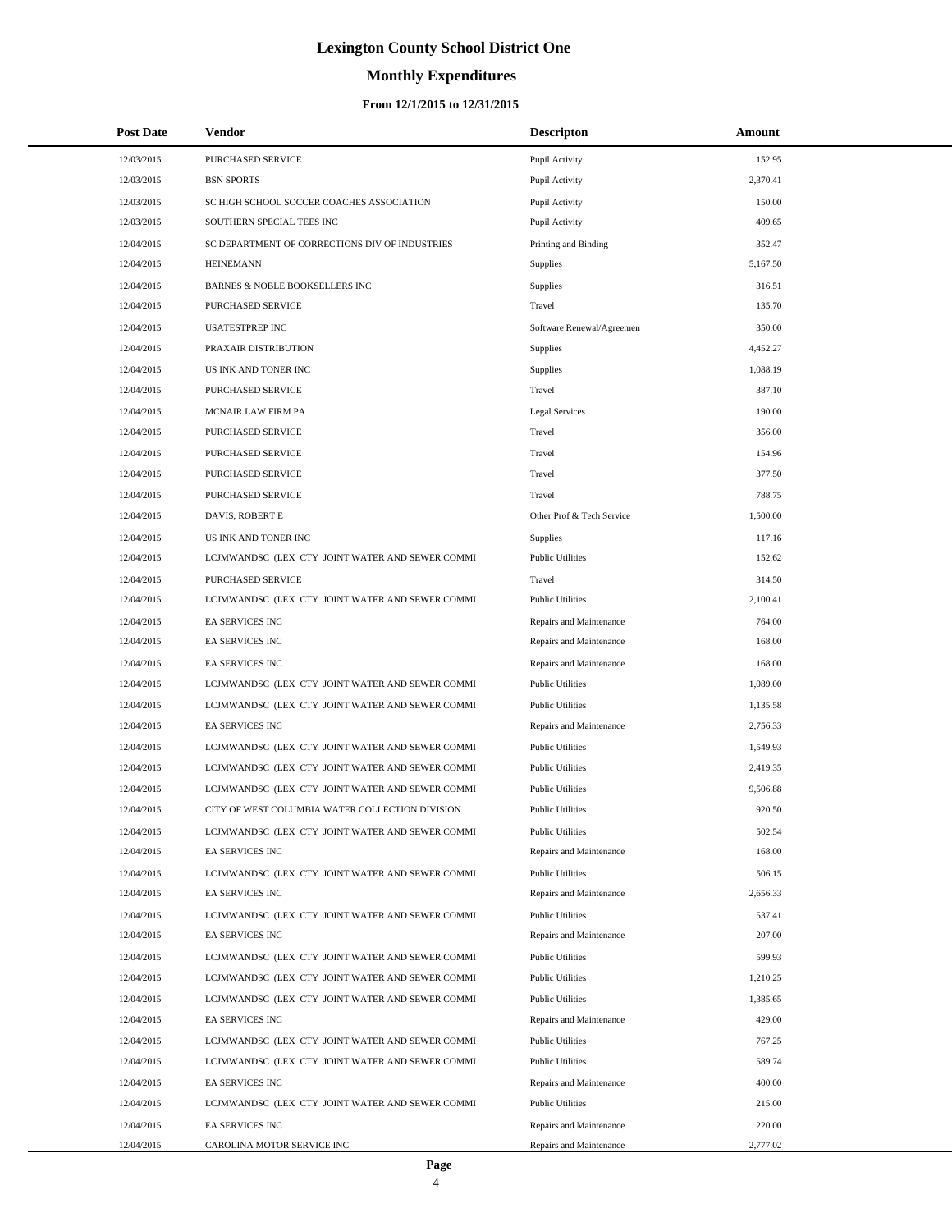# **Monthly Expenditures**

### **From 12/1/2015 to 12/31/2015**

| <b>Post Date</b> | Vendor                                          | <b>Descripton</b>         | Amount   |
|------------------|-------------------------------------------------|---------------------------|----------|
| 12/03/2015       | PURCHASED SERVICE                               | Pupil Activity            | 152.95   |
| 12/03/2015       | <b>BSN SPORTS</b>                               | Pupil Activity            | 2,370.41 |
| 12/03/2015       | SC HIGH SCHOOL SOCCER COACHES ASSOCIATION       | Pupil Activity            | 150.00   |
| 12/03/2015       | SOUTHERN SPECIAL TEES INC                       | Pupil Activity            | 409.65   |
| 12/04/2015       | SC DEPARTMENT OF CORRECTIONS DIV OF INDUSTRIES  | Printing and Binding      | 352.47   |
| 12/04/2015       | <b>HEINEMANN</b>                                | Supplies                  | 5,167.50 |
| 12/04/2015       | BARNES & NOBLE BOOKSELLERS INC                  | Supplies                  | 316.51   |
| 12/04/2015       | PURCHASED SERVICE                               | Travel                    | 135.70   |
| 12/04/2015       | <b>USATESTPREP INC</b>                          | Software Renewal/Agreemen | 350.00   |
| 12/04/2015       | PRAXAIR DISTRIBUTION                            | Supplies                  | 4,452.27 |
| 12/04/2015       | US INK AND TONER INC                            | Supplies                  | 1,088.19 |
| 12/04/2015       | PURCHASED SERVICE                               | Travel                    | 387.10   |
| 12/04/2015       | MCNAIR LAW FIRM PA                              | Legal Services            | 190.00   |
| 12/04/2015       | PURCHASED SERVICE                               | Travel                    | 356.00   |
| 12/04/2015       | PURCHASED SERVICE                               | Travel                    | 154.96   |
| 12/04/2015       | PURCHASED SERVICE                               | Travel                    | 377.50   |
| 12/04/2015       | PURCHASED SERVICE                               | Travel                    | 788.75   |
| 12/04/2015       | DAVIS, ROBERT E                                 | Other Prof & Tech Service | 1,500.00 |
| 12/04/2015       | US INK AND TONER INC                            | Supplies                  | 117.16   |
| 12/04/2015       | LCJMWANDSC (LEX CTY JOINT WATER AND SEWER COMMI | <b>Public Utilities</b>   | 152.62   |
| 12/04/2015       | PURCHASED SERVICE                               | Travel                    | 314.50   |
| 12/04/2015       | LCJMWANDSC (LEX CTY JOINT WATER AND SEWER COMMI | <b>Public Utilities</b>   | 2,100.41 |
| 12/04/2015       | EA SERVICES INC                                 | Repairs and Maintenance   | 764.00   |
| 12/04/2015       | EA SERVICES INC                                 | Repairs and Maintenance   | 168.00   |
| 12/04/2015       | EA SERVICES INC                                 | Repairs and Maintenance   | 168.00   |
| 12/04/2015       | LCJMWANDSC (LEX CTY JOINT WATER AND SEWER COMMI | <b>Public Utilities</b>   | 1,089.00 |
| 12/04/2015       | LCJMWANDSC (LEX CTY JOINT WATER AND SEWER COMMI | <b>Public Utilities</b>   | 1,135.58 |
| 12/04/2015       | EA SERVICES INC                                 | Repairs and Maintenance   | 2,756.33 |
| 12/04/2015       | LCJMWANDSC (LEX CTY JOINT WATER AND SEWER COMMI | <b>Public Utilities</b>   | 1,549.93 |
| 12/04/2015       | LCJMWANDSC (LEX CTY JOINT WATER AND SEWER COMMI | <b>Public Utilities</b>   | 2,419.35 |
| 12/04/2015       | LCJMWANDSC (LEX CTY JOINT WATER AND SEWER COMMI | <b>Public Utilities</b>   | 9,506.88 |
| 12/04/2015       | CITY OF WEST COLUMBIA WATER COLLECTION DIVISION | <b>Public Utilities</b>   | 920.50   |
| 12/04/2015       | LCJMWANDSC (LEX CTY JOINT WATER AND SEWER COMMI | <b>Public Utilities</b>   | 502.54   |
| 12/04/2015       | <b>EA SERVICES INC</b>                          | Repairs and Maintenance   | 168.00   |
| 12/04/2015       | LCJMWANDSC (LEX CTY JOINT WATER AND SEWER COMMI | <b>Public Utilities</b>   | 506.15   |
| 12/04/2015       | EA SERVICES INC                                 | Repairs and Maintenance   | 2,656.33 |
| 12/04/2015       | LCJMWANDSC (LEX CTY JOINT WATER AND SEWER COMMI | <b>Public Utilities</b>   | 537.41   |
| 12/04/2015       | EA SERVICES INC                                 | Repairs and Maintenance   | 207.00   |
| 12/04/2015       | LCJMWANDSC (LEX CTY JOINT WATER AND SEWER COMMI | <b>Public Utilities</b>   | 599.93   |
| 12/04/2015       | LCJMWANDSC (LEX CTY JOINT WATER AND SEWER COMMI | <b>Public Utilities</b>   | 1,210.25 |
| 12/04/2015       | LCJMWANDSC (LEX CTY JOINT WATER AND SEWER COMMI | <b>Public Utilities</b>   | 1,385.65 |
| 12/04/2015       | EA SERVICES INC                                 | Repairs and Maintenance   | 429.00   |
| 12/04/2015       | LCJMWANDSC (LEX CTY JOINT WATER AND SEWER COMMI | <b>Public Utilities</b>   | 767.25   |
| 12/04/2015       | LCJMWANDSC (LEX CTY JOINT WATER AND SEWER COMMI | <b>Public Utilities</b>   | 589.74   |
| 12/04/2015       | EA SERVICES INC                                 | Repairs and Maintenance   | 400.00   |
| 12/04/2015       | LCJMWANDSC (LEX CTY JOINT WATER AND SEWER COMMI | <b>Public Utilities</b>   | 215.00   |
| 12/04/2015       | EA SERVICES INC                                 | Repairs and Maintenance   | 220.00   |
| 12/04/2015       | CAROLINA MOTOR SERVICE INC                      | Repairs and Maintenance   | 2,777.02 |

L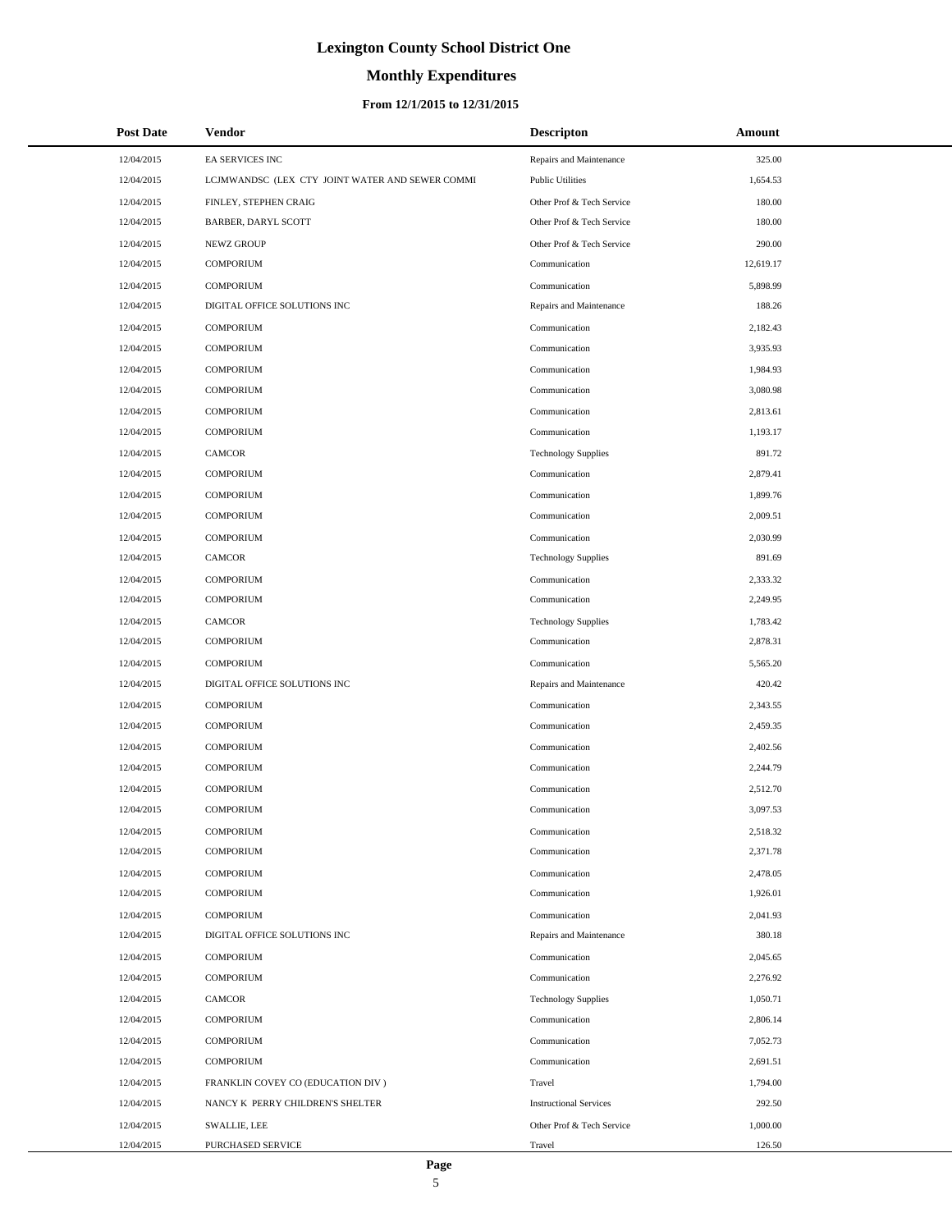# **Monthly Expenditures**

## **From 12/1/2015 to 12/31/2015**

| <b>Post Date</b> | <b>Vendor</b>                                   | <b>Descripton</b>             | Amount    |
|------------------|-------------------------------------------------|-------------------------------|-----------|
| 12/04/2015       | EA SERVICES INC                                 | Repairs and Maintenance       | 325.00    |
| 12/04/2015       | LCJMWANDSC (LEX CTY JOINT WATER AND SEWER COMMI | <b>Public Utilities</b>       | 1,654.53  |
| 12/04/2015       | FINLEY, STEPHEN CRAIG                           | Other Prof & Tech Service     | 180.00    |
| 12/04/2015       | <b>BARBER, DARYL SCOTT</b>                      | Other Prof & Tech Service     | 180.00    |
| 12/04/2015       | NEWZ GROUP                                      | Other Prof & Tech Service     | 290.00    |
| 12/04/2015       | <b>COMPORIUM</b>                                | Communication                 | 12,619.17 |
| 12/04/2015       | <b>COMPORIUM</b>                                | Communication                 | 5,898.99  |
| 12/04/2015       | DIGITAL OFFICE SOLUTIONS INC                    | Repairs and Maintenance       | 188.26    |
| 12/04/2015       | <b>COMPORIUM</b>                                | Communication                 | 2,182.43  |
| 12/04/2015       | <b>COMPORIUM</b>                                | Communication                 | 3,935.93  |
| 12/04/2015       | <b>COMPORIUM</b>                                | Communication                 | 1,984.93  |
| 12/04/2015       | <b>COMPORIUM</b>                                | Communication                 | 3,080.98  |
| 12/04/2015       | <b>COMPORIUM</b>                                | Communication                 | 2,813.61  |
| 12/04/2015       | <b>COMPORIUM</b>                                | Communication                 | 1,193.17  |
| 12/04/2015       | <b>CAMCOR</b>                                   | <b>Technology Supplies</b>    | 891.72    |
| 12/04/2015       | <b>COMPORIUM</b>                                | Communication                 | 2,879.41  |
| 12/04/2015       | <b>COMPORIUM</b>                                | Communication                 | 1,899.76  |
| 12/04/2015       | <b>COMPORIUM</b>                                | Communication                 | 2,009.51  |
| 12/04/2015       | <b>COMPORIUM</b>                                | Communication                 | 2,030.99  |
| 12/04/2015       | <b>CAMCOR</b>                                   | <b>Technology Supplies</b>    | 891.69    |
| 12/04/2015       | <b>COMPORIUM</b>                                | Communication                 | 2,333.32  |
| 12/04/2015       | <b>COMPORIUM</b>                                | Communication                 | 2,249.95  |
| 12/04/2015       | <b>CAMCOR</b>                                   | <b>Technology Supplies</b>    | 1,783.42  |
| 12/04/2015       | <b>COMPORIUM</b>                                | Communication                 | 2,878.31  |
| 12/04/2015       | <b>COMPORIUM</b>                                | Communication                 | 5,565.20  |
| 12/04/2015       | DIGITAL OFFICE SOLUTIONS INC                    | Repairs and Maintenance       | 420.42    |
| 12/04/2015       | <b>COMPORIUM</b>                                | Communication                 | 2,343.55  |
| 12/04/2015       | <b>COMPORIUM</b>                                | Communication                 | 2,459.35  |
| 12/04/2015       | <b>COMPORIUM</b>                                | Communication                 | 2,402.56  |
| 12/04/2015       | <b>COMPORIUM</b>                                | Communication                 | 2,244.79  |
| 12/04/2015       | <b>COMPORIUM</b>                                | Communication                 | 2,512.70  |
| 12/04/2015       | <b>COMPORIUM</b>                                | Communication                 | 3,097.53  |
| 12/04/2015       | COMPORIUM                                       | Communication                 | 2,518.32  |
| 12/04/2015       | <b>COMPORIUM</b>                                | Communication                 | 2,371.78  |
| 12/04/2015       | <b>COMPORIUM</b>                                | Communication                 | 2,478.05  |
| 12/04/2015       | <b>COMPORIUM</b>                                | Communication                 | 1,926.01  |
| 12/04/2015       | <b>COMPORIUM</b>                                | Communication                 | 2,041.93  |
| 12/04/2015       | DIGITAL OFFICE SOLUTIONS INC                    | Repairs and Maintenance       | 380.18    |
| 12/04/2015       | <b>COMPORIUM</b>                                | Communication                 | 2,045.65  |
| 12/04/2015       | <b>COMPORIUM</b>                                | Communication                 | 2,276.92  |
| 12/04/2015       | CAMCOR                                          | <b>Technology Supplies</b>    | 1,050.71  |
| 12/04/2015       | <b>COMPORIUM</b>                                | Communication                 | 2,806.14  |
| 12/04/2015       | <b>COMPORIUM</b>                                | Communication                 | 7,052.73  |
| 12/04/2015       | <b>COMPORIUM</b>                                | Communication                 | 2,691.51  |
| 12/04/2015       | FRANKLIN COVEY CO (EDUCATION DIV)               | Travel                        | 1,794.00  |
| 12/04/2015       | NANCY K PERRY CHILDREN'S SHELTER                | <b>Instructional Services</b> | 292.50    |
| 12/04/2015       | SWALLIE, LEE                                    | Other Prof & Tech Service     | 1,000.00  |
| 12/04/2015       | PURCHASED SERVICE                               | Travel                        | 126.50    |

L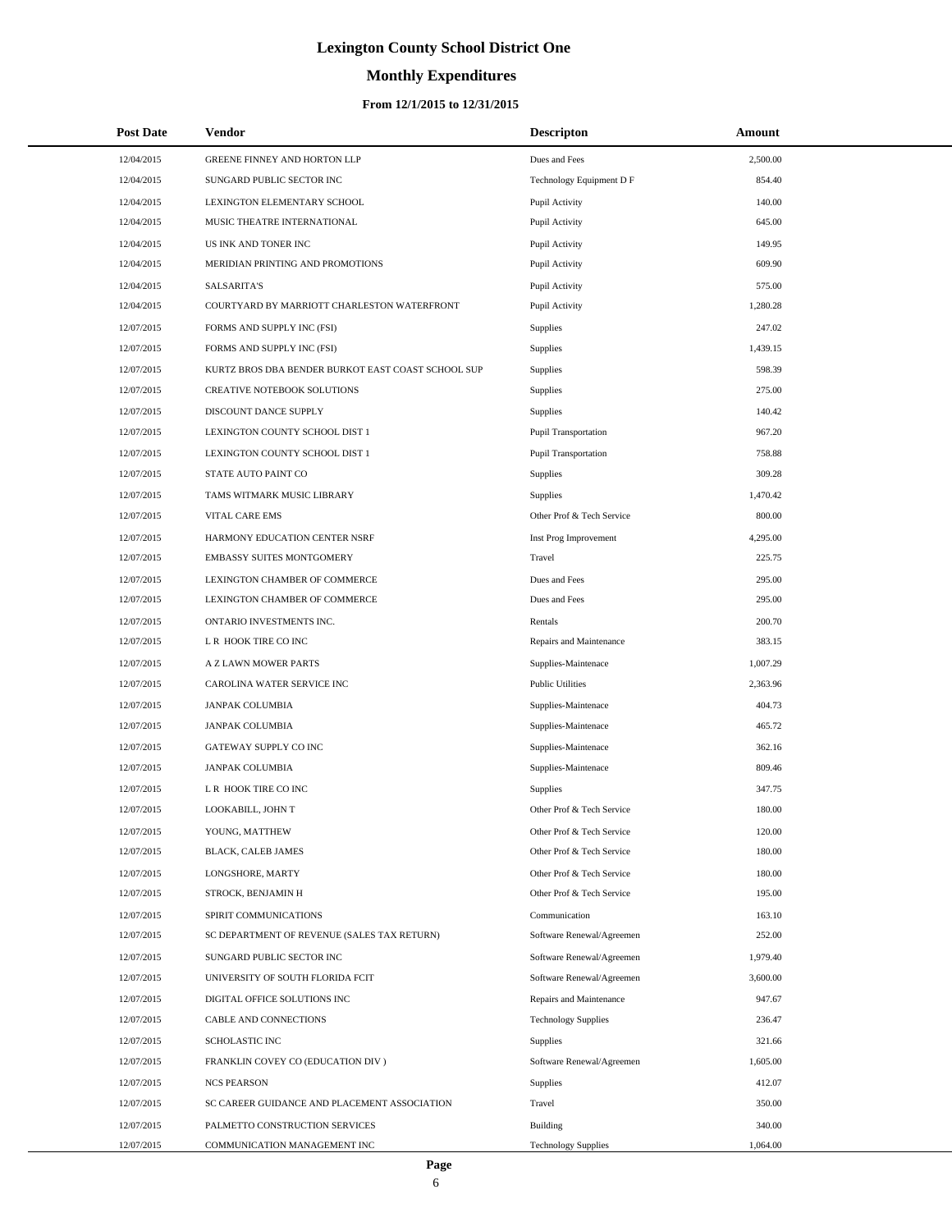# **Monthly Expenditures**

## **From 12/1/2015 to 12/31/2015**

| <b>Post Date</b> | <b>Vendor</b>                                      | <b>Descripton</b>           | Amount   |
|------------------|----------------------------------------------------|-----------------------------|----------|
| 12/04/2015       | GREENE FINNEY AND HORTON LLP                       | Dues and Fees               | 2,500.00 |
| 12/04/2015       | SUNGARD PUBLIC SECTOR INC                          | Technology Equipment D F    | 854.40   |
| 12/04/2015       | LEXINGTON ELEMENTARY SCHOOL                        | Pupil Activity              | 140.00   |
| 12/04/2015       | MUSIC THEATRE INTERNATIONAL                        | Pupil Activity              | 645.00   |
| 12/04/2015       | US INK AND TONER INC                               | Pupil Activity              | 149.95   |
| 12/04/2015       | MERIDIAN PRINTING AND PROMOTIONS                   | Pupil Activity              | 609.90   |
| 12/04/2015       | <b>SALSARITA'S</b>                                 | Pupil Activity              | 575.00   |
| 12/04/2015       | COURTYARD BY MARRIOTT CHARLESTON WATERFRONT        | Pupil Activity              | 1,280.28 |
| 12/07/2015       | FORMS AND SUPPLY INC (FSI)                         | Supplies                    | 247.02   |
| 12/07/2015       | FORMS AND SUPPLY INC (FSI)                         | <b>Supplies</b>             | 1,439.15 |
| 12/07/2015       | KURTZ BROS DBA BENDER BURKOT EAST COAST SCHOOL SUP | Supplies                    | 598.39   |
| 12/07/2015       | CREATIVE NOTEBOOK SOLUTIONS                        | Supplies                    | 275.00   |
| 12/07/2015       | DISCOUNT DANCE SUPPLY                              | <b>Supplies</b>             | 140.42   |
| 12/07/2015       | LEXINGTON COUNTY SCHOOL DIST 1                     | <b>Pupil Transportation</b> | 967.20   |
| 12/07/2015       | LEXINGTON COUNTY SCHOOL DIST 1                     | <b>Pupil Transportation</b> | 758.88   |
| 12/07/2015       | STATE AUTO PAINT CO                                | Supplies                    | 309.28   |
| 12/07/2015       | TAMS WITMARK MUSIC LIBRARY                         | <b>Supplies</b>             | 1,470.42 |
| 12/07/2015       | VITAL CARE EMS                                     | Other Prof & Tech Service   | 800.00   |
| 12/07/2015       | HARMONY EDUCATION CENTER NSRF                      | Inst Prog Improvement       | 4,295.00 |
| 12/07/2015       | EMBASSY SUITES MONTGOMERY                          | Travel                      | 225.75   |
| 12/07/2015       | LEXINGTON CHAMBER OF COMMERCE                      | Dues and Fees               | 295.00   |
| 12/07/2015       | LEXINGTON CHAMBER OF COMMERCE                      | Dues and Fees               | 295.00   |
| 12/07/2015       | ONTARIO INVESTMENTS INC.                           | Rentals                     | 200.70   |
| 12/07/2015       | L R HOOK TIRE CO INC                               | Repairs and Maintenance     | 383.15   |
| 12/07/2015       | A Z LAWN MOWER PARTS                               | Supplies-Maintenace         | 1,007.29 |
| 12/07/2015       | CAROLINA WATER SERVICE INC                         | <b>Public Utilities</b>     | 2,363.96 |
| 12/07/2015       | JANPAK COLUMBIA                                    | Supplies-Maintenace         | 404.73   |
| 12/07/2015       | <b>JANPAK COLUMBIA</b>                             | Supplies-Maintenace         | 465.72   |
| 12/07/2015       | GATEWAY SUPPLY CO INC                              | Supplies-Maintenace         | 362.16   |
| 12/07/2015       | <b>JANPAK COLUMBIA</b>                             | Supplies-Maintenace         | 809.46   |
| 12/07/2015       | L R HOOK TIRE CO INC                               | Supplies                    | 347.75   |
| 12/07/2015       | LOOKABILL, JOHN T                                  | Other Prof & Tech Service   | 180.00   |
| 12/07/2015       | YOUNG, MATTHEW                                     | Other Prof & Tech Service   | 120.00   |
| 12/07/2015       | BLACK, CALEB JAMES                                 | Other Prof & Tech Service   | 180.00   |
| 12/07/2015       | LONGSHORE, MARTY                                   | Other Prof & Tech Service   | 180.00   |
| 12/07/2015       | STROCK, BENJAMIN H                                 | Other Prof & Tech Service   | 195.00   |
| 12/07/2015       | SPIRIT COMMUNICATIONS                              | Communication               | 163.10   |
| 12/07/2015       | SC DEPARTMENT OF REVENUE (SALES TAX RETURN)        | Software Renewal/Agreemen   | 252.00   |
| 12/07/2015       | SUNGARD PUBLIC SECTOR INC                          | Software Renewal/Agreemen   | 1,979.40 |
| 12/07/2015       | UNIVERSITY OF SOUTH FLORIDA FCIT                   | Software Renewal/Agreemen   | 3,600.00 |
| 12/07/2015       | DIGITAL OFFICE SOLUTIONS INC                       | Repairs and Maintenance     | 947.67   |
| 12/07/2015       | CABLE AND CONNECTIONS                              | <b>Technology Supplies</b>  | 236.47   |
| 12/07/2015       | <b>SCHOLASTIC INC</b>                              | Supplies                    | 321.66   |
| 12/07/2015       | FRANKLIN COVEY CO (EDUCATION DIV)                  | Software Renewal/Agreemen   | 1,605.00 |
| 12/07/2015       | <b>NCS PEARSON</b>                                 | <b>Supplies</b>             | 412.07   |
| 12/07/2015       | SC CAREER GUIDANCE AND PLACEMENT ASSOCIATION       | Travel                      | 350.00   |
| 12/07/2015       | PALMETTO CONSTRUCTION SERVICES                     | Building                    | 340.00   |
| 12/07/2015       | COMMUNICATION MANAGEMENT INC                       | <b>Technology Supplies</b>  | 1,064.00 |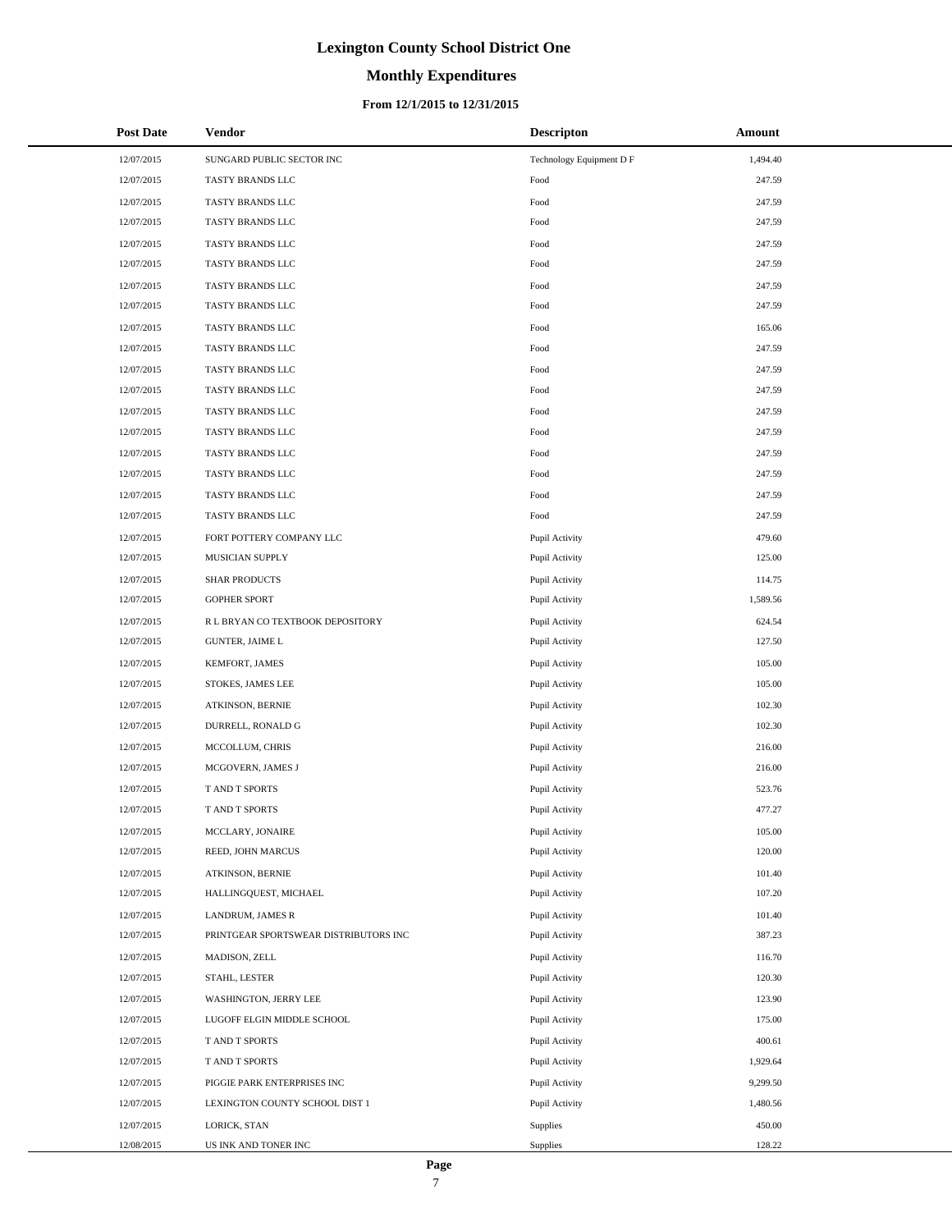## **Monthly Expenditures**

### **From 12/1/2015 to 12/31/2015**

| <b>Post Date</b> | Vendor                                | <b>Descripton</b>        | Amount   |
|------------------|---------------------------------------|--------------------------|----------|
| 12/07/2015       | SUNGARD PUBLIC SECTOR INC             | Technology Equipment D F | 1,494.40 |
| 12/07/2015       | TASTY BRANDS LLC                      | Food                     | 247.59   |
| 12/07/2015       | TASTY BRANDS LLC                      | Food                     | 247.59   |
| 12/07/2015       | TASTY BRANDS LLC                      | Food                     | 247.59   |
| 12/07/2015       | TASTY BRANDS LLC                      | Food                     | 247.59   |
| 12/07/2015       | TASTY BRANDS LLC                      | Food                     | 247.59   |
| 12/07/2015       | TASTY BRANDS LLC                      | Food                     | 247.59   |
| 12/07/2015       | TASTY BRANDS LLC                      | Food                     | 247.59   |
| 12/07/2015       | TASTY BRANDS LLC                      | Food                     | 165.06   |
| 12/07/2015       | TASTY BRANDS LLC                      | Food                     | 247.59   |
| 12/07/2015       | TASTY BRANDS LLC                      | Food                     | 247.59   |
| 12/07/2015       | TASTY BRANDS LLC                      | Food                     | 247.59   |
| 12/07/2015       | TASTY BRANDS LLC                      | Food                     | 247.59   |
| 12/07/2015       | TASTY BRANDS LLC                      | Food                     | 247.59   |
| 12/07/2015       | TASTY BRANDS LLC                      | Food                     | 247.59   |
| 12/07/2015       | TASTY BRANDS LLC                      | Food                     | 247.59   |
| 12/07/2015       | TASTY BRANDS LLC                      | Food                     | 247.59   |
| 12/07/2015       | TASTY BRANDS LLC                      | Food                     | 247.59   |
| 12/07/2015       | FORT POTTERY COMPANY LLC              | Pupil Activity           | 479.60   |
| 12/07/2015       | MUSICIAN SUPPLY                       | Pupil Activity           | 125.00   |
| 12/07/2015       | <b>SHAR PRODUCTS</b>                  | Pupil Activity           | 114.75   |
| 12/07/2015       | <b>GOPHER SPORT</b>                   | Pupil Activity           | 1,589.56 |
| 12/07/2015       | R L BRYAN CO TEXTBOOK DEPOSITORY      | Pupil Activity           | 624.54   |
| 12/07/2015       | <b>GUNTER, JAIME L</b>                | Pupil Activity           | 127.50   |
| 12/07/2015       | KEMFORT, JAMES                        | Pupil Activity           | 105.00   |
| 12/07/2015       | STOKES, JAMES LEE                     | Pupil Activity           | 105.00   |
| 12/07/2015       | ATKINSON, BERNIE                      | Pupil Activity           | 102.30   |
| 12/07/2015       | DURRELL, RONALD G                     | Pupil Activity           | 102.30   |
| 12/07/2015       | MCCOLLUM, CHRIS                       | Pupil Activity           | 216.00   |
| 12/07/2015       | MCGOVERN, JAMES J                     | Pupil Activity           | 216.00   |
| 12/07/2015       | T AND T SPORTS                        | Pupil Activity           | 523.76   |
| 12/07/2015       | T AND T SPORTS                        | Pupil Activity           | 477.27   |
| 12/07/2015       | MCCLARY, JONAIRE                      | Pupil Activity           | 105.00   |
| 12/07/2015       | REED, JOHN MARCUS                     | Pupil Activity           | 120.00   |
| 12/07/2015       | ATKINSON, BERNIE                      | Pupil Activity           | 101.40   |
| 12/07/2015       | HALLINGQUEST, MICHAEL                 | Pupil Activity           | 107.20   |
| 12/07/2015       | LANDRUM, JAMES R                      | Pupil Activity           | 101.40   |
| 12/07/2015       | PRINTGEAR SPORTSWEAR DISTRIBUTORS INC | Pupil Activity           | 387.23   |
| 12/07/2015       | MADISON, ZELL                         | Pupil Activity           | 116.70   |
| 12/07/2015       | STAHL, LESTER                         | Pupil Activity           | 120.30   |
| 12/07/2015       | WASHINGTON, JERRY LEE                 | Pupil Activity           | 123.90   |
| 12/07/2015       | LUGOFF ELGIN MIDDLE SCHOOL            | Pupil Activity           | 175.00   |
| 12/07/2015       | T AND T SPORTS                        | Pupil Activity           | 400.61   |
| 12/07/2015       | T AND T SPORTS                        | Pupil Activity           | 1,929.64 |
| 12/07/2015       | PIGGIE PARK ENTERPRISES INC           | Pupil Activity           | 9,299.50 |
| 12/07/2015       | LEXINGTON COUNTY SCHOOL DIST 1        | Pupil Activity           | 1,480.56 |
| 12/07/2015       | LORICK, STAN                          | Supplies                 | 450.00   |
| 12/08/2015       | US INK AND TONER INC                  | Supplies                 | 128.22   |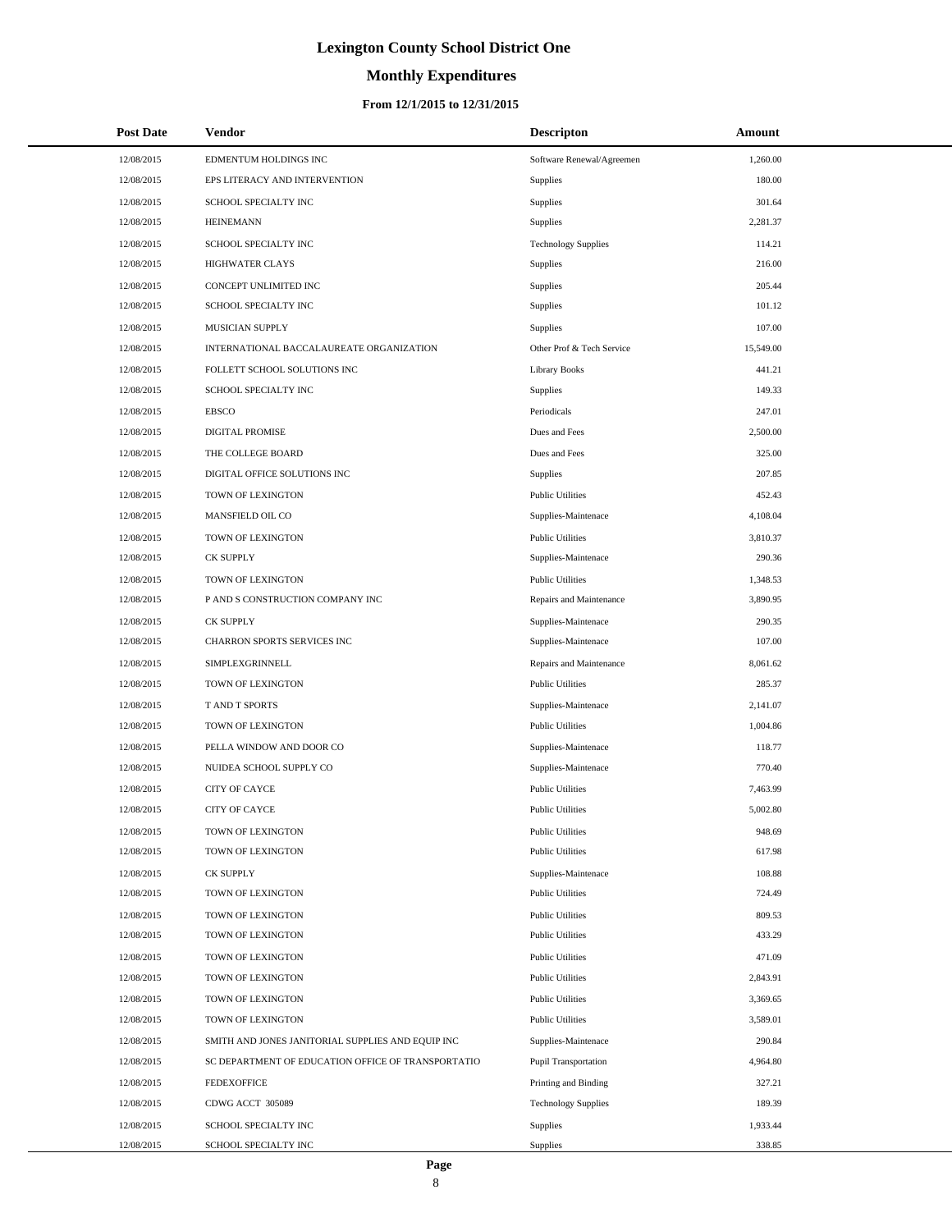# **Monthly Expenditures**

## **From 12/1/2015 to 12/31/2015**

| <b>Post Date</b> | Vendor                                             | <b>Descripton</b>          | Amount    |
|------------------|----------------------------------------------------|----------------------------|-----------|
| 12/08/2015       | EDMENTUM HOLDINGS INC                              | Software Renewal/Agreemen  | 1,260.00  |
| 12/08/2015       | EPS LITERACY AND INTERVENTION                      | Supplies                   | 180.00    |
| 12/08/2015       | SCHOOL SPECIALTY INC                               | Supplies                   | 301.64    |
| 12/08/2015       | <b>HEINEMANN</b>                                   | Supplies                   | 2,281.37  |
| 12/08/2015       | SCHOOL SPECIALTY INC                               | <b>Technology Supplies</b> | 114.21    |
| 12/08/2015       | <b>HIGHWATER CLAYS</b>                             | Supplies                   | 216.00    |
| 12/08/2015       | CONCEPT UNLIMITED INC                              | Supplies                   | 205.44    |
| 12/08/2015       | SCHOOL SPECIALTY INC                               | Supplies                   | 101.12    |
| 12/08/2015       | MUSICIAN SUPPLY                                    | Supplies                   | 107.00    |
| 12/08/2015       | INTERNATIONAL BACCALAUREATE ORGANIZATION           | Other Prof & Tech Service  | 15,549.00 |
| 12/08/2015       | FOLLETT SCHOOL SOLUTIONS INC                       | <b>Library Books</b>       | 441.21    |
| 12/08/2015       | SCHOOL SPECIALTY INC                               | Supplies                   | 149.33    |
| 12/08/2015       | <b>EBSCO</b>                                       | Periodicals                | 247.01    |
| 12/08/2015       | DIGITAL PROMISE                                    | Dues and Fees              | 2,500.00  |
| 12/08/2015       | THE COLLEGE BOARD                                  | Dues and Fees              | 325.00    |
| 12/08/2015       | DIGITAL OFFICE SOLUTIONS INC                       | Supplies                   | 207.85    |
| 12/08/2015       | TOWN OF LEXINGTON                                  | <b>Public Utilities</b>    | 452.43    |
| 12/08/2015       | MANSFIELD OIL CO                                   | Supplies-Maintenace        | 4,108.04  |
| 12/08/2015       | TOWN OF LEXINGTON                                  | <b>Public Utilities</b>    | 3,810.37  |
| 12/08/2015       | <b>CK SUPPLY</b>                                   | Supplies-Maintenace        | 290.36    |
| 12/08/2015       | TOWN OF LEXINGTON                                  | <b>Public Utilities</b>    | 1,348.53  |
| 12/08/2015       | P AND S CONSTRUCTION COMPANY INC                   | Repairs and Maintenance    | 3,890.95  |
| 12/08/2015       | <b>CK SUPPLY</b>                                   | Supplies-Maintenace        | 290.35    |
| 12/08/2015       | CHARRON SPORTS SERVICES INC                        | Supplies-Maintenace        | 107.00    |
| 12/08/2015       | SIMPLEXGRINNELL                                    | Repairs and Maintenance    | 8,061.62  |
| 12/08/2015       | TOWN OF LEXINGTON                                  | <b>Public Utilities</b>    | 285.37    |
| 12/08/2015       | T AND T SPORTS                                     | Supplies-Maintenace        | 2,141.07  |
| 12/08/2015       | TOWN OF LEXINGTON                                  | <b>Public Utilities</b>    | 1,004.86  |
| 12/08/2015       | PELLA WINDOW AND DOOR CO                           | Supplies-Maintenace        | 118.77    |
| 12/08/2015       | NUIDEA SCHOOL SUPPLY CO                            | Supplies-Maintenace        | 770.40    |
| 12/08/2015       | <b>CITY OF CAYCE</b>                               | <b>Public Utilities</b>    | 7,463.99  |
| 12/08/2015       | <b>CITY OF CAYCE</b>                               | <b>Public Utilities</b>    | 5,002.80  |
| 12/08/2015       | TOWN OF LEXINGTON                                  | <b>Public Utilities</b>    | 948.69    |
| 12/08/2015       | TOWN OF LEXINGTON                                  | <b>Public Utilities</b>    | 617.98    |
| 12/08/2015       | <b>CK SUPPLY</b>                                   | Supplies-Maintenace        | 108.88    |
| 12/08/2015       | TOWN OF LEXINGTON                                  | <b>Public Utilities</b>    | 724.49    |
| 12/08/2015       | TOWN OF LEXINGTON                                  | <b>Public Utilities</b>    | 809.53    |
| 12/08/2015       | TOWN OF LEXINGTON                                  | <b>Public Utilities</b>    | 433.29    |
| 12/08/2015       | TOWN OF LEXINGTON                                  | <b>Public Utilities</b>    | 471.09    |
| 12/08/2015       | TOWN OF LEXINGTON                                  | <b>Public Utilities</b>    | 2,843.91  |
| 12/08/2015       | TOWN OF LEXINGTON                                  | <b>Public Utilities</b>    | 3,369.65  |
| 12/08/2015       | TOWN OF LEXINGTON                                  | <b>Public Utilities</b>    | 3,589.01  |
| 12/08/2015       | SMITH AND JONES JANITORIAL SUPPLIES AND EQUIP INC  | Supplies-Maintenace        | 290.84    |
| 12/08/2015       | SC DEPARTMENT OF EDUCATION OFFICE OF TRANSPORTATIO | Pupil Transportation       | 4,964.80  |
| 12/08/2015       | <b>FEDEXOFFICE</b>                                 | Printing and Binding       | 327.21    |
| 12/08/2015       | CDWG ACCT 305089                                   | <b>Technology Supplies</b> | 189.39    |
| 12/08/2015       | SCHOOL SPECIALTY INC                               | <b>Supplies</b>            | 1,933.44  |
| 12/08/2015       | SCHOOL SPECIALTY INC                               | Supplies                   | 338.85    |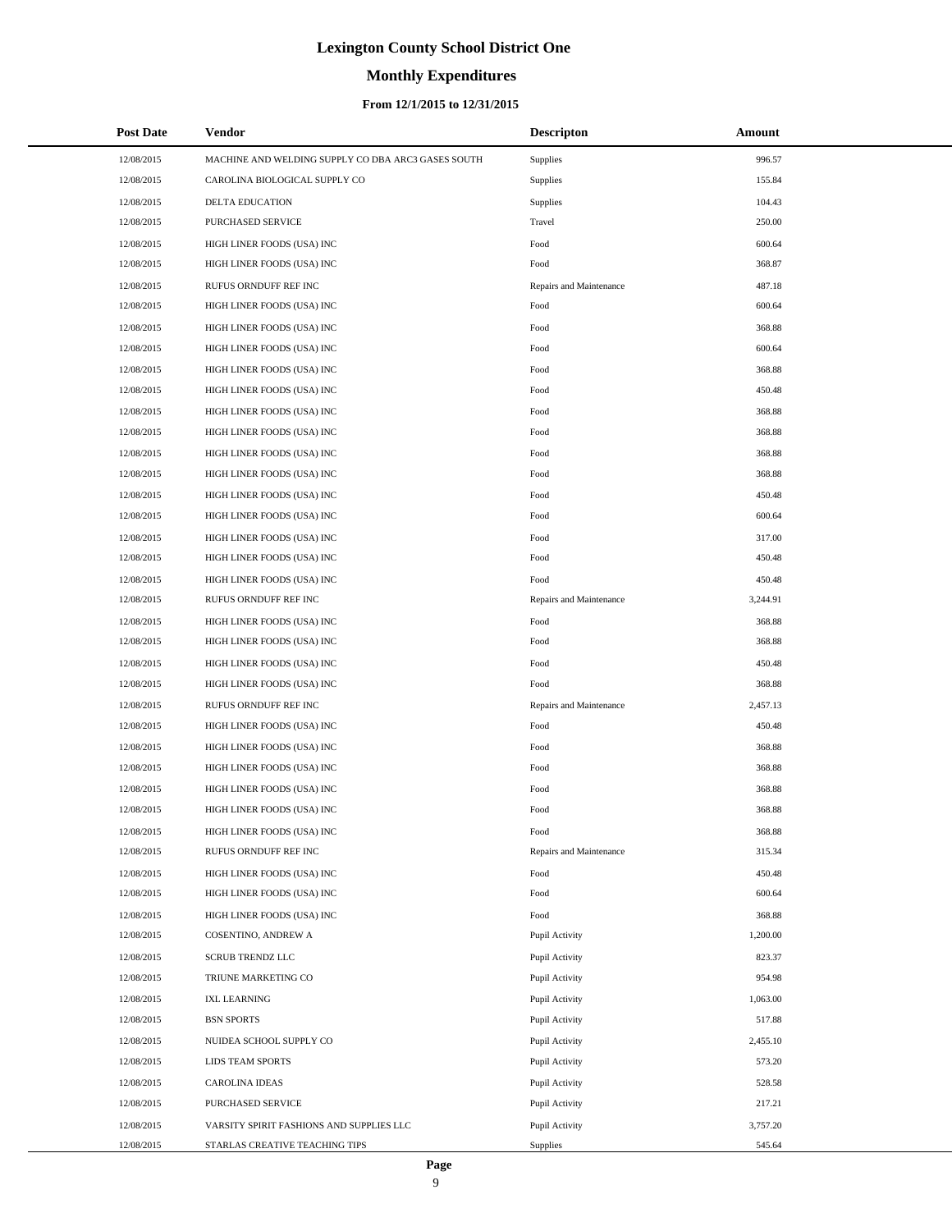## **Monthly Expenditures**

### **From 12/1/2015 to 12/31/2015**

| <b>Post Date</b> | <b>Vendor</b>                                      | <b>Descripton</b>       | Amount   |
|------------------|----------------------------------------------------|-------------------------|----------|
| 12/08/2015       | MACHINE AND WELDING SUPPLY CO DBA ARC3 GASES SOUTH | Supplies                | 996.57   |
| 12/08/2015       | CAROLINA BIOLOGICAL SUPPLY CO                      | Supplies                | 155.84   |
| 12/08/2015       | DELTA EDUCATION                                    | <b>Supplies</b>         | 104.43   |
| 12/08/2015       | PURCHASED SERVICE                                  | Travel                  | 250.00   |
| 12/08/2015       | HIGH LINER FOODS (USA) INC                         | Food                    | 600.64   |
| 12/08/2015       | HIGH LINER FOODS (USA) INC                         | Food                    | 368.87   |
| 12/08/2015       | RUFUS ORNDUFF REF INC                              | Repairs and Maintenance | 487.18   |
| 12/08/2015       | HIGH LINER FOODS (USA) INC                         | Food                    | 600.64   |
| 12/08/2015       | HIGH LINER FOODS (USA) INC                         | Food                    | 368.88   |
| 12/08/2015       | HIGH LINER FOODS (USA) INC                         | Food                    | 600.64   |
| 12/08/2015       | HIGH LINER FOODS (USA) INC                         | Food                    | 368.88   |
| 12/08/2015       | HIGH LINER FOODS (USA) INC                         | Food                    | 450.48   |
| 12/08/2015       | HIGH LINER FOODS (USA) INC                         | Food                    | 368.88   |
| 12/08/2015       | HIGH LINER FOODS (USA) INC                         | Food                    | 368.88   |
| 12/08/2015       | HIGH LINER FOODS (USA) INC                         | Food                    | 368.88   |
| 12/08/2015       | HIGH LINER FOODS (USA) INC                         | Food                    | 368.88   |
| 12/08/2015       | HIGH LINER FOODS (USA) INC                         | Food                    | 450.48   |
| 12/08/2015       | HIGH LINER FOODS (USA) INC                         | Food                    | 600.64   |
| 12/08/2015       | HIGH LINER FOODS (USA) INC                         | Food                    | 317.00   |
| 12/08/2015       | HIGH LINER FOODS (USA) INC                         | Food                    | 450.48   |
| 12/08/2015       | HIGH LINER FOODS (USA) INC                         | Food                    | 450.48   |
| 12/08/2015       | RUFUS ORNDUFF REF INC                              | Repairs and Maintenance | 3,244.91 |
| 12/08/2015       | HIGH LINER FOODS (USA) INC                         | Food                    | 368.88   |
| 12/08/2015       | HIGH LINER FOODS (USA) INC                         | Food                    | 368.88   |
| 12/08/2015       | HIGH LINER FOODS (USA) INC                         | Food                    | 450.48   |
| 12/08/2015       | HIGH LINER FOODS (USA) INC                         | Food                    | 368.88   |
| 12/08/2015       | RUFUS ORNDUFF REF INC                              | Repairs and Maintenance | 2,457.13 |
| 12/08/2015       | HIGH LINER FOODS (USA) INC                         | Food                    | 450.48   |
| 12/08/2015       | HIGH LINER FOODS (USA) INC                         | Food                    | 368.88   |
| 12/08/2015       | HIGH LINER FOODS (USA) INC                         | Food                    | 368.88   |
| 12/08/2015       | HIGH LINER FOODS (USA) INC                         | Food                    | 368.88   |
| 12/08/2015       | HIGH LINER FOODS (USA) INC                         | Food                    | 368.88   |
| 12/08/2015       | HIGH LINER FOODS (USA) INC                         | Food                    | 368.88   |
| 12/08/2015       | RUFUS ORNDUFF REF INC                              | Repairs and Maintenance | 315.34   |
| 12/08/2015       | HIGH LINER FOODS (USA) INC                         | Food                    | 450.48   |
| 12/08/2015       | HIGH LINER FOODS (USA) INC                         | Food                    | 600.64   |
| 12/08/2015       | HIGH LINER FOODS (USA) INC                         | Food                    | 368.88   |
| 12/08/2015       | COSENTINO, ANDREW A                                | Pupil Activity          | 1,200.00 |
| 12/08/2015       | <b>SCRUB TRENDZ LLC</b>                            | Pupil Activity          | 823.37   |
| 12/08/2015       | TRIUNE MARKETING CO                                | Pupil Activity          | 954.98   |
| 12/08/2015       | <b>IXL LEARNING</b>                                | Pupil Activity          | 1,063.00 |
| 12/08/2015       | <b>BSN SPORTS</b>                                  | Pupil Activity          | 517.88   |
| 12/08/2015       | NUIDEA SCHOOL SUPPLY CO                            | Pupil Activity          | 2,455.10 |
| 12/08/2015       | LIDS TEAM SPORTS                                   | Pupil Activity          | 573.20   |
| 12/08/2015       | <b>CAROLINA IDEAS</b>                              | Pupil Activity          | 528.58   |
| 12/08/2015       | PURCHASED SERVICE                                  | Pupil Activity          | 217.21   |
| 12/08/2015       | VARSITY SPIRIT FASHIONS AND SUPPLIES LLC           | Pupil Activity          | 3,757.20 |
| 12/08/2015       | STARLAS CREATIVE TEACHING TIPS                     | Supplies                | 545.64   |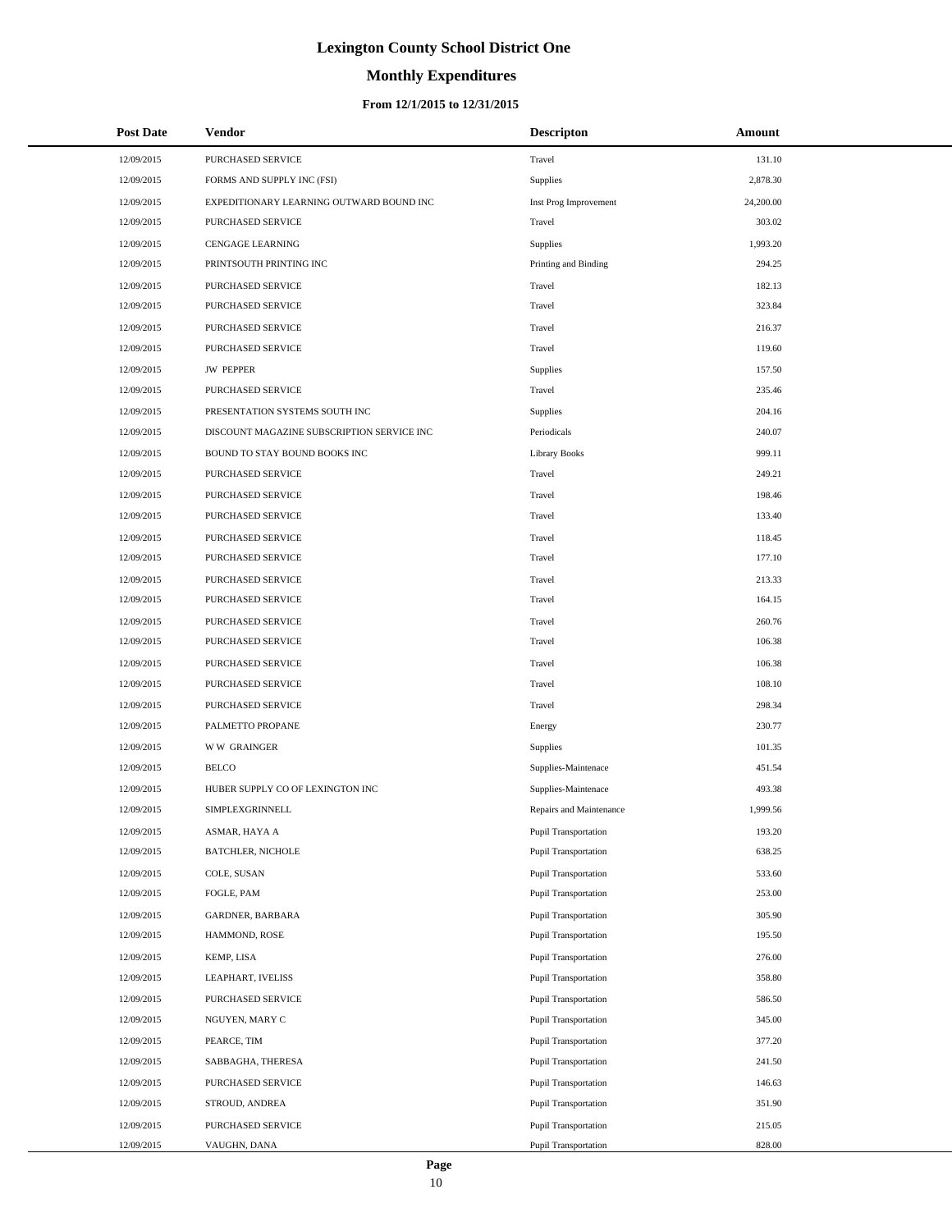# **Monthly Expenditures**

## **From 12/1/2015 to 12/31/2015**

| <b>Post Date</b> | Vendor                                     | <b>Descripton</b>           | Amount    |  |
|------------------|--------------------------------------------|-----------------------------|-----------|--|
| 12/09/2015       | PURCHASED SERVICE                          | Travel                      | 131.10    |  |
| 12/09/2015       | FORMS AND SUPPLY INC (FSI)                 | Supplies                    | 2,878.30  |  |
| 12/09/2015       | EXPEDITIONARY LEARNING OUTWARD BOUND INC   | Inst Prog Improvement       | 24,200.00 |  |
| 12/09/2015       | PURCHASED SERVICE                          | Travel                      | 303.02    |  |
| 12/09/2015       | CENGAGE LEARNING                           | Supplies                    | 1,993.20  |  |
| 12/09/2015       | PRINTSOUTH PRINTING INC                    | Printing and Binding        | 294.25    |  |
| 12/09/2015       | PURCHASED SERVICE                          | Travel                      | 182.13    |  |
| 12/09/2015       | PURCHASED SERVICE                          | Travel                      | 323.84    |  |
| 12/09/2015       | <b>PURCHASED SERVICE</b>                   | Travel                      | 216.37    |  |
| 12/09/2015       | <b>PURCHASED SERVICE</b>                   | Travel                      | 119.60    |  |
| 12/09/2015       | <b>JW PEPPER</b>                           | <b>Supplies</b>             | 157.50    |  |
| 12/09/2015       | PURCHASED SERVICE                          | Travel                      | 235.46    |  |
| 12/09/2015       | PRESENTATION SYSTEMS SOUTH INC             | Supplies                    | 204.16    |  |
| 12/09/2015       | DISCOUNT MAGAZINE SUBSCRIPTION SERVICE INC | Periodicals                 | 240.07    |  |
| 12/09/2015       | BOUND TO STAY BOUND BOOKS INC              | <b>Library Books</b>        | 999.11    |  |
| 12/09/2015       | PURCHASED SERVICE                          | Travel                      | 249.21    |  |
| 12/09/2015       | PURCHASED SERVICE                          | Travel                      | 198.46    |  |
| 12/09/2015       | PURCHASED SERVICE                          | Travel                      | 133.40    |  |
| 12/09/2015       | <b>PURCHASED SERVICE</b>                   | Travel                      | 118.45    |  |
| 12/09/2015       | PURCHASED SERVICE                          | Travel                      | 177.10    |  |
| 12/09/2015       | PURCHASED SERVICE                          | Travel                      | 213.33    |  |
| 12/09/2015       | PURCHASED SERVICE                          | Travel                      | 164.15    |  |
| 12/09/2015       | PURCHASED SERVICE                          | Travel                      | 260.76    |  |
| 12/09/2015       | PURCHASED SERVICE                          | Travel                      | 106.38    |  |
| 12/09/2015       | PURCHASED SERVICE                          | Travel                      | 106.38    |  |
| 12/09/2015       | PURCHASED SERVICE                          | Travel                      | 108.10    |  |
| 12/09/2015       | PURCHASED SERVICE                          | Travel                      | 298.34    |  |
| 12/09/2015       | PALMETTO PROPANE                           | Energy                      | 230.77    |  |
| 12/09/2015       | <b>WW GRAINGER</b>                         | Supplies                    | 101.35    |  |
| 12/09/2015       | <b>BELCO</b>                               | Supplies-Maintenace         | 451.54    |  |
| 12/09/2015       | HUBER SUPPLY CO OF LEXINGTON INC           | Supplies-Maintenace         | 493.38    |  |
| 12/09/2015       | <b>SIMPLEXGRINNELL</b>                     | Repairs and Maintenance     | 1,999.56  |  |
| 12/09/2015       | ASMAR, HAYA A                              | Pupil Transportation        | 193.20    |  |
| 12/09/2015       | <b>BATCHLER, NICHOLE</b>                   | Pupil Transportation        | 638.25    |  |
| 12/09/2015       | COLE, SUSAN                                | Pupil Transportation        | 533.60    |  |
| 12/09/2015       | FOGLE, PAM                                 | Pupil Transportation        | 253.00    |  |
| 12/09/2015       | GARDNER, BARBARA                           | <b>Pupil Transportation</b> | 305.90    |  |
| 12/09/2015       | HAMMOND, ROSE                              | Pupil Transportation        | 195.50    |  |
| 12/09/2015       | KEMP, LISA                                 | Pupil Transportation        | 276.00    |  |
| 12/09/2015       | LEAPHART, IVELISS                          | Pupil Transportation        | 358.80    |  |
| 12/09/2015       | PURCHASED SERVICE                          | Pupil Transportation        | 586.50    |  |
| 12/09/2015       | NGUYEN, MARY C                             | Pupil Transportation        | 345.00    |  |
| 12/09/2015       | PEARCE, TIM                                | Pupil Transportation        | 377.20    |  |
| 12/09/2015       | SABBAGHA, THERESA                          | Pupil Transportation        | 241.50    |  |
| 12/09/2015       | PURCHASED SERVICE                          | Pupil Transportation        | 146.63    |  |
| 12/09/2015       | STROUD, ANDREA                             | Pupil Transportation        | 351.90    |  |
| 12/09/2015       | PURCHASED SERVICE                          | Pupil Transportation        | 215.05    |  |
| 12/09/2015       | VAUGHN, DANA                               | Pupil Transportation        | 828.00    |  |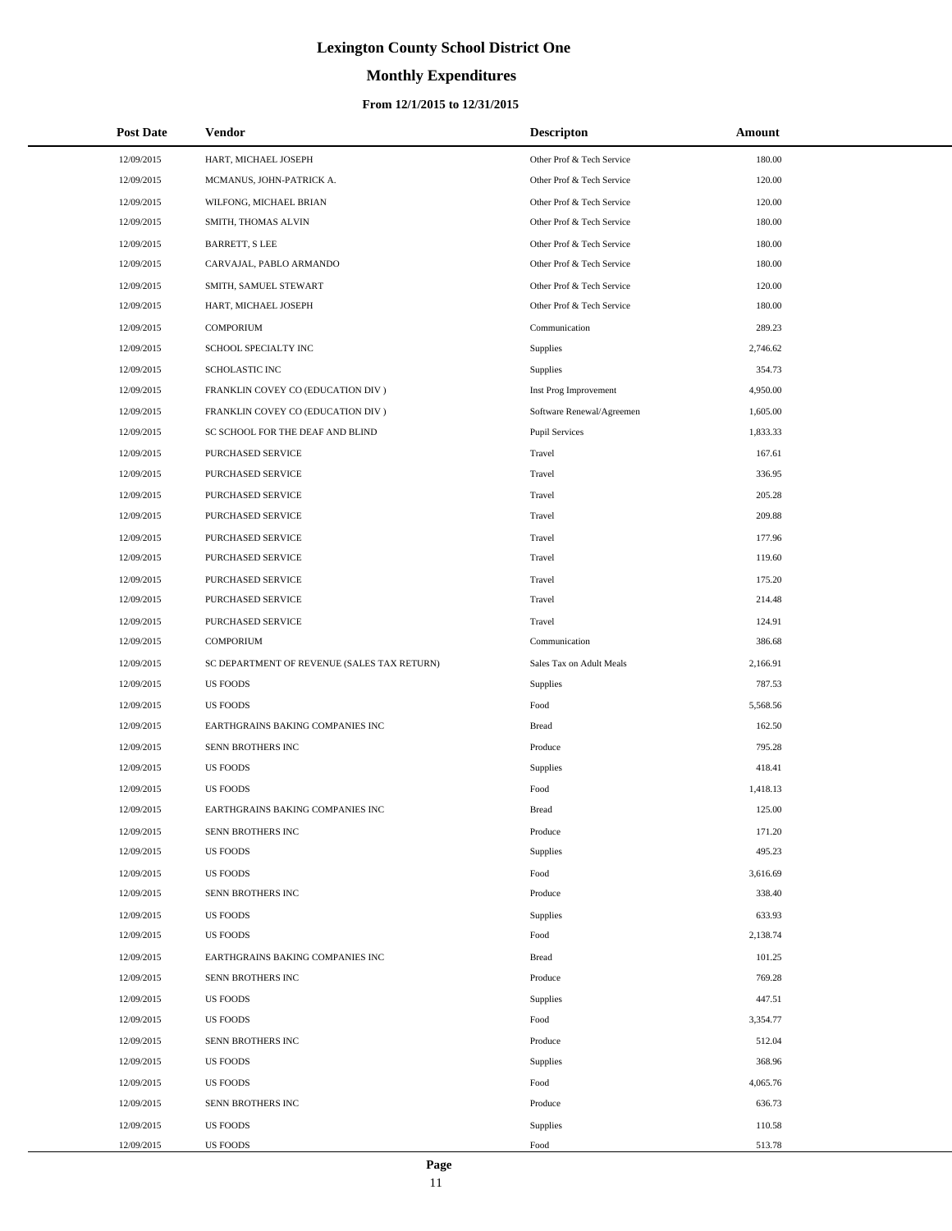# **Monthly Expenditures**

## **From 12/1/2015 to 12/31/2015**

| <b>Post Date</b> | Vendor                                      | <b>Descripton</b>         | Amount   |
|------------------|---------------------------------------------|---------------------------|----------|
| 12/09/2015       | HART, MICHAEL JOSEPH                        | Other Prof & Tech Service | 180.00   |
| 12/09/2015       | MCMANUS, JOHN-PATRICK A.                    | Other Prof & Tech Service | 120.00   |
| 12/09/2015       | WILFONG, MICHAEL BRIAN                      | Other Prof & Tech Service | 120.00   |
| 12/09/2015       | SMITH, THOMAS ALVIN                         | Other Prof & Tech Service | 180.00   |
| 12/09/2015       | <b>BARRETT, S LEE</b>                       | Other Prof & Tech Service | 180.00   |
| 12/09/2015       | CARVAJAL, PABLO ARMANDO                     | Other Prof & Tech Service | 180.00   |
| 12/09/2015       | SMITH, SAMUEL STEWART                       | Other Prof & Tech Service | 120.00   |
| 12/09/2015       | HART, MICHAEL JOSEPH                        | Other Prof & Tech Service | 180.00   |
| 12/09/2015       | <b>COMPORIUM</b>                            | Communication             | 289.23   |
| 12/09/2015       | SCHOOL SPECIALTY INC                        | Supplies                  | 2,746.62 |
| 12/09/2015       | <b>SCHOLASTIC INC</b>                       | Supplies                  | 354.73   |
| 12/09/2015       | FRANKLIN COVEY CO (EDUCATION DIV )          | Inst Prog Improvement     | 4,950.00 |
| 12/09/2015       | FRANKLIN COVEY CO (EDUCATION DIV)           | Software Renewal/Agreemen | 1,605.00 |
| 12/09/2015       | SC SCHOOL FOR THE DEAF AND BLIND            | <b>Pupil Services</b>     | 1,833.33 |
| 12/09/2015       | <b>PURCHASED SERVICE</b>                    | Travel                    | 167.61   |
| 12/09/2015       | PURCHASED SERVICE                           | Travel                    | 336.95   |
| 12/09/2015       | PURCHASED SERVICE                           | Travel                    | 205.28   |
| 12/09/2015       | PURCHASED SERVICE                           | Travel                    | 209.88   |
| 12/09/2015       | PURCHASED SERVICE                           | Travel                    | 177.96   |
| 12/09/2015       | PURCHASED SERVICE                           | Travel                    | 119.60   |
| 12/09/2015       | PURCHASED SERVICE                           | Travel                    | 175.20   |
| 12/09/2015       | PURCHASED SERVICE                           | Travel                    | 214.48   |
| 12/09/2015       | PURCHASED SERVICE                           | Travel                    | 124.91   |
| 12/09/2015       | <b>COMPORIUM</b>                            | Communication             | 386.68   |
| 12/09/2015       | SC DEPARTMENT OF REVENUE (SALES TAX RETURN) | Sales Tax on Adult Meals  | 2,166.91 |
| 12/09/2015       | <b>US FOODS</b>                             | Supplies                  | 787.53   |
| 12/09/2015       | <b>US FOODS</b>                             | Food                      | 5,568.56 |
| 12/09/2015       | EARTHGRAINS BAKING COMPANIES INC            | <b>Bread</b>              | 162.50   |
| 12/09/2015       | <b>SENN BROTHERS INC</b>                    | Produce                   | 795.28   |
| 12/09/2015       | <b>US FOODS</b>                             | Supplies                  | 418.41   |
| 12/09/2015       | <b>US FOODS</b>                             | Food                      | 1,418.13 |
| 12/09/2015       | EARTHGRAINS BAKING COMPANIES INC            | <b>Bread</b>              | 125.00   |
| 12/09/2015       | SENN BROTHERS INC                           | Produce                   | 171.20   |
| 12/09/2015       | <b>US FOODS</b>                             | Supplies                  | 495.23   |
| 12/09/2015       | <b>US FOODS</b>                             | Food                      | 3,616.69 |
| 12/09/2015       | SENN BROTHERS INC                           | Produce                   | 338.40   |
| 12/09/2015       | <b>US FOODS</b>                             | Supplies                  | 633.93   |
| 12/09/2015       | <b>US FOODS</b>                             | Food                      | 2,138.74 |
| 12/09/2015       | EARTHGRAINS BAKING COMPANIES INC            | <b>Bread</b>              | 101.25   |
| 12/09/2015       | SENN BROTHERS INC                           | Produce                   | 769.28   |
| 12/09/2015       | <b>US FOODS</b>                             | Supplies                  | 447.51   |
| 12/09/2015       | <b>US FOODS</b>                             | Food                      | 3,354.77 |
| 12/09/2015       | SENN BROTHERS INC                           | Produce                   | 512.04   |
| 12/09/2015       | <b>US FOODS</b>                             | Supplies                  | 368.96   |
| 12/09/2015       | <b>US FOODS</b>                             | Food                      | 4,065.76 |
| 12/09/2015       | SENN BROTHERS INC                           | Produce                   | 636.73   |
| 12/09/2015       | <b>US FOODS</b>                             | Supplies                  | 110.58   |
| 12/09/2015       | <b>US FOODS</b>                             | Food                      | 513.78   |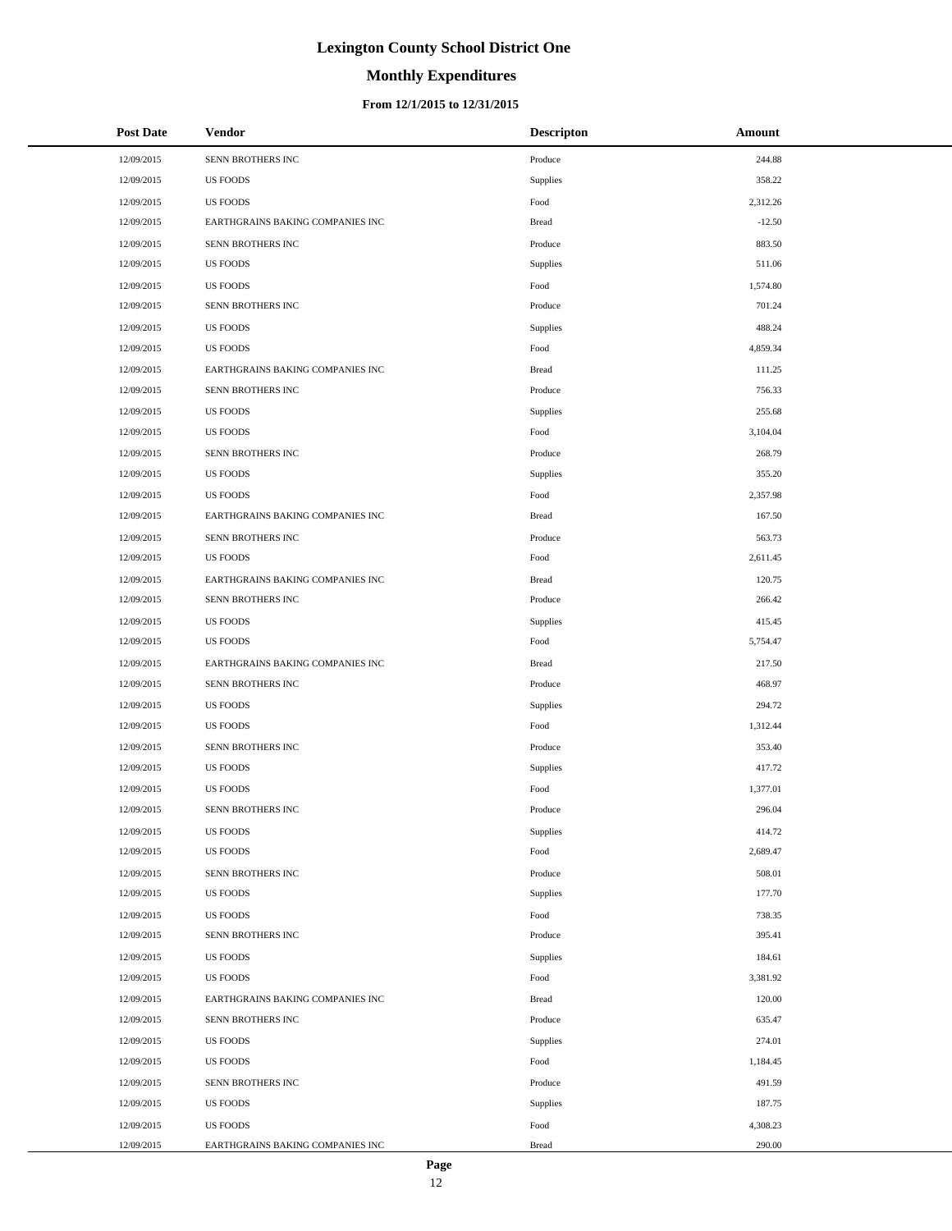# **Monthly Expenditures**

### **From 12/1/2015 to 12/31/2015**

| <b>Post Date</b> | Vendor                           | <b>Descripton</b> | Amount   |
|------------------|----------------------------------|-------------------|----------|
| 12/09/2015       | SENN BROTHERS INC                | Produce           | 244.88   |
| 12/09/2015       | <b>US FOODS</b>                  | Supplies          | 358.22   |
| 12/09/2015       | <b>US FOODS</b>                  | Food              | 2,312.26 |
| 12/09/2015       | EARTHGRAINS BAKING COMPANIES INC | <b>Bread</b>      | $-12.50$ |
| 12/09/2015       | SENN BROTHERS INC                | Produce           | 883.50   |
| 12/09/2015       | <b>US FOODS</b>                  | Supplies          | 511.06   |
| 12/09/2015       | <b>US FOODS</b>                  | Food              | 1,574.80 |
| 12/09/2015       | SENN BROTHERS INC                | Produce           | 701.24   |
| 12/09/2015       | <b>US FOODS</b>                  | Supplies          | 488.24   |
| 12/09/2015       | <b>US FOODS</b>                  | Food              | 4,859.34 |
| 12/09/2015       | EARTHGRAINS BAKING COMPANIES INC | <b>Bread</b>      | 111.25   |
| 12/09/2015       | SENN BROTHERS INC                | Produce           | 756.33   |
| 12/09/2015       | <b>US FOODS</b>                  | Supplies          | 255.68   |
| 12/09/2015       | <b>US FOODS</b>                  | Food              | 3,104.04 |
| 12/09/2015       | SENN BROTHERS INC                | Produce           | 268.79   |
| 12/09/2015       | <b>US FOODS</b>                  | Supplies          | 355.20   |
| 12/09/2015       | <b>US FOODS</b>                  | Food              | 2,357.98 |
| 12/09/2015       | EARTHGRAINS BAKING COMPANIES INC | <b>Bread</b>      | 167.50   |
| 12/09/2015       | SENN BROTHERS INC                | Produce           | 563.73   |
| 12/09/2015       | <b>US FOODS</b>                  | Food              | 2,611.45 |
| 12/09/2015       | EARTHGRAINS BAKING COMPANIES INC | <b>Bread</b>      | 120.75   |
| 12/09/2015       | SENN BROTHERS INC                | Produce           | 266.42   |
| 12/09/2015       | <b>US FOODS</b>                  | Supplies          | 415.45   |
| 12/09/2015       | <b>US FOODS</b>                  | Food              | 5,754.47 |
| 12/09/2015       | EARTHGRAINS BAKING COMPANIES INC | <b>Bread</b>      | 217.50   |
| 12/09/2015       | SENN BROTHERS INC                | Produce           | 468.97   |
| 12/09/2015       | <b>US FOODS</b>                  | Supplies          | 294.72   |
| 12/09/2015       | <b>US FOODS</b>                  | Food              | 1,312.44 |
| 12/09/2015       | SENN BROTHERS INC                | Produce           | 353.40   |
| 12/09/2015       | <b>US FOODS</b>                  | Supplies          | 417.72   |
| 12/09/2015       | <b>US FOODS</b>                  | Food              | 1,377.01 |
| 12/09/2015       | SENN BROTHERS INC                | Produce           | 296.04   |
| 12/09/2015       | <b>US FOODS</b>                  | Supplies          | 414.72   |
| 12/09/2015       | <b>US FOODS</b>                  | Food              | 2,689.47 |
| 12/09/2015       | SENN BROTHERS INC                | Produce           | 508.01   |
| 12/09/2015       | <b>US FOODS</b>                  | Supplies          | 177.70   |
| 12/09/2015       | <b>US FOODS</b>                  | Food              | 738.35   |
| 12/09/2015       | SENN BROTHERS INC                | Produce           | 395.41   |
| 12/09/2015       | <b>US FOODS</b>                  | Supplies          | 184.61   |
| 12/09/2015       | <b>US FOODS</b>                  | Food              | 3,381.92 |
| 12/09/2015       | EARTHGRAINS BAKING COMPANIES INC | <b>Bread</b>      | 120.00   |
| 12/09/2015       | SENN BROTHERS INC                | Produce           | 635.47   |
| 12/09/2015       | <b>US FOODS</b>                  | Supplies          | 274.01   |
| 12/09/2015       | <b>US FOODS</b>                  | Food              | 1,184.45 |
| 12/09/2015       | SENN BROTHERS INC                | Produce           | 491.59   |
| 12/09/2015       | <b>US FOODS</b>                  | Supplies          | 187.75   |
|                  | <b>US FOODS</b>                  | Food              | 4,308.23 |
| 12/09/2015       |                                  |                   | 290.00   |
| 12/09/2015       | EARTHGRAINS BAKING COMPANIES INC | <b>Bread</b>      |          |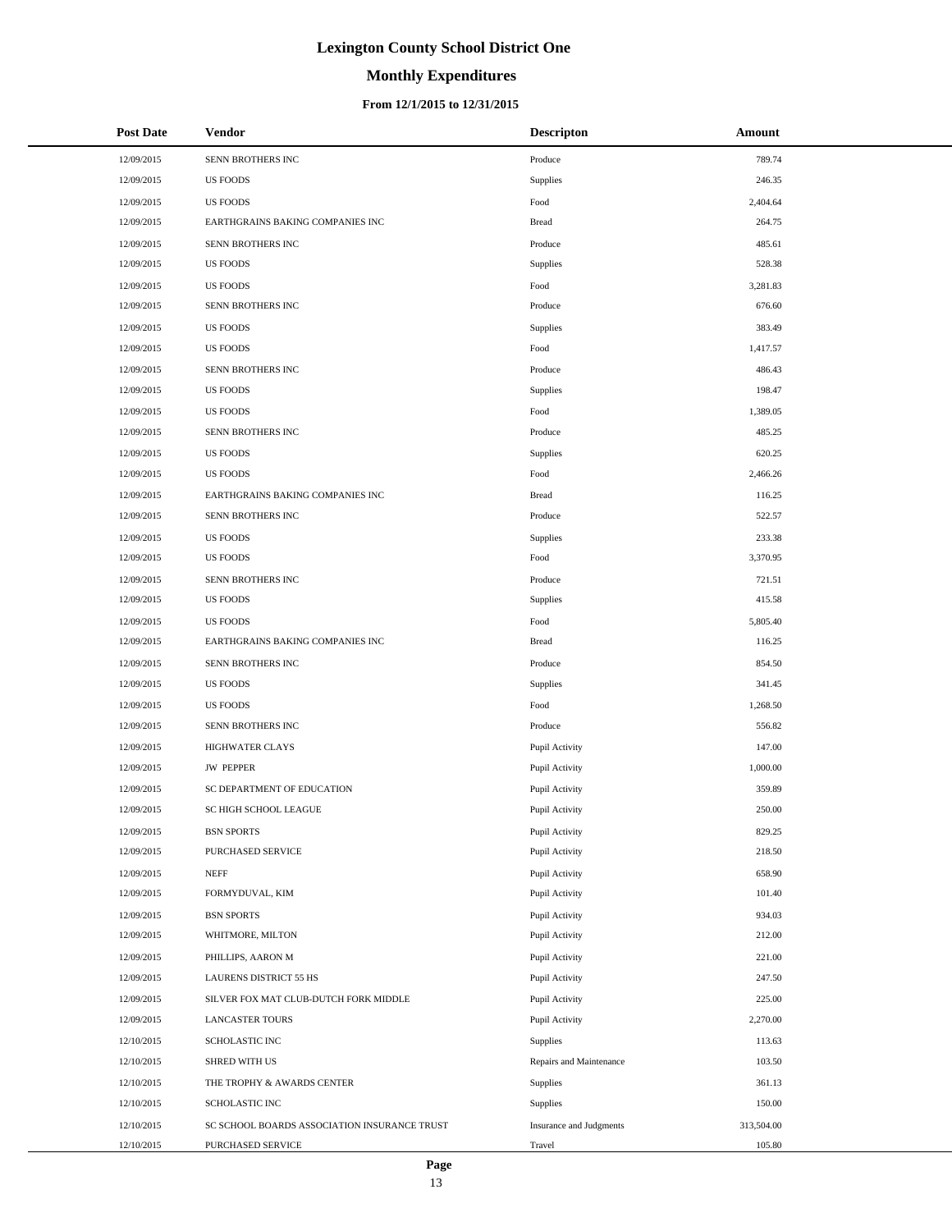# **Monthly Expenditures**

### **From 12/1/2015 to 12/31/2015**

| <b>Post Date</b> | <b>Vendor</b>                                | <b>Descripton</b>       | Amount     |
|------------------|----------------------------------------------|-------------------------|------------|
| 12/09/2015       | SENN BROTHERS INC                            | Produce                 | 789.74     |
| 12/09/2015       | US FOODS                                     | Supplies                | 246.35     |
| 12/09/2015       | <b>US FOODS</b>                              | Food                    | 2,404.64   |
| 12/09/2015       | EARTHGRAINS BAKING COMPANIES INC             | <b>Bread</b>            | 264.75     |
| 12/09/2015       | SENN BROTHERS INC                            | Produce                 | 485.61     |
| 12/09/2015       | <b>US FOODS</b>                              | Supplies                | 528.38     |
| 12/09/2015       | <b>US FOODS</b>                              | Food                    | 3,281.83   |
| 12/09/2015       | SENN BROTHERS INC                            | Produce                 | 676.60     |
| 12/09/2015       | <b>US FOODS</b>                              | Supplies                | 383.49     |
| 12/09/2015       | <b>US FOODS</b>                              | Food                    | 1,417.57   |
| 12/09/2015       | SENN BROTHERS INC                            | Produce                 | 486.43     |
| 12/09/2015       | <b>US FOODS</b>                              | Supplies                | 198.47     |
| 12/09/2015       | <b>US FOODS</b>                              | Food                    | 1,389.05   |
| 12/09/2015       | SENN BROTHERS INC                            | Produce                 | 485.25     |
| 12/09/2015       | <b>US FOODS</b>                              | Supplies                | 620.25     |
| 12/09/2015       | <b>US FOODS</b>                              | Food                    | 2,466.26   |
| 12/09/2015       | EARTHGRAINS BAKING COMPANIES INC             | <b>Bread</b>            | 116.25     |
| 12/09/2015       | SENN BROTHERS INC                            | Produce                 | 522.57     |
| 12/09/2015       | <b>US FOODS</b>                              | Supplies                | 233.38     |
| 12/09/2015       | <b>US FOODS</b>                              | Food                    | 3,370.95   |
| 12/09/2015       | SENN BROTHERS INC                            | Produce                 | 721.51     |
| 12/09/2015       | <b>US FOODS</b>                              | Supplies                | 415.58     |
| 12/09/2015       | <b>US FOODS</b>                              | Food                    | 5,805.40   |
| 12/09/2015       | EARTHGRAINS BAKING COMPANIES INC             | <b>Bread</b>            | 116.25     |
| 12/09/2015       | SENN BROTHERS INC                            | Produce                 | 854.50     |
| 12/09/2015       | US FOODS                                     | Supplies                | 341.45     |
| 12/09/2015       | <b>US FOODS</b>                              | Food                    | 1,268.50   |
| 12/09/2015       | SENN BROTHERS INC                            | Produce                 | 556.82     |
| 12/09/2015       | <b>HIGHWATER CLAYS</b>                       | Pupil Activity          | 147.00     |
| 12/09/2015       | <b>JW PEPPER</b>                             | Pupil Activity          | 1,000.00   |
| 12/09/2015       | SC DEPARTMENT OF EDUCATION                   | Pupil Activity          | 359.89     |
| 12/09/2015       | SC HIGH SCHOOL LEAGUE                        | Pupil Activity          | 250.00     |
| 12/09/2015       | <b>BSN SPORTS</b>                            | Pupil Activity          | 829.25     |
| 12/09/2015       | PURCHASED SERVICE                            | Pupil Activity          | 218.50     |
| 12/09/2015       | <b>NEFF</b>                                  | Pupil Activity          | 658.90     |
| 12/09/2015       | FORMYDUVAL, KIM                              | Pupil Activity          | 101.40     |
| 12/09/2015       | <b>BSN SPORTS</b>                            | Pupil Activity          | 934.03     |
| 12/09/2015       | WHITMORE, MILTON                             | Pupil Activity          | 212.00     |
| 12/09/2015       | PHILLIPS, AARON M                            | Pupil Activity          | 221.00     |
| 12/09/2015       | LAURENS DISTRICT 55 HS                       | Pupil Activity          | 247.50     |
| 12/09/2015       | SILVER FOX MAT CLUB-DUTCH FORK MIDDLE        | Pupil Activity          | 225.00     |
| 12/09/2015       | <b>LANCASTER TOURS</b>                       | Pupil Activity          | 2,270.00   |
| 12/10/2015       | SCHOLASTIC INC                               | Supplies                | 113.63     |
| 12/10/2015       | SHRED WITH US                                | Repairs and Maintenance | 103.50     |
| 12/10/2015       | THE TROPHY & AWARDS CENTER                   | Supplies                | 361.13     |
| 12/10/2015       | SCHOLASTIC INC                               | Supplies                | 150.00     |
| 12/10/2015       | SC SCHOOL BOARDS ASSOCIATION INSURANCE TRUST | Insurance and Judgments | 313,504.00 |
| 12/10/2015       | PURCHASED SERVICE                            | Travel                  | 105.80     |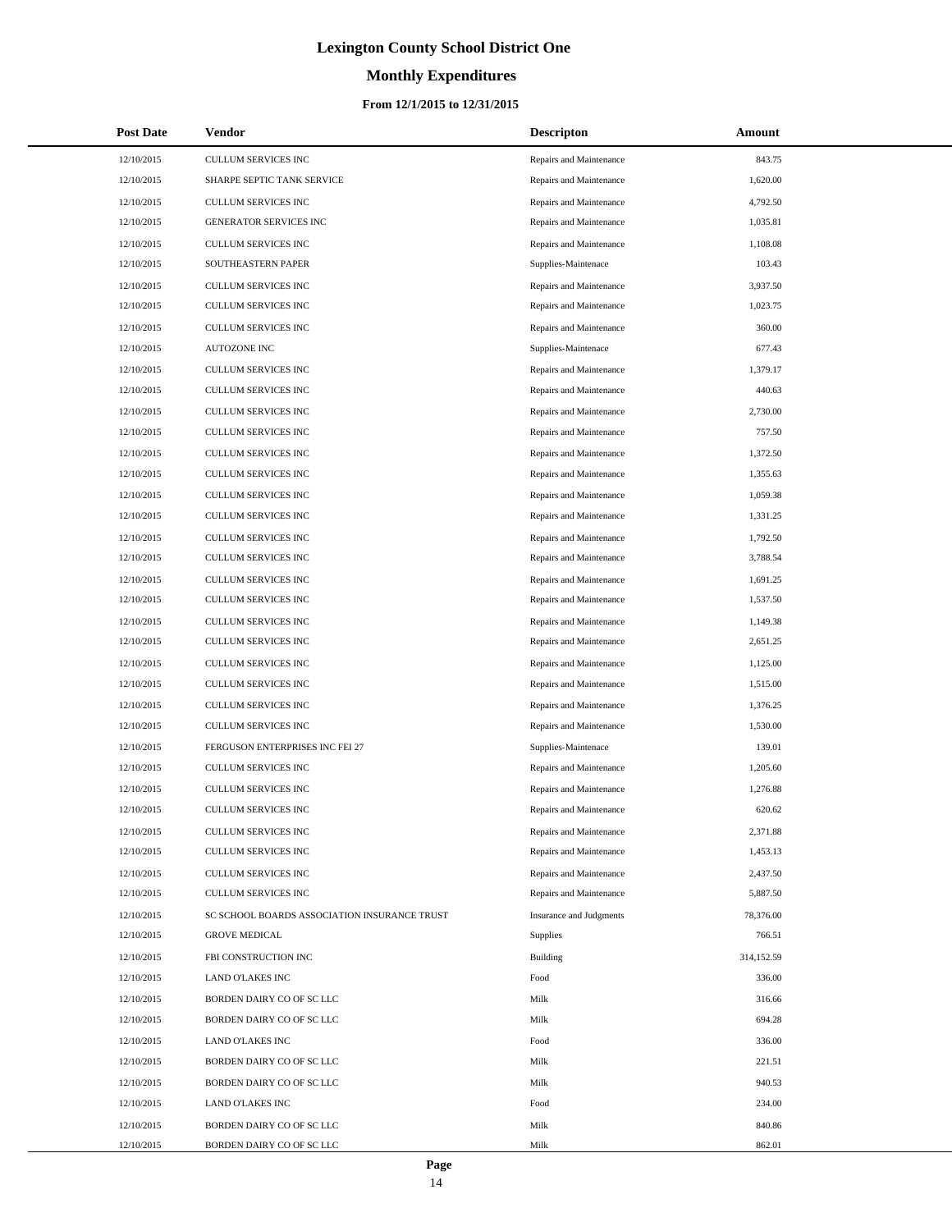# **Monthly Expenditures**

## **From 12/1/2015 to 12/31/2015**

| <b>Post Date</b> | <b>Vendor</b>                                | <b>Descripton</b>       | Amount     |
|------------------|----------------------------------------------|-------------------------|------------|
| 12/10/2015       | <b>CULLUM SERVICES INC</b>                   | Repairs and Maintenance | 843.75     |
| 12/10/2015       | SHARPE SEPTIC TANK SERVICE                   | Repairs and Maintenance | 1,620.00   |
| 12/10/2015       | <b>CULLUM SERVICES INC</b>                   | Repairs and Maintenance | 4,792.50   |
| 12/10/2015       | GENERATOR SERVICES INC                       | Repairs and Maintenance | 1,035.81   |
| 12/10/2015       | <b>CULLUM SERVICES INC</b>                   | Repairs and Maintenance | 1,108.08   |
| 12/10/2015       | SOUTHEASTERN PAPER                           | Supplies-Maintenace     | 103.43     |
| 12/10/2015       | <b>CULLUM SERVICES INC</b>                   | Repairs and Maintenance | 3,937.50   |
| 12/10/2015       | <b>CULLUM SERVICES INC</b>                   | Repairs and Maintenance | 1,023.75   |
| 12/10/2015       | <b>CULLUM SERVICES INC</b>                   | Repairs and Maintenance | 360.00     |
| 12/10/2015       | <b>AUTOZONE INC</b>                          | Supplies-Maintenace     | 677.43     |
| 12/10/2015       | <b>CULLUM SERVICES INC</b>                   | Repairs and Maintenance | 1,379.17   |
| 12/10/2015       | <b>CULLUM SERVICES INC</b>                   | Repairs and Maintenance | 440.63     |
| 12/10/2015       | <b>CULLUM SERVICES INC</b>                   | Repairs and Maintenance | 2,730.00   |
| 12/10/2015       | <b>CULLUM SERVICES INC</b>                   | Repairs and Maintenance | 757.50     |
| 12/10/2015       | <b>CULLUM SERVICES INC</b>                   | Repairs and Maintenance | 1,372.50   |
| 12/10/2015       | <b>CULLUM SERVICES INC</b>                   | Repairs and Maintenance | 1,355.63   |
| 12/10/2015       | CULLUM SERVICES INC                          | Repairs and Maintenance | 1,059.38   |
| 12/10/2015       | <b>CULLUM SERVICES INC</b>                   | Repairs and Maintenance | 1,331.25   |
| 12/10/2015       | CULLUM SERVICES INC                          | Repairs and Maintenance | 1,792.50   |
| 12/10/2015       | <b>CULLUM SERVICES INC</b>                   | Repairs and Maintenance | 3,788.54   |
| 12/10/2015       | CULLUM SERVICES INC                          | Repairs and Maintenance | 1,691.25   |
| 12/10/2015       | <b>CULLUM SERVICES INC</b>                   | Repairs and Maintenance | 1,537.50   |
| 12/10/2015       | CULLUM SERVICES INC                          | Repairs and Maintenance | 1,149.38   |
| 12/10/2015       | <b>CULLUM SERVICES INC</b>                   | Repairs and Maintenance | 2,651.25   |
| 12/10/2015       | CULLUM SERVICES INC                          | Repairs and Maintenance | 1,125.00   |
| 12/10/2015       | <b>CULLUM SERVICES INC</b>                   | Repairs and Maintenance | 1,515.00   |
| 12/10/2015       | CULLUM SERVICES INC                          | Repairs and Maintenance | 1,376.25   |
| 12/10/2015       | <b>CULLUM SERVICES INC</b>                   | Repairs and Maintenance | 1,530.00   |
| 12/10/2015       | FERGUSON ENTERPRISES INC FEI 27              | Supplies-Maintenace     | 139.01     |
| 12/10/2015       | <b>CULLUM SERVICES INC</b>                   | Repairs and Maintenance | 1,205.60   |
| 12/10/2015       | <b>CULLUM SERVICES INC</b>                   | Repairs and Maintenance | 1,276.88   |
| 12/10/2015       | <b>CULLUM SERVICES INC</b>                   | Repairs and Maintenance | 620.62     |
| 12/10/2015       | CULLUM SERVICES INC                          | Repairs and Maintenance | 2,371.88   |
| 12/10/2015       | <b>CULLUM SERVICES INC</b>                   | Repairs and Maintenance | 1,453.13   |
| 12/10/2015       | CULLUM SERVICES INC                          | Repairs and Maintenance | 2,437.50   |
| 12/10/2015       | <b>CULLUM SERVICES INC</b>                   | Repairs and Maintenance | 5,887.50   |
| 12/10/2015       | SC SCHOOL BOARDS ASSOCIATION INSURANCE TRUST | Insurance and Judgments | 78,376.00  |
| 12/10/2015       | <b>GROVE MEDICAL</b>                         | Supplies                | 766.51     |
| 12/10/2015       | FBI CONSTRUCTION INC                         | Building                | 314,152.59 |
| 12/10/2015       | <b>LAND O'LAKES INC</b>                      | Food                    | 336.00     |
| 12/10/2015       | BORDEN DAIRY CO OF SC LLC                    | Milk                    | 316.66     |
| 12/10/2015       | BORDEN DAIRY CO OF SC LLC                    | Milk                    | 694.28     |
| 12/10/2015       | LAND O'LAKES INC                             | Food                    | 336.00     |
| 12/10/2015       | BORDEN DAIRY CO OF SC LLC                    | Milk                    | 221.51     |
| 12/10/2015       | BORDEN DAIRY CO OF SC LLC                    | Milk                    | 940.53     |
| 12/10/2015       | LAND O'LAKES INC                             | Food                    | 234.00     |
| 12/10/2015       | BORDEN DAIRY CO OF SC LLC                    | Milk                    | 840.86     |
| 12/10/2015       | BORDEN DAIRY CO OF SC LLC                    | Milk                    | 862.01     |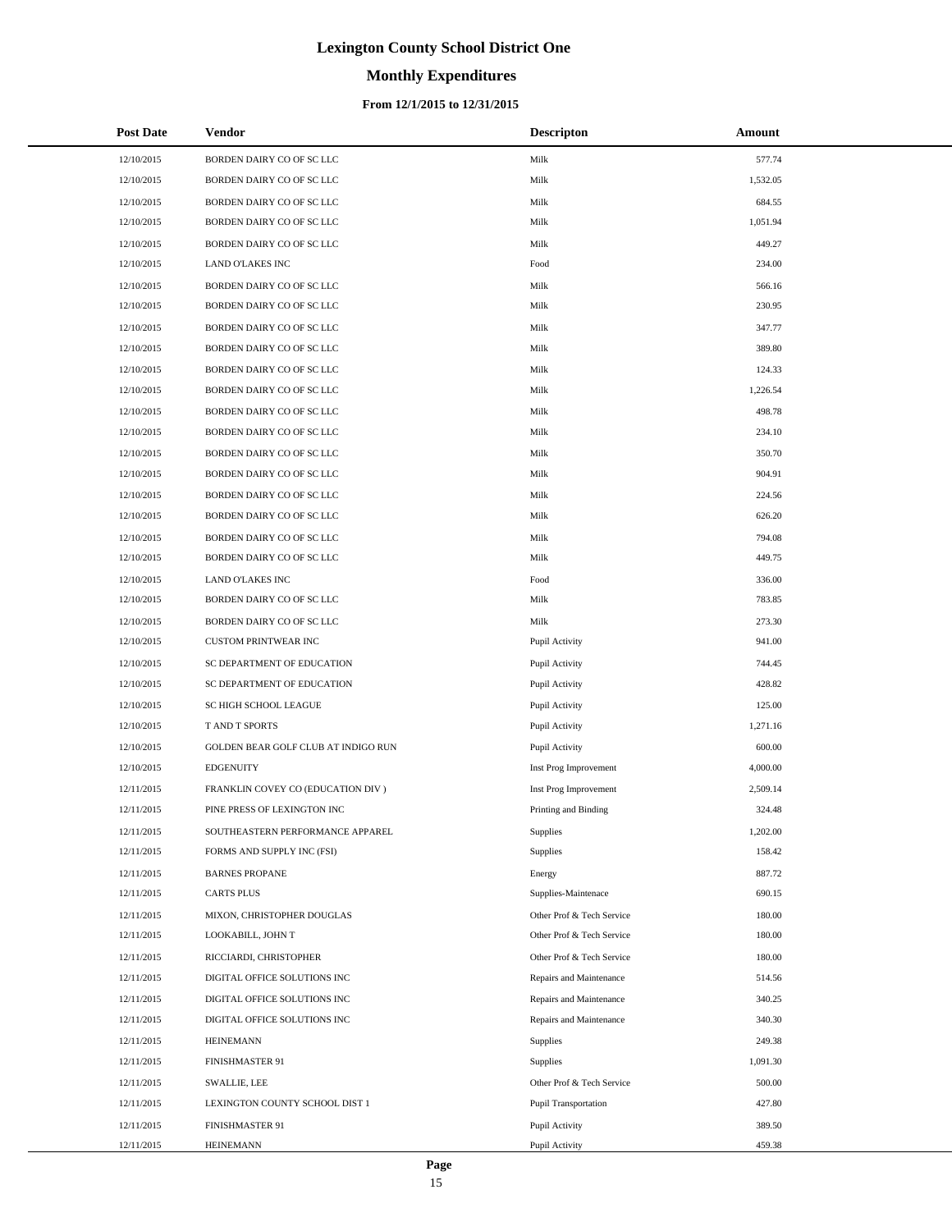# **Monthly Expenditures**

## **From 12/1/2015 to 12/31/2015**

| <b>Post Date</b> | Vendor                              | <b>Descripton</b>         | Amount   |
|------------------|-------------------------------------|---------------------------|----------|
| 12/10/2015       | BORDEN DAIRY CO OF SC LLC           | Milk                      | 577.74   |
| 12/10/2015       | BORDEN DAIRY CO OF SC LLC           | Milk                      | 1,532.05 |
| 12/10/2015       | BORDEN DAIRY CO OF SC LLC           | Milk                      | 684.55   |
| 12/10/2015       | BORDEN DAIRY CO OF SC LLC           | Milk                      | 1,051.94 |
| 12/10/2015       | BORDEN DAIRY CO OF SC LLC           | Milk                      | 449.27   |
| 12/10/2015       | LAND O'LAKES INC                    | Food                      | 234.00   |
| 12/10/2015       | BORDEN DAIRY CO OF SC LLC           | Milk                      | 566.16   |
| 12/10/2015       | BORDEN DAIRY CO OF SC LLC           | Milk                      | 230.95   |
| 12/10/2015       | BORDEN DAIRY CO OF SC LLC           | Milk                      | 347.77   |
| 12/10/2015       | BORDEN DAIRY CO OF SC LLC           | Milk                      | 389.80   |
| 12/10/2015       | BORDEN DAIRY CO OF SC LLC           | Milk                      | 124.33   |
| 12/10/2015       | BORDEN DAIRY CO OF SC LLC           | Milk                      | 1,226.54 |
| 12/10/2015       | BORDEN DAIRY CO OF SC LLC           | Milk                      | 498.78   |
| 12/10/2015       | BORDEN DAIRY CO OF SC LLC           | Milk                      | 234.10   |
| 12/10/2015       | BORDEN DAIRY CO OF SC LLC           | Milk                      | 350.70   |
| 12/10/2015       | BORDEN DAIRY CO OF SC LLC           | Milk                      | 904.91   |
| 12/10/2015       | BORDEN DAIRY CO OF SC LLC           | Milk                      | 224.56   |
| 12/10/2015       | BORDEN DAIRY CO OF SC LLC           | Milk                      | 626.20   |
| 12/10/2015       | BORDEN DAIRY CO OF SC LLC           | Milk                      | 794.08   |
| 12/10/2015       | BORDEN DAIRY CO OF SC LLC           | Milk                      | 449.75   |
| 12/10/2015       | LAND O'LAKES INC                    | Food                      | 336.00   |
| 12/10/2015       | BORDEN DAIRY CO OF SC LLC           | Milk                      | 783.85   |
| 12/10/2015       | BORDEN DAIRY CO OF SC LLC           | Milk                      | 273.30   |
| 12/10/2015       | <b>CUSTOM PRINTWEAR INC</b>         | Pupil Activity            | 941.00   |
| 12/10/2015       | SC DEPARTMENT OF EDUCATION          | Pupil Activity            | 744.45   |
| 12/10/2015       | SC DEPARTMENT OF EDUCATION          | Pupil Activity            | 428.82   |
| 12/10/2015       | SC HIGH SCHOOL LEAGUE               | Pupil Activity            | 125.00   |
| 12/10/2015       | <b>T AND T SPORTS</b>               | Pupil Activity            | 1,271.16 |
| 12/10/2015       | GOLDEN BEAR GOLF CLUB AT INDIGO RUN | Pupil Activity            | 600.00   |
| 12/10/2015       | <b>EDGENUITY</b>                    | Inst Prog Improvement     | 4,000.00 |
| 12/11/2015       | FRANKLIN COVEY CO (EDUCATION DIV)   | Inst Prog Improvement     | 2,509.14 |
| 12/11/2015       | PINE PRESS OF LEXINGTON INC         | Printing and Binding      | 324.48   |
| 12/11/2015       | SOUTHEASTERN PERFORMANCE APPAREL    | Supplies                  | 1,202.00 |
| 12/11/2015       | FORMS AND SUPPLY INC (FSI)          | Supplies                  | 158.42   |
| 12/11/2015       | <b>BARNES PROPANE</b>               | Energy                    | 887.72   |
| 12/11/2015       | <b>CARTS PLUS</b>                   | Supplies-Maintenace       | 690.15   |
| 12/11/2015       | MIXON, CHRISTOPHER DOUGLAS          | Other Prof & Tech Service | 180.00   |
| 12/11/2015       | LOOKABILL, JOHN T                   | Other Prof & Tech Service | 180.00   |
| 12/11/2015       | RICCIARDI, CHRISTOPHER              | Other Prof & Tech Service | 180.00   |
| 12/11/2015       | DIGITAL OFFICE SOLUTIONS INC        | Repairs and Maintenance   | 514.56   |
| 12/11/2015       | DIGITAL OFFICE SOLUTIONS INC        | Repairs and Maintenance   | 340.25   |
| 12/11/2015       | DIGITAL OFFICE SOLUTIONS INC        | Repairs and Maintenance   | 340.30   |
| 12/11/2015       | <b>HEINEMANN</b>                    | Supplies                  | 249.38   |
| 12/11/2015       | FINISHMASTER 91                     | Supplies                  | 1,091.30 |
| 12/11/2015       | <b>SWALLIE, LEE</b>                 | Other Prof & Tech Service | 500.00   |
| 12/11/2015       | LEXINGTON COUNTY SCHOOL DIST 1      | Pupil Transportation      | 427.80   |
| 12/11/2015       | FINISHMASTER 91                     | Pupil Activity            | 389.50   |
| 12/11/2015       | HEINEMANN                           | Pupil Activity            | 459.38   |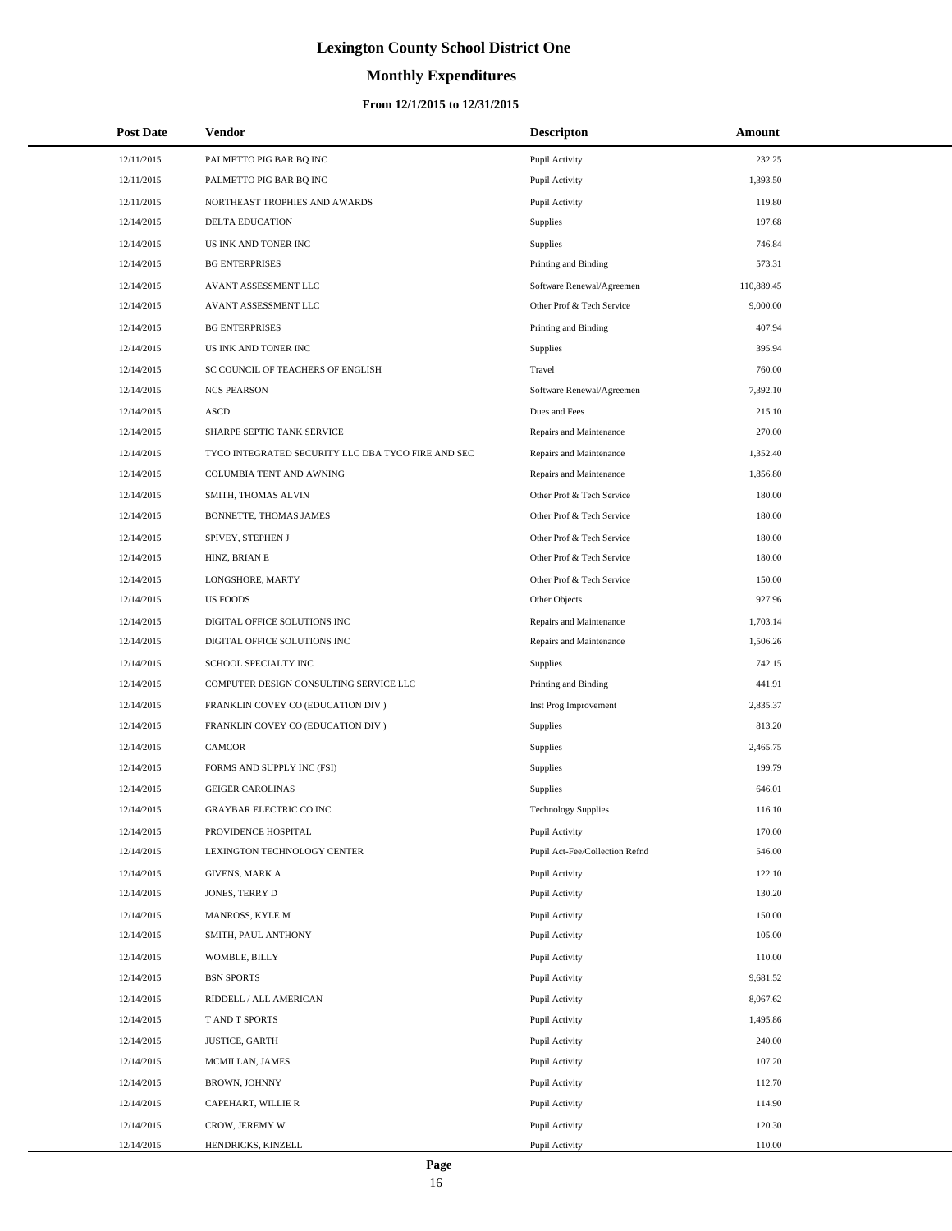# **Monthly Expenditures**

## **From 12/1/2015 to 12/31/2015**

| <b>Post Date</b> | Vendor                                             | <b>Descripton</b>              | <b>Amount</b> |  |
|------------------|----------------------------------------------------|--------------------------------|---------------|--|
| 12/11/2015       | PALMETTO PIG BAR BQ INC                            | Pupil Activity                 | 232.25        |  |
| 12/11/2015       | PALMETTO PIG BAR BQ INC                            | Pupil Activity                 | 1,393.50      |  |
| 12/11/2015       | NORTHEAST TROPHIES AND AWARDS                      | Pupil Activity                 | 119.80        |  |
| 12/14/2015       | DELTA EDUCATION                                    | <b>Supplies</b>                | 197.68        |  |
| 12/14/2015       | US INK AND TONER INC                               | Supplies                       | 746.84        |  |
| 12/14/2015       | <b>BG ENTERPRISES</b>                              | Printing and Binding           | 573.31        |  |
| 12/14/2015       | AVANT ASSESSMENT LLC                               | Software Renewal/Agreemen      | 110,889.45    |  |
| 12/14/2015       | AVANT ASSESSMENT LLC                               | Other Prof & Tech Service      | 9,000.00      |  |
| 12/14/2015       | <b>BG ENTERPRISES</b>                              | Printing and Binding           | 407.94        |  |
| 12/14/2015       | US INK AND TONER INC                               | Supplies                       | 395.94        |  |
| 12/14/2015       | SC COUNCIL OF TEACHERS OF ENGLISH                  | Travel                         | 760.00        |  |
| 12/14/2015       | <b>NCS PEARSON</b>                                 | Software Renewal/Agreemen      | 7,392.10      |  |
| 12/14/2015       | <b>ASCD</b>                                        | Dues and Fees                  | 215.10        |  |
| 12/14/2015       | SHARPE SEPTIC TANK SERVICE                         | Repairs and Maintenance        | 270.00        |  |
| 12/14/2015       | TYCO INTEGRATED SECURITY LLC DBA TYCO FIRE AND SEC | Repairs and Maintenance        | 1,352.40      |  |
| 12/14/2015       | COLUMBIA TENT AND AWNING                           | Repairs and Maintenance        | 1,856.80      |  |
| 12/14/2015       | SMITH, THOMAS ALVIN                                | Other Prof & Tech Service      | 180.00        |  |
| 12/14/2015       | BONNETTE, THOMAS JAMES                             | Other Prof & Tech Service      | 180.00        |  |
| 12/14/2015       | SPIVEY, STEPHEN J                                  | Other Prof & Tech Service      | 180.00        |  |
| 12/14/2015       | HINZ, BRIAN E                                      | Other Prof & Tech Service      | 180.00        |  |
| 12/14/2015       | LONGSHORE, MARTY                                   | Other Prof & Tech Service      | 150.00        |  |
| 12/14/2015       | <b>US FOODS</b>                                    | Other Objects                  | 927.96        |  |
| 12/14/2015       | DIGITAL OFFICE SOLUTIONS INC                       | Repairs and Maintenance        | 1,703.14      |  |
| 12/14/2015       | DIGITAL OFFICE SOLUTIONS INC                       | Repairs and Maintenance        | 1,506.26      |  |
| 12/14/2015       | SCHOOL SPECIALTY INC                               | Supplies                       | 742.15        |  |
| 12/14/2015       | COMPUTER DESIGN CONSULTING SERVICE LLC             | Printing and Binding           | 441.91        |  |
| 12/14/2015       | FRANKLIN COVEY CO (EDUCATION DIV )                 | Inst Prog Improvement          | 2,835.37      |  |
| 12/14/2015       | FRANKLIN COVEY CO (EDUCATION DIV )                 | <b>Supplies</b>                | 813.20        |  |
| 12/14/2015       | <b>CAMCOR</b>                                      | Supplies                       | 2,465.75      |  |
| 12/14/2015       | FORMS AND SUPPLY INC (FSI)                         | Supplies                       | 199.79        |  |
| 12/14/2015       | <b>GEIGER CAROLINAS</b>                            | Supplies                       | 646.01        |  |
| 12/14/2015       | <b>GRAYBAR ELECTRIC CO INC</b>                     | <b>Technology Supplies</b>     | 116.10        |  |
| 12/14/2015       | PROVIDENCE HOSPITAL                                | Pupil Activity                 | 170.00        |  |
| 12/14/2015       | LEXINGTON TECHNOLOGY CENTER                        | Pupil Act-Fee/Collection Refnd | 546.00        |  |
| 12/14/2015       | <b>GIVENS, MARK A</b>                              | Pupil Activity                 | 122.10        |  |
| 12/14/2015       | JONES, TERRY D                                     | Pupil Activity                 | 130.20        |  |
| 12/14/2015       | MANROSS, KYLE M                                    | Pupil Activity                 | 150.00        |  |
| 12/14/2015       | SMITH, PAUL ANTHONY                                | Pupil Activity                 | 105.00        |  |
| 12/14/2015       | WOMBLE, BILLY                                      | Pupil Activity                 | 110.00        |  |
| 12/14/2015       | <b>BSN SPORTS</b>                                  | Pupil Activity                 | 9,681.52      |  |
| 12/14/2015       | RIDDELL / ALL AMERICAN                             | Pupil Activity                 | 8,067.62      |  |
| 12/14/2015       | T AND T SPORTS                                     | Pupil Activity                 | 1,495.86      |  |
| 12/14/2015       | <b>JUSTICE, GARTH</b>                              | Pupil Activity                 | 240.00        |  |
| 12/14/2015       | MCMILLAN, JAMES                                    | Pupil Activity                 | 107.20        |  |
| 12/14/2015       | BROWN, JOHNNY                                      | Pupil Activity                 | 112.70        |  |
| 12/14/2015       | CAPEHART, WILLIE R                                 | Pupil Activity                 | 114.90        |  |
| 12/14/2015       | CROW, JEREMY W                                     | Pupil Activity                 | 120.30        |  |
| 12/14/2015       | HENDRICKS, KINZELL                                 | Pupil Activity                 | 110.00        |  |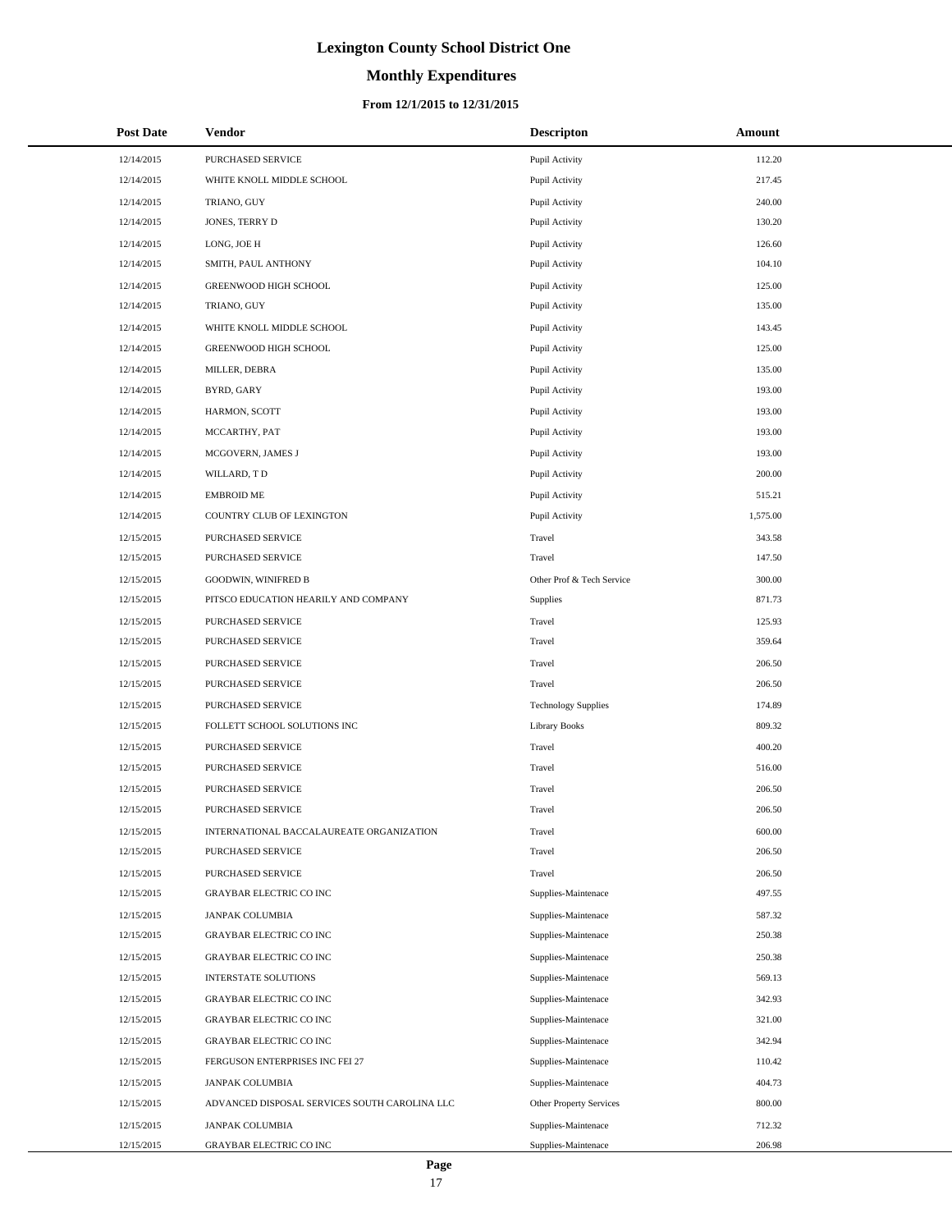# **Monthly Expenditures**

### **From 12/1/2015 to 12/31/2015**

| <b>Post Date</b> | Vendor                                        | <b>Descripton</b>          | Amount   |
|------------------|-----------------------------------------------|----------------------------|----------|
| 12/14/2015       | PURCHASED SERVICE                             | Pupil Activity             | 112.20   |
| 12/14/2015       | WHITE KNOLL MIDDLE SCHOOL                     | Pupil Activity             | 217.45   |
| 12/14/2015       | TRIANO, GUY                                   | Pupil Activity             | 240.00   |
| 12/14/2015       | JONES, TERRY D                                | Pupil Activity             | 130.20   |
| 12/14/2015       | LONG, JOE H                                   | Pupil Activity             | 126.60   |
| 12/14/2015       | SMITH, PAUL ANTHONY                           | Pupil Activity             | 104.10   |
| 12/14/2015       | GREENWOOD HIGH SCHOOL                         | Pupil Activity             | 125.00   |
| 12/14/2015       | TRIANO, GUY                                   | Pupil Activity             | 135.00   |
| 12/14/2015       | WHITE KNOLL MIDDLE SCHOOL                     | Pupil Activity             | 143.45   |
| 12/14/2015       | GREENWOOD HIGH SCHOOL                         | Pupil Activity             | 125.00   |
| 12/14/2015       | MILLER, DEBRA                                 | Pupil Activity             | 135.00   |
| 12/14/2015       | BYRD, GARY                                    | Pupil Activity             | 193.00   |
| 12/14/2015       | HARMON, SCOTT                                 | Pupil Activity             | 193.00   |
| 12/14/2015       | MCCARTHY, PAT                                 | Pupil Activity             | 193.00   |
| 12/14/2015       | MCGOVERN, JAMES J                             | Pupil Activity             | 193.00   |
| 12/14/2015       | WILLARD, TD                                   | Pupil Activity             | 200.00   |
| 12/14/2015       | <b>EMBROID ME</b>                             | Pupil Activity             | 515.21   |
| 12/14/2015       | COUNTRY CLUB OF LEXINGTON                     | Pupil Activity             | 1,575.00 |
| 12/15/2015       | PURCHASED SERVICE                             | Travel                     | 343.58   |
| 12/15/2015       | PURCHASED SERVICE                             | Travel                     | 147.50   |
| 12/15/2015       | <b>GOODWIN, WINIFRED B</b>                    | Other Prof & Tech Service  | 300.00   |
| 12/15/2015       | PITSCO EDUCATION HEARILY AND COMPANY          | Supplies                   | 871.73   |
| 12/15/2015       | PURCHASED SERVICE                             | Travel                     | 125.93   |
| 12/15/2015       | PURCHASED SERVICE                             | Travel                     | 359.64   |
| 12/15/2015       | PURCHASED SERVICE                             | Travel                     | 206.50   |
| 12/15/2015       | PURCHASED SERVICE                             | Travel                     | 206.50   |
| 12/15/2015       | PURCHASED SERVICE                             | <b>Technology Supplies</b> | 174.89   |
| 12/15/2015       | FOLLETT SCHOOL SOLUTIONS INC                  | <b>Library Books</b>       | 809.32   |
| 12/15/2015       | PURCHASED SERVICE                             | Travel                     | 400.20   |
| 12/15/2015       | PURCHASED SERVICE                             | Travel                     | 516.00   |
| 12/15/2015       | PURCHASED SERVICE                             | Travel                     | 206.50   |
| 12/15/2015       | <b>PURCHASED SERVICE</b>                      | Travel                     | 206.50   |
| 12/15/2015       | INTERNATIONAL BACCALAUREATE ORGANIZATION      | Travel                     | 600.00   |
| 12/15/2015       | PURCHASED SERVICE                             | Travel                     | 206.50   |
| 12/15/2015       | PURCHASED SERVICE                             | Travel                     | 206.50   |
| 12/15/2015       | GRAYBAR ELECTRIC CO INC                       | Supplies-Maintenace        | 497.55   |
| 12/15/2015       | <b>JANPAK COLUMBIA</b>                        | Supplies-Maintenace        | 587.32   |
| 12/15/2015       | GRAYBAR ELECTRIC CO INC                       | Supplies-Maintenace        | 250.38   |
| 12/15/2015       | <b>GRAYBAR ELECTRIC CO INC</b>                | Supplies-Maintenace        | 250.38   |
| 12/15/2015       | INTERSTATE SOLUTIONS                          | Supplies-Maintenace        | 569.13   |
| 12/15/2015       | <b>GRAYBAR ELECTRIC CO INC</b>                | Supplies-Maintenace        | 342.93   |
| 12/15/2015       | GRAYBAR ELECTRIC CO INC                       | Supplies-Maintenace        | 321.00   |
| 12/15/2015       | GRAYBAR ELECTRIC CO INC                       | Supplies-Maintenace        | 342.94   |
| 12/15/2015       | FERGUSON ENTERPRISES INC FEI 27               | Supplies-Maintenace        | 110.42   |
| 12/15/2015       | <b>JANPAK COLUMBIA</b>                        | Supplies-Maintenace        | 404.73   |
| 12/15/2015       | ADVANCED DISPOSAL SERVICES SOUTH CAROLINA LLC | Other Property Services    | 800.00   |
| 12/15/2015       | <b>JANPAK COLUMBIA</b>                        | Supplies-Maintenace        | 712.32   |
| 12/15/2015       | GRAYBAR ELECTRIC CO INC                       | Supplies-Maintenace        | 206.98   |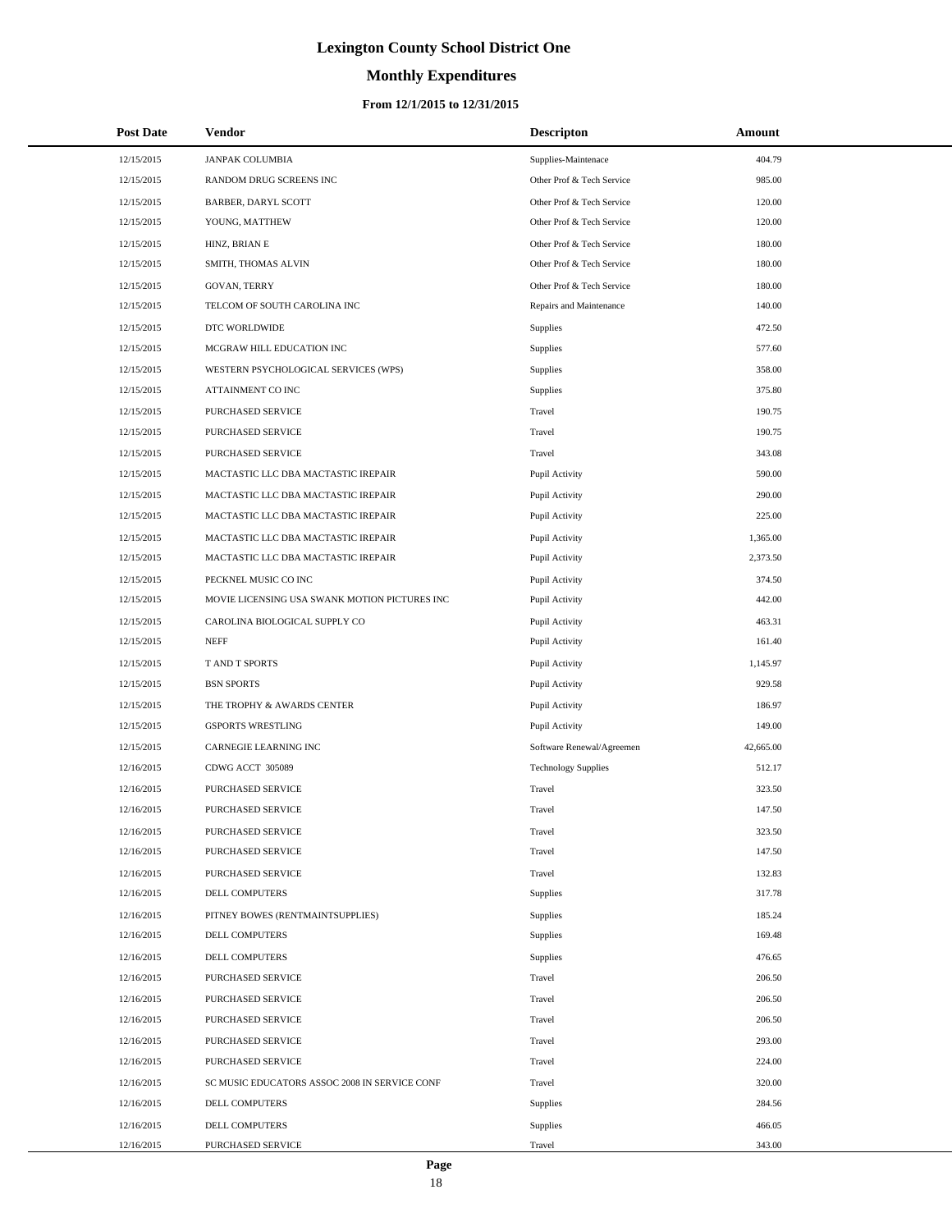# **Monthly Expenditures**

## **From 12/1/2015 to 12/31/2015**

| <b>Post Date</b> | Vendor                                        | <b>Descripton</b>          | Amount    |  |
|------------------|-----------------------------------------------|----------------------------|-----------|--|
| 12/15/2015       | <b>JANPAK COLUMBIA</b>                        | Supplies-Maintenace        | 404.79    |  |
| 12/15/2015       | RANDOM DRUG SCREENS INC                       | Other Prof & Tech Service  | 985.00    |  |
| 12/15/2015       | BARBER, DARYL SCOTT                           | Other Prof & Tech Service  | 120.00    |  |
| 12/15/2015       | YOUNG, MATTHEW                                | Other Prof & Tech Service  | 120.00    |  |
| 12/15/2015       | HINZ, BRIAN E                                 | Other Prof & Tech Service  | 180.00    |  |
| 12/15/2015       | SMITH, THOMAS ALVIN                           | Other Prof & Tech Service  | 180.00    |  |
| 12/15/2015       | GOVAN, TERRY                                  | Other Prof & Tech Service  | 180.00    |  |
| 12/15/2015       | TELCOM OF SOUTH CAROLINA INC                  | Repairs and Maintenance    | 140.00    |  |
| 12/15/2015       | DTC WORLDWIDE                                 | Supplies                   | 472.50    |  |
| 12/15/2015       | MCGRAW HILL EDUCATION INC                     | Supplies                   | 577.60    |  |
| 12/15/2015       | WESTERN PSYCHOLOGICAL SERVICES (WPS)          | Supplies                   | 358.00    |  |
| 12/15/2015       | ATTAINMENT CO INC                             | Supplies                   | 375.80    |  |
| 12/15/2015       | PURCHASED SERVICE                             | Travel                     | 190.75    |  |
| 12/15/2015       | PURCHASED SERVICE                             | Travel                     | 190.75    |  |
| 12/15/2015       | PURCHASED SERVICE                             | Travel                     | 343.08    |  |
| 12/15/2015       | MACTASTIC LLC DBA MACTASTIC IREPAIR           | Pupil Activity             | 590.00    |  |
| 12/15/2015       | MACTASTIC LLC DBA MACTASTIC IREPAIR           | Pupil Activity             | 290.00    |  |
| 12/15/2015       | MACTASTIC LLC DBA MACTASTIC IREPAIR           | Pupil Activity             | 225.00    |  |
| 12/15/2015       | MACTASTIC LLC DBA MACTASTIC IREPAIR           | Pupil Activity             | 1,365.00  |  |
| 12/15/2015       | MACTASTIC LLC DBA MACTASTIC IREPAIR           | Pupil Activity             | 2,373.50  |  |
| 12/15/2015       | PECKNEL MUSIC CO INC                          | Pupil Activity             | 374.50    |  |
| 12/15/2015       | MOVIE LICENSING USA SWANK MOTION PICTURES INC | Pupil Activity             | 442.00    |  |
| 12/15/2015       | CAROLINA BIOLOGICAL SUPPLY CO                 | Pupil Activity             | 463.31    |  |
| 12/15/2015       | <b>NEFF</b>                                   | Pupil Activity             | 161.40    |  |
| 12/15/2015       | T AND T SPORTS                                | Pupil Activity             | 1,145.97  |  |
| 12/15/2015       | <b>BSN SPORTS</b>                             | Pupil Activity             | 929.58    |  |
| 12/15/2015       | THE TROPHY & AWARDS CENTER                    | Pupil Activity             | 186.97    |  |
| 12/15/2015       | <b>GSPORTS WRESTLING</b>                      | Pupil Activity             | 149.00    |  |
| 12/15/2015       | CARNEGIE LEARNING INC                         | Software Renewal/Agreemen  | 42,665.00 |  |
| 12/16/2015       | CDWG ACCT 305089                              | <b>Technology Supplies</b> | 512.17    |  |
| 12/16/2015       | PURCHASED SERVICE                             | Travel                     | 323.50    |  |
| 12/16/2015       | PURCHASED SERVICE                             | Travel                     | 147.50    |  |
| 12/16/2015       | PURCHASED SERVICE                             | Travel                     | 323.50    |  |
| 12/16/2015       | PURCHASED SERVICE                             | Travel                     | 147.50    |  |
| 12/16/2015       | PURCHASED SERVICE                             | Travel                     | 132.83    |  |
| 12/16/2015       | DELL COMPUTERS                                | Supplies                   | 317.78    |  |
| 12/16/2015       | PITNEY BOWES (RENTMAINTSUPPLIES)              | Supplies                   | 185.24    |  |
| 12/16/2015       | DELL COMPUTERS                                | Supplies                   | 169.48    |  |
| 12/16/2015       | <b>DELL COMPUTERS</b>                         | Supplies                   | 476.65    |  |
| 12/16/2015       | PURCHASED SERVICE                             | Travel                     | 206.50    |  |
| 12/16/2015       | PURCHASED SERVICE                             | Travel                     | 206.50    |  |
| 12/16/2015       | PURCHASED SERVICE                             | Travel                     | 206.50    |  |
| 12/16/2015       | PURCHASED SERVICE                             | Travel                     | 293.00    |  |
| 12/16/2015       | PURCHASED SERVICE                             | Travel                     | 224.00    |  |
| 12/16/2015       | SC MUSIC EDUCATORS ASSOC 2008 IN SERVICE CONF | Travel                     | 320.00    |  |
| 12/16/2015       | DELL COMPUTERS                                | Supplies                   | 284.56    |  |
| 12/16/2015       | DELL COMPUTERS                                | Supplies                   | 466.05    |  |
| 12/16/2015       | PURCHASED SERVICE                             | Travel                     | 343.00    |  |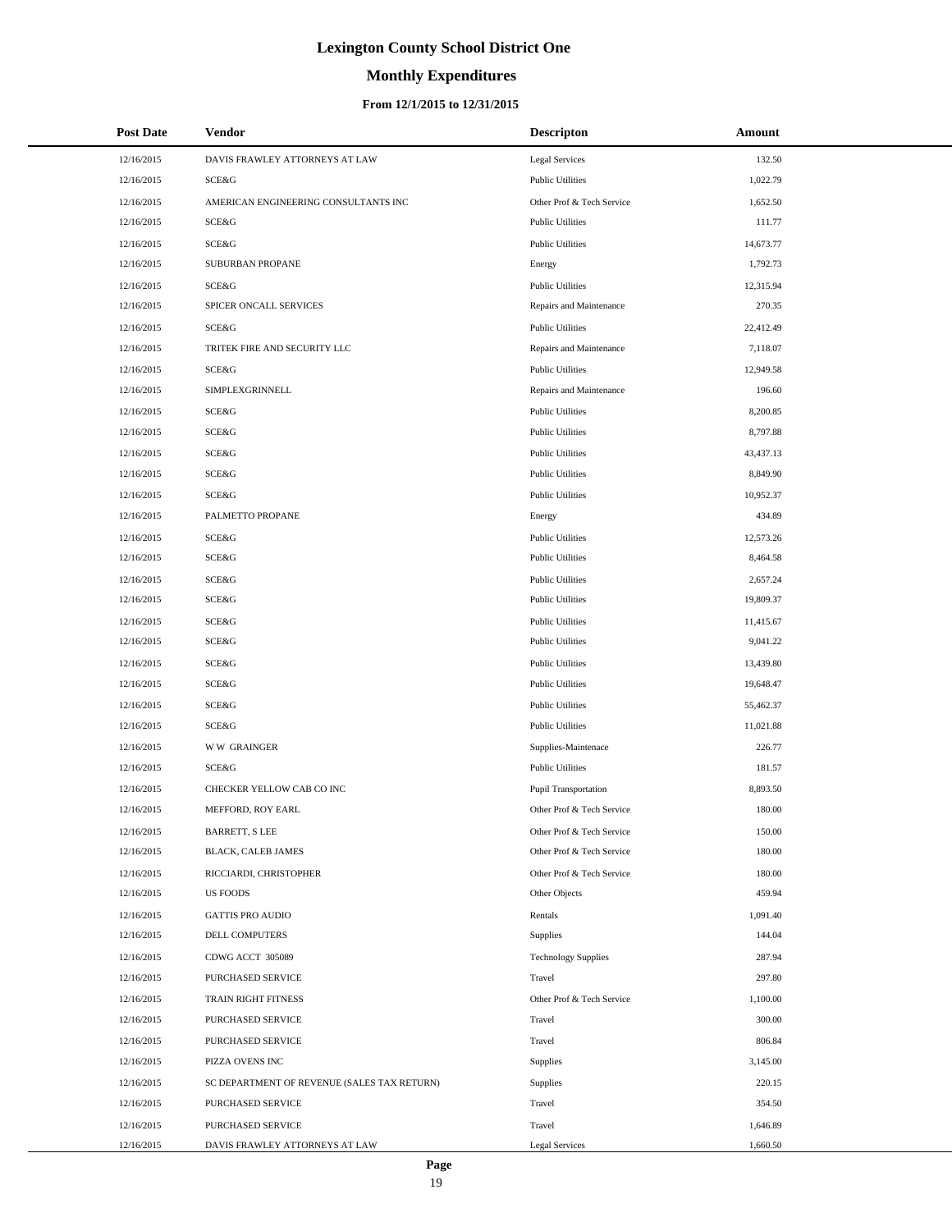# **Monthly Expenditures**

## **From 12/1/2015 to 12/31/2015**

| <b>Post Date</b> | Vendor                                      | <b>Descripton</b>          | Amount    |
|------------------|---------------------------------------------|----------------------------|-----------|
| 12/16/2015       | DAVIS FRAWLEY ATTORNEYS AT LAW              | <b>Legal Services</b>      | 132.50    |
| 12/16/2015       | SCE&G                                       | <b>Public Utilities</b>    | 1,022.79  |
| 12/16/2015       | AMERICAN ENGINEERING CONSULTANTS INC        | Other Prof & Tech Service  | 1,652.50  |
| 12/16/2015       | SCE&G                                       | <b>Public Utilities</b>    | 111.77    |
| 12/16/2015       | <b>SCE&amp;G</b>                            | <b>Public Utilities</b>    | 14,673.77 |
| 12/16/2015       | SUBURBAN PROPANE                            | Energy                     | 1,792.73  |
| 12/16/2015       | SCE&G                                       | <b>Public Utilities</b>    | 12,315.94 |
| 12/16/2015       | SPICER ONCALL SERVICES                      | Repairs and Maintenance    | 270.35    |
| 12/16/2015       | SCE&G                                       | <b>Public Utilities</b>    | 22,412.49 |
| 12/16/2015       | TRITEK FIRE AND SECURITY LLC                | Repairs and Maintenance    | 7,118.07  |
| 12/16/2015       | SCE&G                                       | <b>Public Utilities</b>    | 12,949.58 |
| 12/16/2015       | SIMPLEXGRINNELL                             | Repairs and Maintenance    | 196.60    |
| 12/16/2015       | <b>SCE&amp;G</b>                            | <b>Public Utilities</b>    | 8,200.85  |
| 12/16/2015       | SCE&G                                       | <b>Public Utilities</b>    | 8,797.88  |
| 12/16/2015       | <b>SCE&amp;G</b>                            | <b>Public Utilities</b>    | 43,437.13 |
| 12/16/2015       | <b>SCE&amp;G</b>                            | <b>Public Utilities</b>    | 8,849.90  |
| 12/16/2015       | SCE&G                                       | <b>Public Utilities</b>    | 10,952.37 |
| 12/16/2015       | PALMETTO PROPANE                            | Energy                     | 434.89    |
| 12/16/2015       | <b>SCE&amp;G</b>                            | <b>Public Utilities</b>    | 12,573.26 |
| 12/16/2015       | SCE&G                                       | <b>Public Utilities</b>    | 8,464.58  |
| 12/16/2015       | <b>SCE&amp;G</b>                            | <b>Public Utilities</b>    | 2,657.24  |
| 12/16/2015       | SCE&G                                       | <b>Public Utilities</b>    | 19,809.37 |
| 12/16/2015       | <b>SCE&amp;G</b>                            | <b>Public Utilities</b>    | 11,415.67 |
| 12/16/2015       | <b>SCE&amp;G</b>                            | <b>Public Utilities</b>    | 9,041.22  |
| 12/16/2015       | <b>SCE&amp;G</b>                            | <b>Public Utilities</b>    | 13,439.80 |
| 12/16/2015       | <b>SCE&amp;G</b>                            | <b>Public Utilities</b>    | 19,648.47 |
| 12/16/2015       | <b>SCE&amp;G</b>                            | <b>Public Utilities</b>    | 55,462.37 |
| 12/16/2015       | SCE&G                                       | <b>Public Utilities</b>    | 11,021.88 |
| 12/16/2015       | <b>WW GRAINGER</b>                          | Supplies-Maintenace        | 226.77    |
| 12/16/2015       | SCE&G                                       | <b>Public Utilities</b>    | 181.57    |
| 12/16/2015       | CHECKER YELLOW CAB CO INC                   | Pupil Transportation       | 8,893.50  |
| 12/16/2015       | MEFFORD, ROY EARL                           | Other Prof & Tech Service  | 180.00    |
| 12/16/2015       | <b>BARRETT, S LEE</b>                       | Other Prof & Tech Service  | 150.00    |
| 12/16/2015       | BLACK, CALEB JAMES                          | Other Prof & Tech Service  | 180.00    |
| 12/16/2015       | RICCIARDI, CHRISTOPHER                      | Other Prof & Tech Service  | 180.00    |
| 12/16/2015       | <b>US FOODS</b>                             | Other Objects              | 459.94    |
| 12/16/2015       | <b>GATTIS PRO AUDIO</b>                     | Rentals                    | 1,091.40  |
| 12/16/2015       | DELL COMPUTERS                              | Supplies                   | 144.04    |
| 12/16/2015       | CDWG ACCT 305089                            | <b>Technology Supplies</b> | 287.94    |
| 12/16/2015       | PURCHASED SERVICE                           | Travel                     | 297.80    |
| 12/16/2015       | TRAIN RIGHT FITNESS                         | Other Prof & Tech Service  | 1,100.00  |
| 12/16/2015       | PURCHASED SERVICE                           | Travel                     | 300.00    |
| 12/16/2015       | PURCHASED SERVICE                           | Travel                     | 806.84    |
| 12/16/2015       | PIZZA OVENS INC                             | Supplies                   | 3,145.00  |
| 12/16/2015       | SC DEPARTMENT OF REVENUE (SALES TAX RETURN) | Supplies                   | 220.15    |
| 12/16/2015       | PURCHASED SERVICE                           | Travel                     | 354.50    |
| 12/16/2015       | PURCHASED SERVICE                           | Travel                     | 1,646.89  |
| 12/16/2015       | DAVIS FRAWLEY ATTORNEYS AT LAW              | <b>Legal Services</b>      | 1,660.50  |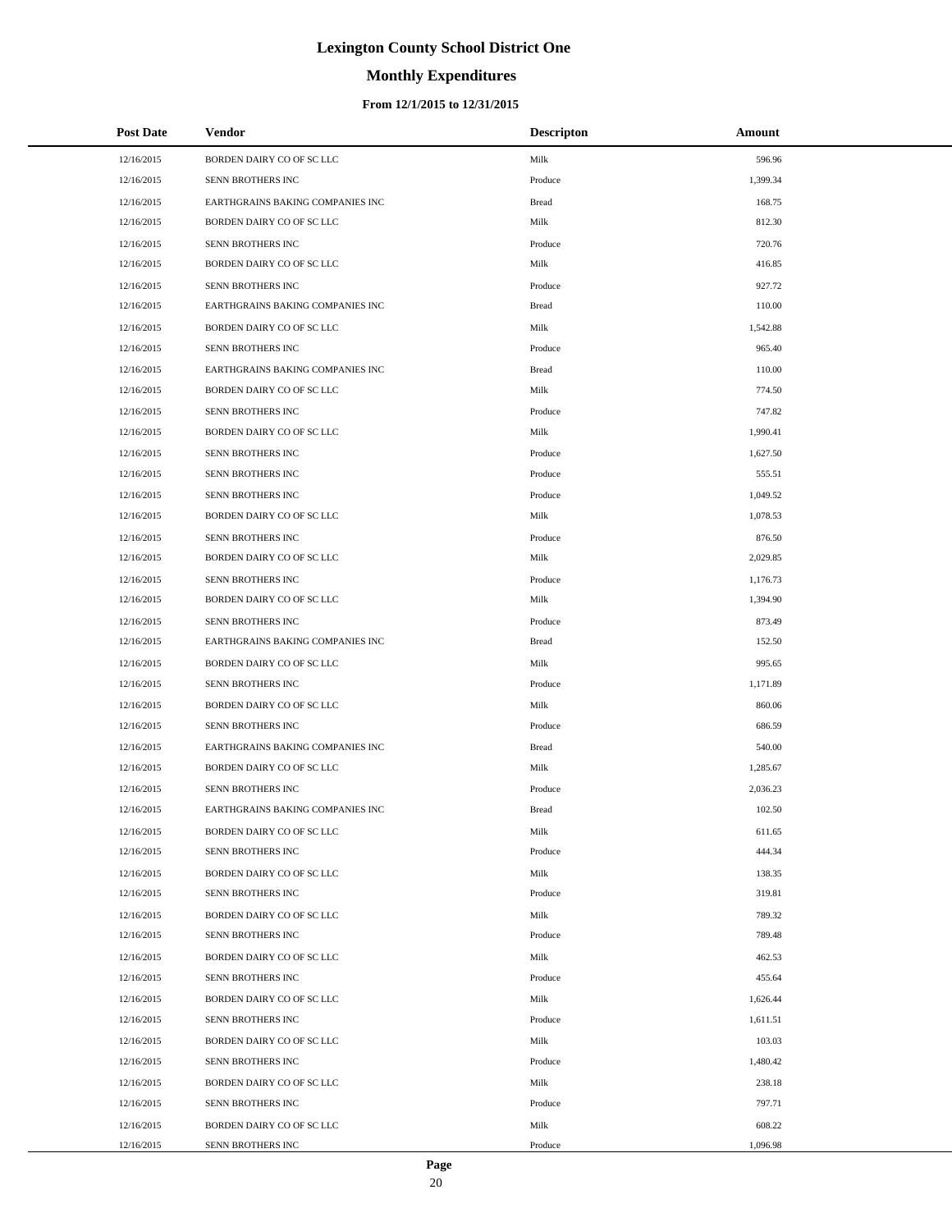# **Monthly Expenditures**

### **From 12/1/2015 to 12/31/2015**

| <b>Post Date</b> | Vendor                           | <b>Descripton</b> | Amount   |
|------------------|----------------------------------|-------------------|----------|
| 12/16/2015       | BORDEN DAIRY CO OF SC LLC        | Milk              | 596.96   |
| 12/16/2015       | SENN BROTHERS INC                | Produce           | 1,399.34 |
| 12/16/2015       | EARTHGRAINS BAKING COMPANIES INC | <b>Bread</b>      | 168.75   |
| 12/16/2015       | BORDEN DAIRY CO OF SC LLC        | Milk              | 812.30   |
| 12/16/2015       | SENN BROTHERS INC                | Produce           | 720.76   |
| 12/16/2015       | BORDEN DAIRY CO OF SC LLC        | Milk              | 416.85   |
| 12/16/2015       | SENN BROTHERS INC                | Produce           | 927.72   |
| 12/16/2015       | EARTHGRAINS BAKING COMPANIES INC | <b>Bread</b>      | 110.00   |
| 12/16/2015       | BORDEN DAIRY CO OF SC LLC        | Milk              | 1,542.88 |
| 12/16/2015       | <b>SENN BROTHERS INC</b>         | Produce           | 965.40   |
| 12/16/2015       | EARTHGRAINS BAKING COMPANIES INC | <b>Bread</b>      | 110.00   |
| 12/16/2015       | BORDEN DAIRY CO OF SC LLC        | Milk              | 774.50   |
| 12/16/2015       | SENN BROTHERS INC                | Produce           | 747.82   |
| 12/16/2015       | BORDEN DAIRY CO OF SC LLC        | Milk              | 1,990.41 |
| 12/16/2015       | SENN BROTHERS INC                | Produce           | 1,627.50 |
| 12/16/2015       | SENN BROTHERS INC                | Produce           | 555.51   |
| 12/16/2015       | SENN BROTHERS INC                | Produce           | 1,049.52 |
| 12/16/2015       | BORDEN DAIRY CO OF SC LLC        | Milk              | 1,078.53 |
| 12/16/2015       | SENN BROTHERS INC                | Produce           | 876.50   |
| 12/16/2015       | BORDEN DAIRY CO OF SC LLC        | Milk              | 2,029.85 |
| 12/16/2015       | SENN BROTHERS INC                | Produce           | 1,176.73 |
| 12/16/2015       | BORDEN DAIRY CO OF SC LLC        | Milk              | 1,394.90 |
| 12/16/2015       | SENN BROTHERS INC                | Produce           | 873.49   |
| 12/16/2015       | EARTHGRAINS BAKING COMPANIES INC | <b>Bread</b>      | 152.50   |
| 12/16/2015       | BORDEN DAIRY CO OF SC LLC        | Milk              | 995.65   |
| 12/16/2015       | SENN BROTHERS INC                | Produce           | 1,171.89 |
| 12/16/2015       | BORDEN DAIRY CO OF SC LLC        | Milk              | 860.06   |
| 12/16/2015       | <b>SENN BROTHERS INC</b>         | Produce           | 686.59   |
| 12/16/2015       | EARTHGRAINS BAKING COMPANIES INC | <b>Bread</b>      | 540.00   |
| 12/16/2015       | BORDEN DAIRY CO OF SC LLC        | Milk              | 1,285.67 |
| 12/16/2015       | SENN BROTHERS INC                | Produce           | 2,036.23 |
| 12/16/2015       | EARTHGRAINS BAKING COMPANIES INC | <b>Bread</b>      | 102.50   |
| 12/16/2015       | BORDEN DAIRY CO OF SC LLC        | Milk              | 611.65   |
| 12/16/2015       | SENN BROTHERS INC                | Produce           | 444.34   |
| 12/16/2015       | BORDEN DAIRY CO OF SC LLC        | Milk              | 138.35   |
| 12/16/2015       | SENN BROTHERS INC                | Produce           | 319.81   |
| 12/16/2015       | BORDEN DAIRY CO OF SC LLC        | Milk              | 789.32   |
| 12/16/2015       | SENN BROTHERS INC                | Produce           | 789.48   |
| 12/16/2015       | BORDEN DAIRY CO OF SC LLC        | Milk              | 462.53   |
| 12/16/2015       | SENN BROTHERS INC                | Produce           | 455.64   |
| 12/16/2015       | BORDEN DAIRY CO OF SC LLC        | Milk              | 1,626.44 |
| 12/16/2015       | SENN BROTHERS INC                | Produce           | 1,611.51 |
| 12/16/2015       | BORDEN DAIRY CO OF SC LLC        | Milk              | 103.03   |
| 12/16/2015       | SENN BROTHERS INC                | Produce           | 1,480.42 |
| 12/16/2015       | BORDEN DAIRY CO OF SC LLC        | Milk              | 238.18   |
| 12/16/2015       | SENN BROTHERS INC                | Produce           | 797.71   |
| 12/16/2015       | BORDEN DAIRY CO OF SC LLC        | Milk              | 608.22   |
| 12/16/2015       | SENN BROTHERS INC                | Produce           | 1,096.98 |

L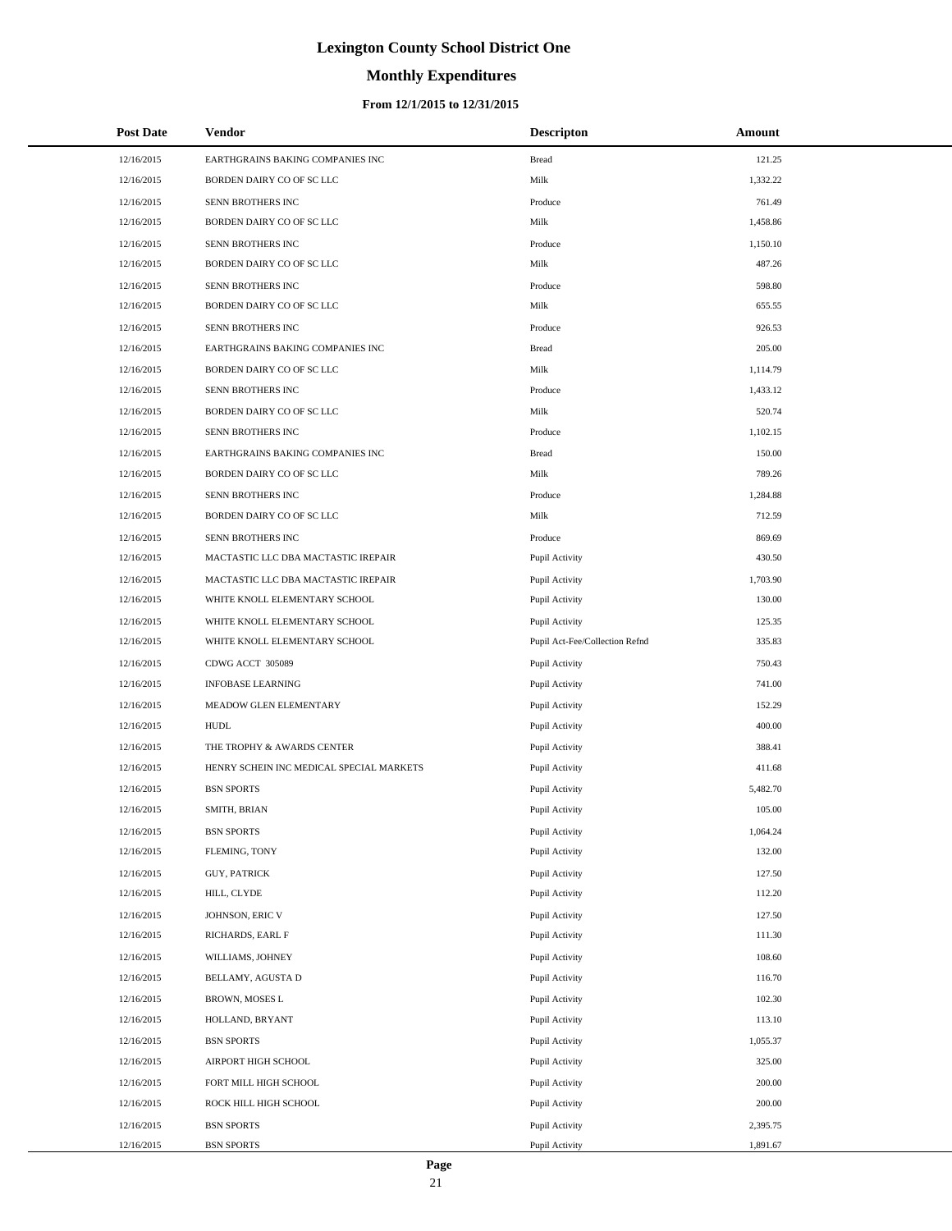# **Monthly Expenditures**

## **From 12/1/2015 to 12/31/2015**

| 12/16/2015<br>121.25<br>EARTHGRAINS BAKING COMPANIES INC<br><b>Bread</b><br>Milk<br>12/16/2015<br>BORDEN DAIRY CO OF SC LLC<br>1,332.22<br>SENN BROTHERS INC<br>12/16/2015<br>Produce<br>761.49<br>Milk<br>12/16/2015<br>BORDEN DAIRY CO OF SC LLC<br>1,458.86<br>SENN BROTHERS INC<br>12/16/2015<br>Produce<br>1,150.10<br>12/16/2015<br>BORDEN DAIRY CO OF SC LLC<br>Milk<br>487.26<br>SENN BROTHERS INC<br>598.80<br>12/16/2015<br>Produce<br>Milk<br>12/16/2015<br>BORDEN DAIRY CO OF SC LLC<br>655.55<br>SENN BROTHERS INC<br>12/16/2015<br>Produce<br>926.53<br>12/16/2015<br>EARTHGRAINS BAKING COMPANIES INC<br><b>Bread</b><br>205.00<br>Milk<br>12/16/2015<br>BORDEN DAIRY CO OF SC LLC<br>1,114.79<br>SENN BROTHERS INC<br>12/16/2015<br>Produce<br>1,433.12<br>Milk<br>12/16/2015<br>BORDEN DAIRY CO OF SC LLC<br>520.74<br>SENN BROTHERS INC<br>1,102.15<br>12/16/2015<br>Produce<br>150.00<br>12/16/2015<br>EARTHGRAINS BAKING COMPANIES INC<br><b>Bread</b><br>Milk<br>789.26<br>12/16/2015<br>BORDEN DAIRY CO OF SC LLC<br>SENN BROTHERS INC<br>12/16/2015<br>Produce<br>1,284.88<br>12/16/2015<br>BORDEN DAIRY CO OF SC LLC<br>Milk<br>712.59<br>SENN BROTHERS INC<br>12/16/2015<br>Produce<br>869.69<br>12/16/2015<br>MACTASTIC LLC DBA MACTASTIC IREPAIR<br>Pupil Activity<br>430.50<br>12/16/2015<br>MACTASTIC LLC DBA MACTASTIC IREPAIR<br>Pupil Activity<br>1,703.90<br>12/16/2015<br>WHITE KNOLL ELEMENTARY SCHOOL<br>Pupil Activity<br>130.00<br>12/16/2015<br>WHITE KNOLL ELEMENTARY SCHOOL<br>Pupil Activity<br>125.35<br>335.83<br>12/16/2015<br>WHITE KNOLL ELEMENTARY SCHOOL<br>Pupil Act-Fee/Collection Refnd<br>12/16/2015<br>CDWG ACCT 305089<br>Pupil Activity<br>750.43<br>12/16/2015<br><b>INFOBASE LEARNING</b><br>Pupil Activity<br>741.00<br>152.29<br>12/16/2015<br>MEADOW GLEN ELEMENTARY<br>Pupil Activity<br>400.00<br>12/16/2015<br><b>HUDL</b><br>Pupil Activity<br>12/16/2015<br>THE TROPHY & AWARDS CENTER<br>Pupil Activity<br>388.41<br>12/16/2015<br>HENRY SCHEIN INC MEDICAL SPECIAL MARKETS<br>Pupil Activity<br>411.68<br>12/16/2015<br><b>BSN SPORTS</b><br>Pupil Activity<br>5,482.70<br>105.00<br>12/16/2015<br>SMITH, BRIAN<br>Pupil Activity<br>12/16/2015<br><b>BSN SPORTS</b><br>Pupil Activity<br>1,064.24<br>12/16/2015<br>FLEMING, TONY<br>Pupil Activity<br>132.00<br>12/16/2015<br><b>GUY, PATRICK</b><br>Pupil Activity<br>127.50<br>12/16/2015<br>Pupil Activity<br>112.20<br>HILL, CLYDE<br>JOHNSON, ERIC V<br>Pupil Activity<br>127.50<br>12/16/2015<br>RICHARDS, EARL F<br>12/16/2015<br>Pupil Activity<br>111.30<br>12/16/2015<br>WILLIAMS, JOHNEY<br>Pupil Activity<br>108.60<br>12/16/2015<br>116.70<br>BELLAMY, AGUSTA D<br>Pupil Activity<br>12/16/2015<br><b>BROWN, MOSES L</b><br>Pupil Activity<br>102.30<br>12/16/2015<br>113.10<br>HOLLAND, BRYANT<br>Pupil Activity<br>12/16/2015<br><b>BSN SPORTS</b><br>Pupil Activity<br>1,055.37<br>AIRPORT HIGH SCHOOL<br>325.00<br>12/16/2015<br>Pupil Activity<br>FORT MILL HIGH SCHOOL<br>Pupil Activity<br>200.00<br>12/16/2015<br>200.00<br>12/16/2015<br>ROCK HILL HIGH SCHOOL<br>Pupil Activity<br>12/16/2015<br><b>BSN SPORTS</b><br>Pupil Activity<br>2,395.75 | <b>Post Date</b> | <b>Vendor</b>     | <b>Descripton</b> | Amount   |
|----------------------------------------------------------------------------------------------------------------------------------------------------------------------------------------------------------------------------------------------------------------------------------------------------------------------------------------------------------------------------------------------------------------------------------------------------------------------------------------------------------------------------------------------------------------------------------------------------------------------------------------------------------------------------------------------------------------------------------------------------------------------------------------------------------------------------------------------------------------------------------------------------------------------------------------------------------------------------------------------------------------------------------------------------------------------------------------------------------------------------------------------------------------------------------------------------------------------------------------------------------------------------------------------------------------------------------------------------------------------------------------------------------------------------------------------------------------------------------------------------------------------------------------------------------------------------------------------------------------------------------------------------------------------------------------------------------------------------------------------------------------------------------------------------------------------------------------------------------------------------------------------------------------------------------------------------------------------------------------------------------------------------------------------------------------------------------------------------------------------------------------------------------------------------------------------------------------------------------------------------------------------------------------------------------------------------------------------------------------------------------------------------------------------------------------------------------------------------------------------------------------------------------------------------------------------------------------------------------------------------------------------------------------------------------------------------------------------------------------------------------------------------------------------------------------------------------------------------------------------------------------------------------------------------------------------------------------------------------------------------------------------------------------------------------------------------------------------------------------------------------------------------------------------------------------------|------------------|-------------------|-------------------|----------|
|                                                                                                                                                                                                                                                                                                                                                                                                                                                                                                                                                                                                                                                                                                                                                                                                                                                                                                                                                                                                                                                                                                                                                                                                                                                                                                                                                                                                                                                                                                                                                                                                                                                                                                                                                                                                                                                                                                                                                                                                                                                                                                                                                                                                                                                                                                                                                                                                                                                                                                                                                                                                                                                                                                                                                                                                                                                                                                                                                                                                                                                                                                                                                                                              |                  |                   |                   |          |
|                                                                                                                                                                                                                                                                                                                                                                                                                                                                                                                                                                                                                                                                                                                                                                                                                                                                                                                                                                                                                                                                                                                                                                                                                                                                                                                                                                                                                                                                                                                                                                                                                                                                                                                                                                                                                                                                                                                                                                                                                                                                                                                                                                                                                                                                                                                                                                                                                                                                                                                                                                                                                                                                                                                                                                                                                                                                                                                                                                                                                                                                                                                                                                                              |                  |                   |                   |          |
|                                                                                                                                                                                                                                                                                                                                                                                                                                                                                                                                                                                                                                                                                                                                                                                                                                                                                                                                                                                                                                                                                                                                                                                                                                                                                                                                                                                                                                                                                                                                                                                                                                                                                                                                                                                                                                                                                                                                                                                                                                                                                                                                                                                                                                                                                                                                                                                                                                                                                                                                                                                                                                                                                                                                                                                                                                                                                                                                                                                                                                                                                                                                                                                              |                  |                   |                   |          |
|                                                                                                                                                                                                                                                                                                                                                                                                                                                                                                                                                                                                                                                                                                                                                                                                                                                                                                                                                                                                                                                                                                                                                                                                                                                                                                                                                                                                                                                                                                                                                                                                                                                                                                                                                                                                                                                                                                                                                                                                                                                                                                                                                                                                                                                                                                                                                                                                                                                                                                                                                                                                                                                                                                                                                                                                                                                                                                                                                                                                                                                                                                                                                                                              |                  |                   |                   |          |
|                                                                                                                                                                                                                                                                                                                                                                                                                                                                                                                                                                                                                                                                                                                                                                                                                                                                                                                                                                                                                                                                                                                                                                                                                                                                                                                                                                                                                                                                                                                                                                                                                                                                                                                                                                                                                                                                                                                                                                                                                                                                                                                                                                                                                                                                                                                                                                                                                                                                                                                                                                                                                                                                                                                                                                                                                                                                                                                                                                                                                                                                                                                                                                                              |                  |                   |                   |          |
|                                                                                                                                                                                                                                                                                                                                                                                                                                                                                                                                                                                                                                                                                                                                                                                                                                                                                                                                                                                                                                                                                                                                                                                                                                                                                                                                                                                                                                                                                                                                                                                                                                                                                                                                                                                                                                                                                                                                                                                                                                                                                                                                                                                                                                                                                                                                                                                                                                                                                                                                                                                                                                                                                                                                                                                                                                                                                                                                                                                                                                                                                                                                                                                              |                  |                   |                   |          |
|                                                                                                                                                                                                                                                                                                                                                                                                                                                                                                                                                                                                                                                                                                                                                                                                                                                                                                                                                                                                                                                                                                                                                                                                                                                                                                                                                                                                                                                                                                                                                                                                                                                                                                                                                                                                                                                                                                                                                                                                                                                                                                                                                                                                                                                                                                                                                                                                                                                                                                                                                                                                                                                                                                                                                                                                                                                                                                                                                                                                                                                                                                                                                                                              |                  |                   |                   |          |
|                                                                                                                                                                                                                                                                                                                                                                                                                                                                                                                                                                                                                                                                                                                                                                                                                                                                                                                                                                                                                                                                                                                                                                                                                                                                                                                                                                                                                                                                                                                                                                                                                                                                                                                                                                                                                                                                                                                                                                                                                                                                                                                                                                                                                                                                                                                                                                                                                                                                                                                                                                                                                                                                                                                                                                                                                                                                                                                                                                                                                                                                                                                                                                                              |                  |                   |                   |          |
|                                                                                                                                                                                                                                                                                                                                                                                                                                                                                                                                                                                                                                                                                                                                                                                                                                                                                                                                                                                                                                                                                                                                                                                                                                                                                                                                                                                                                                                                                                                                                                                                                                                                                                                                                                                                                                                                                                                                                                                                                                                                                                                                                                                                                                                                                                                                                                                                                                                                                                                                                                                                                                                                                                                                                                                                                                                                                                                                                                                                                                                                                                                                                                                              |                  |                   |                   |          |
|                                                                                                                                                                                                                                                                                                                                                                                                                                                                                                                                                                                                                                                                                                                                                                                                                                                                                                                                                                                                                                                                                                                                                                                                                                                                                                                                                                                                                                                                                                                                                                                                                                                                                                                                                                                                                                                                                                                                                                                                                                                                                                                                                                                                                                                                                                                                                                                                                                                                                                                                                                                                                                                                                                                                                                                                                                                                                                                                                                                                                                                                                                                                                                                              |                  |                   |                   |          |
|                                                                                                                                                                                                                                                                                                                                                                                                                                                                                                                                                                                                                                                                                                                                                                                                                                                                                                                                                                                                                                                                                                                                                                                                                                                                                                                                                                                                                                                                                                                                                                                                                                                                                                                                                                                                                                                                                                                                                                                                                                                                                                                                                                                                                                                                                                                                                                                                                                                                                                                                                                                                                                                                                                                                                                                                                                                                                                                                                                                                                                                                                                                                                                                              |                  |                   |                   |          |
|                                                                                                                                                                                                                                                                                                                                                                                                                                                                                                                                                                                                                                                                                                                                                                                                                                                                                                                                                                                                                                                                                                                                                                                                                                                                                                                                                                                                                                                                                                                                                                                                                                                                                                                                                                                                                                                                                                                                                                                                                                                                                                                                                                                                                                                                                                                                                                                                                                                                                                                                                                                                                                                                                                                                                                                                                                                                                                                                                                                                                                                                                                                                                                                              |                  |                   |                   |          |
|                                                                                                                                                                                                                                                                                                                                                                                                                                                                                                                                                                                                                                                                                                                                                                                                                                                                                                                                                                                                                                                                                                                                                                                                                                                                                                                                                                                                                                                                                                                                                                                                                                                                                                                                                                                                                                                                                                                                                                                                                                                                                                                                                                                                                                                                                                                                                                                                                                                                                                                                                                                                                                                                                                                                                                                                                                                                                                                                                                                                                                                                                                                                                                                              |                  |                   |                   |          |
|                                                                                                                                                                                                                                                                                                                                                                                                                                                                                                                                                                                                                                                                                                                                                                                                                                                                                                                                                                                                                                                                                                                                                                                                                                                                                                                                                                                                                                                                                                                                                                                                                                                                                                                                                                                                                                                                                                                                                                                                                                                                                                                                                                                                                                                                                                                                                                                                                                                                                                                                                                                                                                                                                                                                                                                                                                                                                                                                                                                                                                                                                                                                                                                              |                  |                   |                   |          |
|                                                                                                                                                                                                                                                                                                                                                                                                                                                                                                                                                                                                                                                                                                                                                                                                                                                                                                                                                                                                                                                                                                                                                                                                                                                                                                                                                                                                                                                                                                                                                                                                                                                                                                                                                                                                                                                                                                                                                                                                                                                                                                                                                                                                                                                                                                                                                                                                                                                                                                                                                                                                                                                                                                                                                                                                                                                                                                                                                                                                                                                                                                                                                                                              |                  |                   |                   |          |
|                                                                                                                                                                                                                                                                                                                                                                                                                                                                                                                                                                                                                                                                                                                                                                                                                                                                                                                                                                                                                                                                                                                                                                                                                                                                                                                                                                                                                                                                                                                                                                                                                                                                                                                                                                                                                                                                                                                                                                                                                                                                                                                                                                                                                                                                                                                                                                                                                                                                                                                                                                                                                                                                                                                                                                                                                                                                                                                                                                                                                                                                                                                                                                                              |                  |                   |                   |          |
|                                                                                                                                                                                                                                                                                                                                                                                                                                                                                                                                                                                                                                                                                                                                                                                                                                                                                                                                                                                                                                                                                                                                                                                                                                                                                                                                                                                                                                                                                                                                                                                                                                                                                                                                                                                                                                                                                                                                                                                                                                                                                                                                                                                                                                                                                                                                                                                                                                                                                                                                                                                                                                                                                                                                                                                                                                                                                                                                                                                                                                                                                                                                                                                              |                  |                   |                   |          |
|                                                                                                                                                                                                                                                                                                                                                                                                                                                                                                                                                                                                                                                                                                                                                                                                                                                                                                                                                                                                                                                                                                                                                                                                                                                                                                                                                                                                                                                                                                                                                                                                                                                                                                                                                                                                                                                                                                                                                                                                                                                                                                                                                                                                                                                                                                                                                                                                                                                                                                                                                                                                                                                                                                                                                                                                                                                                                                                                                                                                                                                                                                                                                                                              |                  |                   |                   |          |
|                                                                                                                                                                                                                                                                                                                                                                                                                                                                                                                                                                                                                                                                                                                                                                                                                                                                                                                                                                                                                                                                                                                                                                                                                                                                                                                                                                                                                                                                                                                                                                                                                                                                                                                                                                                                                                                                                                                                                                                                                                                                                                                                                                                                                                                                                                                                                                                                                                                                                                                                                                                                                                                                                                                                                                                                                                                                                                                                                                                                                                                                                                                                                                                              |                  |                   |                   |          |
|                                                                                                                                                                                                                                                                                                                                                                                                                                                                                                                                                                                                                                                                                                                                                                                                                                                                                                                                                                                                                                                                                                                                                                                                                                                                                                                                                                                                                                                                                                                                                                                                                                                                                                                                                                                                                                                                                                                                                                                                                                                                                                                                                                                                                                                                                                                                                                                                                                                                                                                                                                                                                                                                                                                                                                                                                                                                                                                                                                                                                                                                                                                                                                                              |                  |                   |                   |          |
|                                                                                                                                                                                                                                                                                                                                                                                                                                                                                                                                                                                                                                                                                                                                                                                                                                                                                                                                                                                                                                                                                                                                                                                                                                                                                                                                                                                                                                                                                                                                                                                                                                                                                                                                                                                                                                                                                                                                                                                                                                                                                                                                                                                                                                                                                                                                                                                                                                                                                                                                                                                                                                                                                                                                                                                                                                                                                                                                                                                                                                                                                                                                                                                              |                  |                   |                   |          |
|                                                                                                                                                                                                                                                                                                                                                                                                                                                                                                                                                                                                                                                                                                                                                                                                                                                                                                                                                                                                                                                                                                                                                                                                                                                                                                                                                                                                                                                                                                                                                                                                                                                                                                                                                                                                                                                                                                                                                                                                                                                                                                                                                                                                                                                                                                                                                                                                                                                                                                                                                                                                                                                                                                                                                                                                                                                                                                                                                                                                                                                                                                                                                                                              |                  |                   |                   |          |
|                                                                                                                                                                                                                                                                                                                                                                                                                                                                                                                                                                                                                                                                                                                                                                                                                                                                                                                                                                                                                                                                                                                                                                                                                                                                                                                                                                                                                                                                                                                                                                                                                                                                                                                                                                                                                                                                                                                                                                                                                                                                                                                                                                                                                                                                                                                                                                                                                                                                                                                                                                                                                                                                                                                                                                                                                                                                                                                                                                                                                                                                                                                                                                                              |                  |                   |                   |          |
|                                                                                                                                                                                                                                                                                                                                                                                                                                                                                                                                                                                                                                                                                                                                                                                                                                                                                                                                                                                                                                                                                                                                                                                                                                                                                                                                                                                                                                                                                                                                                                                                                                                                                                                                                                                                                                                                                                                                                                                                                                                                                                                                                                                                                                                                                                                                                                                                                                                                                                                                                                                                                                                                                                                                                                                                                                                                                                                                                                                                                                                                                                                                                                                              |                  |                   |                   |          |
|                                                                                                                                                                                                                                                                                                                                                                                                                                                                                                                                                                                                                                                                                                                                                                                                                                                                                                                                                                                                                                                                                                                                                                                                                                                                                                                                                                                                                                                                                                                                                                                                                                                                                                                                                                                                                                                                                                                                                                                                                                                                                                                                                                                                                                                                                                                                                                                                                                                                                                                                                                                                                                                                                                                                                                                                                                                                                                                                                                                                                                                                                                                                                                                              |                  |                   |                   |          |
|                                                                                                                                                                                                                                                                                                                                                                                                                                                                                                                                                                                                                                                                                                                                                                                                                                                                                                                                                                                                                                                                                                                                                                                                                                                                                                                                                                                                                                                                                                                                                                                                                                                                                                                                                                                                                                                                                                                                                                                                                                                                                                                                                                                                                                                                                                                                                                                                                                                                                                                                                                                                                                                                                                                                                                                                                                                                                                                                                                                                                                                                                                                                                                                              |                  |                   |                   |          |
|                                                                                                                                                                                                                                                                                                                                                                                                                                                                                                                                                                                                                                                                                                                                                                                                                                                                                                                                                                                                                                                                                                                                                                                                                                                                                                                                                                                                                                                                                                                                                                                                                                                                                                                                                                                                                                                                                                                                                                                                                                                                                                                                                                                                                                                                                                                                                                                                                                                                                                                                                                                                                                                                                                                                                                                                                                                                                                                                                                                                                                                                                                                                                                                              |                  |                   |                   |          |
|                                                                                                                                                                                                                                                                                                                                                                                                                                                                                                                                                                                                                                                                                                                                                                                                                                                                                                                                                                                                                                                                                                                                                                                                                                                                                                                                                                                                                                                                                                                                                                                                                                                                                                                                                                                                                                                                                                                                                                                                                                                                                                                                                                                                                                                                                                                                                                                                                                                                                                                                                                                                                                                                                                                                                                                                                                                                                                                                                                                                                                                                                                                                                                                              |                  |                   |                   |          |
|                                                                                                                                                                                                                                                                                                                                                                                                                                                                                                                                                                                                                                                                                                                                                                                                                                                                                                                                                                                                                                                                                                                                                                                                                                                                                                                                                                                                                                                                                                                                                                                                                                                                                                                                                                                                                                                                                                                                                                                                                                                                                                                                                                                                                                                                                                                                                                                                                                                                                                                                                                                                                                                                                                                                                                                                                                                                                                                                                                                                                                                                                                                                                                                              |                  |                   |                   |          |
|                                                                                                                                                                                                                                                                                                                                                                                                                                                                                                                                                                                                                                                                                                                                                                                                                                                                                                                                                                                                                                                                                                                                                                                                                                                                                                                                                                                                                                                                                                                                                                                                                                                                                                                                                                                                                                                                                                                                                                                                                                                                                                                                                                                                                                                                                                                                                                                                                                                                                                                                                                                                                                                                                                                                                                                                                                                                                                                                                                                                                                                                                                                                                                                              |                  |                   |                   |          |
|                                                                                                                                                                                                                                                                                                                                                                                                                                                                                                                                                                                                                                                                                                                                                                                                                                                                                                                                                                                                                                                                                                                                                                                                                                                                                                                                                                                                                                                                                                                                                                                                                                                                                                                                                                                                                                                                                                                                                                                                                                                                                                                                                                                                                                                                                                                                                                                                                                                                                                                                                                                                                                                                                                                                                                                                                                                                                                                                                                                                                                                                                                                                                                                              |                  |                   |                   |          |
|                                                                                                                                                                                                                                                                                                                                                                                                                                                                                                                                                                                                                                                                                                                                                                                                                                                                                                                                                                                                                                                                                                                                                                                                                                                                                                                                                                                                                                                                                                                                                                                                                                                                                                                                                                                                                                                                                                                                                                                                                                                                                                                                                                                                                                                                                                                                                                                                                                                                                                                                                                                                                                                                                                                                                                                                                                                                                                                                                                                                                                                                                                                                                                                              |                  |                   |                   |          |
|                                                                                                                                                                                                                                                                                                                                                                                                                                                                                                                                                                                                                                                                                                                                                                                                                                                                                                                                                                                                                                                                                                                                                                                                                                                                                                                                                                                                                                                                                                                                                                                                                                                                                                                                                                                                                                                                                                                                                                                                                                                                                                                                                                                                                                                                                                                                                                                                                                                                                                                                                                                                                                                                                                                                                                                                                                                                                                                                                                                                                                                                                                                                                                                              |                  |                   |                   |          |
|                                                                                                                                                                                                                                                                                                                                                                                                                                                                                                                                                                                                                                                                                                                                                                                                                                                                                                                                                                                                                                                                                                                                                                                                                                                                                                                                                                                                                                                                                                                                                                                                                                                                                                                                                                                                                                                                                                                                                                                                                                                                                                                                                                                                                                                                                                                                                                                                                                                                                                                                                                                                                                                                                                                                                                                                                                                                                                                                                                                                                                                                                                                                                                                              |                  |                   |                   |          |
|                                                                                                                                                                                                                                                                                                                                                                                                                                                                                                                                                                                                                                                                                                                                                                                                                                                                                                                                                                                                                                                                                                                                                                                                                                                                                                                                                                                                                                                                                                                                                                                                                                                                                                                                                                                                                                                                                                                                                                                                                                                                                                                                                                                                                                                                                                                                                                                                                                                                                                                                                                                                                                                                                                                                                                                                                                                                                                                                                                                                                                                                                                                                                                                              |                  |                   |                   |          |
|                                                                                                                                                                                                                                                                                                                                                                                                                                                                                                                                                                                                                                                                                                                                                                                                                                                                                                                                                                                                                                                                                                                                                                                                                                                                                                                                                                                                                                                                                                                                                                                                                                                                                                                                                                                                                                                                                                                                                                                                                                                                                                                                                                                                                                                                                                                                                                                                                                                                                                                                                                                                                                                                                                                                                                                                                                                                                                                                                                                                                                                                                                                                                                                              |                  |                   |                   |          |
|                                                                                                                                                                                                                                                                                                                                                                                                                                                                                                                                                                                                                                                                                                                                                                                                                                                                                                                                                                                                                                                                                                                                                                                                                                                                                                                                                                                                                                                                                                                                                                                                                                                                                                                                                                                                                                                                                                                                                                                                                                                                                                                                                                                                                                                                                                                                                                                                                                                                                                                                                                                                                                                                                                                                                                                                                                                                                                                                                                                                                                                                                                                                                                                              |                  |                   |                   |          |
|                                                                                                                                                                                                                                                                                                                                                                                                                                                                                                                                                                                                                                                                                                                                                                                                                                                                                                                                                                                                                                                                                                                                                                                                                                                                                                                                                                                                                                                                                                                                                                                                                                                                                                                                                                                                                                                                                                                                                                                                                                                                                                                                                                                                                                                                                                                                                                                                                                                                                                                                                                                                                                                                                                                                                                                                                                                                                                                                                                                                                                                                                                                                                                                              |                  |                   |                   |          |
|                                                                                                                                                                                                                                                                                                                                                                                                                                                                                                                                                                                                                                                                                                                                                                                                                                                                                                                                                                                                                                                                                                                                                                                                                                                                                                                                                                                                                                                                                                                                                                                                                                                                                                                                                                                                                                                                                                                                                                                                                                                                                                                                                                                                                                                                                                                                                                                                                                                                                                                                                                                                                                                                                                                                                                                                                                                                                                                                                                                                                                                                                                                                                                                              |                  |                   |                   |          |
|                                                                                                                                                                                                                                                                                                                                                                                                                                                                                                                                                                                                                                                                                                                                                                                                                                                                                                                                                                                                                                                                                                                                                                                                                                                                                                                                                                                                                                                                                                                                                                                                                                                                                                                                                                                                                                                                                                                                                                                                                                                                                                                                                                                                                                                                                                                                                                                                                                                                                                                                                                                                                                                                                                                                                                                                                                                                                                                                                                                                                                                                                                                                                                                              |                  |                   |                   |          |
|                                                                                                                                                                                                                                                                                                                                                                                                                                                                                                                                                                                                                                                                                                                                                                                                                                                                                                                                                                                                                                                                                                                                                                                                                                                                                                                                                                                                                                                                                                                                                                                                                                                                                                                                                                                                                                                                                                                                                                                                                                                                                                                                                                                                                                                                                                                                                                                                                                                                                                                                                                                                                                                                                                                                                                                                                                                                                                                                                                                                                                                                                                                                                                                              |                  |                   |                   |          |
|                                                                                                                                                                                                                                                                                                                                                                                                                                                                                                                                                                                                                                                                                                                                                                                                                                                                                                                                                                                                                                                                                                                                                                                                                                                                                                                                                                                                                                                                                                                                                                                                                                                                                                                                                                                                                                                                                                                                                                                                                                                                                                                                                                                                                                                                                                                                                                                                                                                                                                                                                                                                                                                                                                                                                                                                                                                                                                                                                                                                                                                                                                                                                                                              |                  |                   |                   |          |
|                                                                                                                                                                                                                                                                                                                                                                                                                                                                                                                                                                                                                                                                                                                                                                                                                                                                                                                                                                                                                                                                                                                                                                                                                                                                                                                                                                                                                                                                                                                                                                                                                                                                                                                                                                                                                                                                                                                                                                                                                                                                                                                                                                                                                                                                                                                                                                                                                                                                                                                                                                                                                                                                                                                                                                                                                                                                                                                                                                                                                                                                                                                                                                                              |                  |                   |                   |          |
|                                                                                                                                                                                                                                                                                                                                                                                                                                                                                                                                                                                                                                                                                                                                                                                                                                                                                                                                                                                                                                                                                                                                                                                                                                                                                                                                                                                                                                                                                                                                                                                                                                                                                                                                                                                                                                                                                                                                                                                                                                                                                                                                                                                                                                                                                                                                                                                                                                                                                                                                                                                                                                                                                                                                                                                                                                                                                                                                                                                                                                                                                                                                                                                              |                  |                   |                   |          |
|                                                                                                                                                                                                                                                                                                                                                                                                                                                                                                                                                                                                                                                                                                                                                                                                                                                                                                                                                                                                                                                                                                                                                                                                                                                                                                                                                                                                                                                                                                                                                                                                                                                                                                                                                                                                                                                                                                                                                                                                                                                                                                                                                                                                                                                                                                                                                                                                                                                                                                                                                                                                                                                                                                                                                                                                                                                                                                                                                                                                                                                                                                                                                                                              |                  |                   |                   |          |
|                                                                                                                                                                                                                                                                                                                                                                                                                                                                                                                                                                                                                                                                                                                                                                                                                                                                                                                                                                                                                                                                                                                                                                                                                                                                                                                                                                                                                                                                                                                                                                                                                                                                                                                                                                                                                                                                                                                                                                                                                                                                                                                                                                                                                                                                                                                                                                                                                                                                                                                                                                                                                                                                                                                                                                                                                                                                                                                                                                                                                                                                                                                                                                                              |                  |                   |                   |          |
|                                                                                                                                                                                                                                                                                                                                                                                                                                                                                                                                                                                                                                                                                                                                                                                                                                                                                                                                                                                                                                                                                                                                                                                                                                                                                                                                                                                                                                                                                                                                                                                                                                                                                                                                                                                                                                                                                                                                                                                                                                                                                                                                                                                                                                                                                                                                                                                                                                                                                                                                                                                                                                                                                                                                                                                                                                                                                                                                                                                                                                                                                                                                                                                              | 12/16/2015       | <b>BSN SPORTS</b> | Pupil Activity    | 1,891.67 |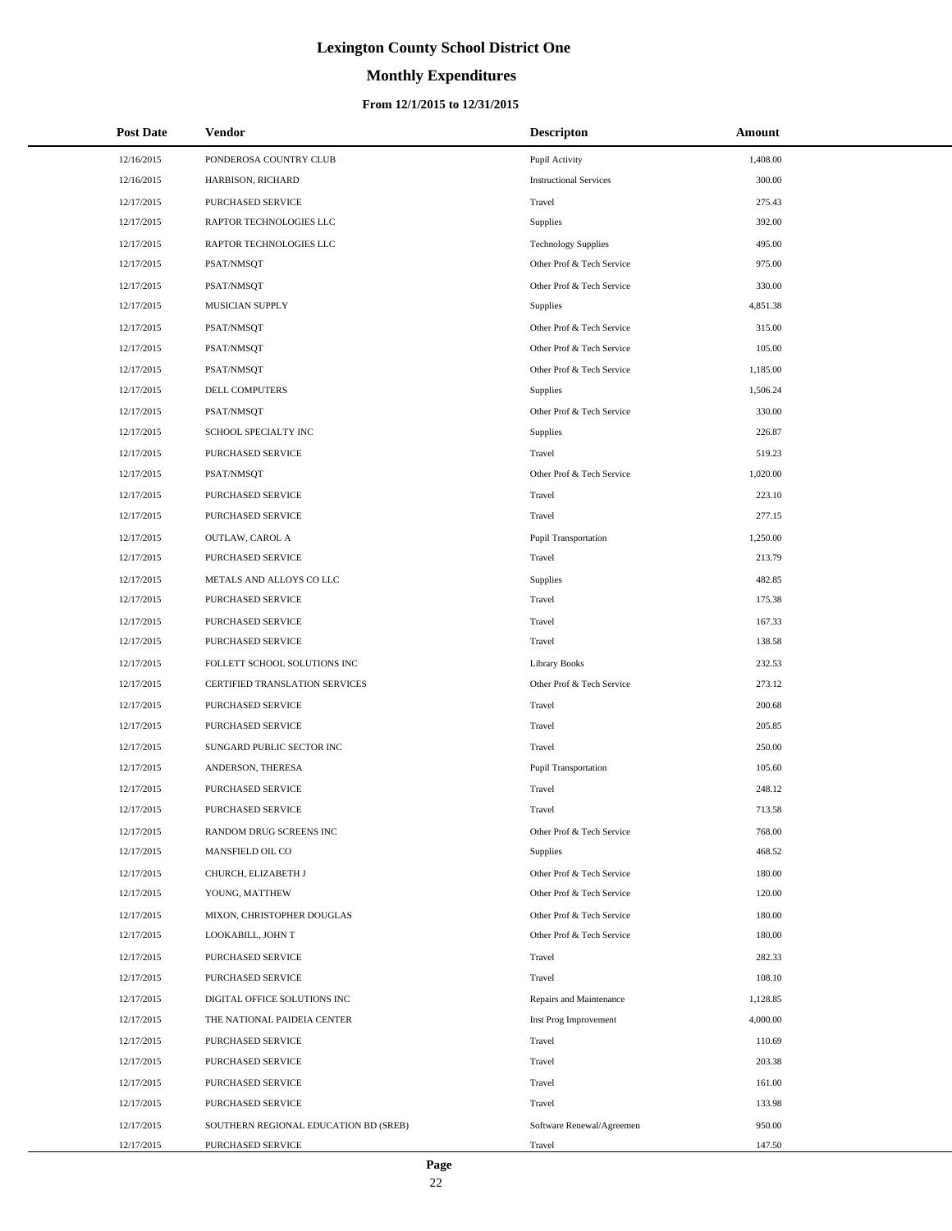# **Monthly Expenditures**

### **From 12/1/2015 to 12/31/2015**

| <b>Post Date</b> | Vendor                                | <b>Descripton</b>             | Amount   |
|------------------|---------------------------------------|-------------------------------|----------|
| 12/16/2015       | PONDEROSA COUNTRY CLUB                | Pupil Activity                | 1,408.00 |
| 12/16/2015       | HARBISON, RICHARD                     | <b>Instructional Services</b> | 300.00   |
| 12/17/2015       | PURCHASED SERVICE                     | Travel                        | 275.43   |
| 12/17/2015       | RAPTOR TECHNOLOGIES LLC               | <b>Supplies</b>               | 392.00   |
| 12/17/2015       | RAPTOR TECHNOLOGIES LLC               | <b>Technology Supplies</b>    | 495.00   |
| 12/17/2015       | PSAT/NMSQT                            | Other Prof & Tech Service     | 975.00   |
| 12/17/2015       | PSAT/NMSQT                            | Other Prof & Tech Service     | 330.00   |
| 12/17/2015       | MUSICIAN SUPPLY                       | <b>Supplies</b>               | 4,851.38 |
| 12/17/2015       | PSAT/NMSQT                            | Other Prof & Tech Service     | 315.00   |
| 12/17/2015       | PSAT/NMSQT                            | Other Prof & Tech Service     | 105.00   |
| 12/17/2015       | PSAT/NMSQT                            | Other Prof & Tech Service     | 1,185.00 |
| 12/17/2015       | DELL COMPUTERS                        | Supplies                      | 1,506.24 |
| 12/17/2015       | PSAT/NMSQT                            | Other Prof & Tech Service     | 330.00   |
| 12/17/2015       | SCHOOL SPECIALTY INC                  | <b>Supplies</b>               | 226.87   |
| 12/17/2015       | PURCHASED SERVICE                     | Travel                        | 519.23   |
| 12/17/2015       | PSAT/NMSQT                            | Other Prof & Tech Service     | 1,020.00 |
| 12/17/2015       | PURCHASED SERVICE                     | Travel                        | 223.10   |
| 12/17/2015       | PURCHASED SERVICE                     | Travel                        | 277.15   |
| 12/17/2015       | OUTLAW, CAROL A                       | <b>Pupil Transportation</b>   | 1,250.00 |
| 12/17/2015       | PURCHASED SERVICE                     | Travel                        | 213.79   |
| 12/17/2015       | METALS AND ALLOYS CO LLC              | Supplies                      | 482.85   |
| 12/17/2015       | PURCHASED SERVICE                     | Travel                        | 175.38   |
| 12/17/2015       | PURCHASED SERVICE                     | Travel                        | 167.33   |
| 12/17/2015       | PURCHASED SERVICE                     | Travel                        | 138.58   |
| 12/17/2015       | FOLLETT SCHOOL SOLUTIONS INC          | Library Books                 | 232.53   |
| 12/17/2015       | CERTIFIED TRANSLATION SERVICES        | Other Prof & Tech Service     | 273.12   |
| 12/17/2015       | PURCHASED SERVICE                     | Travel                        | 200.68   |
| 12/17/2015       | PURCHASED SERVICE                     | Travel                        | 205.85   |
| 12/17/2015       | SUNGARD PUBLIC SECTOR INC             | Travel                        | 250.00   |
| 12/17/2015       | ANDERSON, THERESA                     | <b>Pupil Transportation</b>   | 105.60   |
| 12/17/2015       | PURCHASED SERVICE                     | Travel                        | 248.12   |
| 12/17/2015       | PURCHASED SERVICE                     | Travel                        | 713.58   |
| 12/17/2015       | RANDOM DRUG SCREENS INC               | Other Prof & Tech Service     | 768.00   |
| 12/17/2015       | MANSFIELD OIL CO                      | <b>Supplies</b>               | 468.52   |
| 12/17/2015       | CHURCH, ELIZABETH J                   | Other Prof & Tech Service     | 180.00   |
| 12/17/2015       | YOUNG, MATTHEW                        | Other Prof & Tech Service     | 120.00   |
| 12/17/2015       | MIXON, CHRISTOPHER DOUGLAS            | Other Prof & Tech Service     | 180.00   |
| 12/17/2015       | LOOKABILL, JOHN T                     | Other Prof & Tech Service     | 180.00   |
| 12/17/2015       | PURCHASED SERVICE                     | Travel                        | 282.33   |
| 12/17/2015       | PURCHASED SERVICE                     | Travel                        | 108.10   |
| 12/17/2015       | DIGITAL OFFICE SOLUTIONS INC          | Repairs and Maintenance       | 1,128.85 |
| 12/17/2015       | THE NATIONAL PAIDEIA CENTER           | Inst Prog Improvement         | 4,000.00 |
| 12/17/2015       | PURCHASED SERVICE                     | Travel                        | 110.69   |
| 12/17/2015       | PURCHASED SERVICE                     | Travel                        | 203.38   |
| 12/17/2015       | PURCHASED SERVICE                     | Travel                        | 161.00   |
| 12/17/2015       | PURCHASED SERVICE                     | Travel                        | 133.98   |
| 12/17/2015       | SOUTHERN REGIONAL EDUCATION BD (SREB) | Software Renewal/Agreemen     | 950.00   |
| 12/17/2015       | PURCHASED SERVICE                     | Travel                        | 147.50   |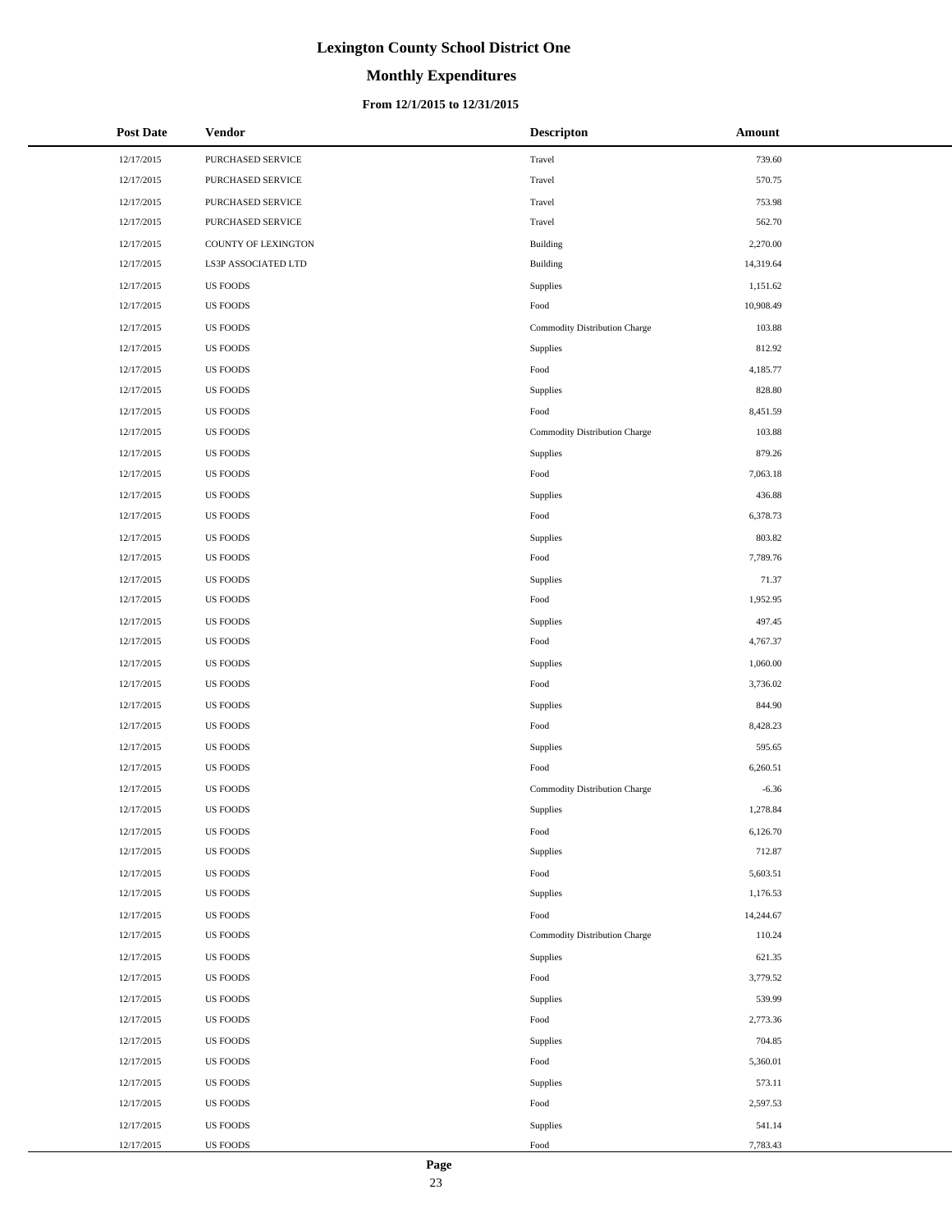# **Monthly Expenditures**

## **From 12/1/2015 to 12/31/2015**

| Post Date  | <b>Vendor</b>       | <b>Descripton</b>             | Amount    |
|------------|---------------------|-------------------------------|-----------|
| 12/17/2015 | PURCHASED SERVICE   | Travel                        | 739.60    |
| 12/17/2015 | PURCHASED SERVICE   | Travel                        | 570.75    |
| 12/17/2015 | PURCHASED SERVICE   | Travel                        | 753.98    |
| 12/17/2015 | PURCHASED SERVICE   | Travel                        | 562.70    |
| 12/17/2015 | COUNTY OF LEXINGTON | Building                      | 2,270.00  |
| 12/17/2015 | LS3P ASSOCIATED LTD | Building                      | 14,319.64 |
| 12/17/2015 | <b>US FOODS</b>     | Supplies                      | 1,151.62  |
| 12/17/2015 | <b>US FOODS</b>     | Food                          | 10,908.49 |
| 12/17/2015 | <b>US FOODS</b>     | Commodity Distribution Charge | 103.88    |
| 12/17/2015 | <b>US FOODS</b>     | Supplies                      | 812.92    |
| 12/17/2015 | <b>US FOODS</b>     | Food                          | 4,185.77  |
| 12/17/2015 | <b>US FOODS</b>     | Supplies                      | 828.80    |
| 12/17/2015 | <b>US FOODS</b>     | Food                          | 8,451.59  |
| 12/17/2015 | <b>US FOODS</b>     | Commodity Distribution Charge | 103.88    |
| 12/17/2015 | <b>US FOODS</b>     | Supplies                      | 879.26    |
| 12/17/2015 | <b>US FOODS</b>     | Food                          | 7,063.18  |
| 12/17/2015 | <b>US FOODS</b>     | Supplies                      | 436.88    |
| 12/17/2015 | <b>US FOODS</b>     | Food                          | 6,378.73  |
| 12/17/2015 | <b>US FOODS</b>     | Supplies                      | 803.82    |
| 12/17/2015 | <b>US FOODS</b>     | Food                          | 7,789.76  |
| 12/17/2015 | <b>US FOODS</b>     | Supplies                      | 71.37     |
| 12/17/2015 | <b>US FOODS</b>     | Food                          | 1,952.95  |
| 12/17/2015 | <b>US FOODS</b>     | Supplies                      | 497.45    |
| 12/17/2015 | <b>US FOODS</b>     | Food                          | 4,767.37  |
| 12/17/2015 | <b>US FOODS</b>     | Supplies                      | 1,060.00  |
| 12/17/2015 | <b>US FOODS</b>     | Food                          | 3,736.02  |
| 12/17/2015 | <b>US FOODS</b>     | Supplies                      | 844.90    |
| 12/17/2015 | <b>US FOODS</b>     | Food                          | 8,428.23  |
| 12/17/2015 | <b>US FOODS</b>     | Supplies                      | 595.65    |
| 12/17/2015 | <b>US FOODS</b>     | Food                          | 6,260.51  |
| 12/17/2015 | <b>US FOODS</b>     | Commodity Distribution Charge | $-6.36$   |
| 12/17/2015 | <b>US FOODS</b>     | Supplies                      | 1,278.84  |
| 12/17/2015 | <b>US FOODS</b>     | Food                          | 6,126.70  |
| 12/17/2015 | <b>US FOODS</b>     | Supplies                      | 712.87    |
| 12/17/2015 | <b>US FOODS</b>     | Food                          | 5,603.51  |
| 12/17/2015 | <b>US FOODS</b>     | Supplies                      | 1,176.53  |
| 12/17/2015 | <b>US FOODS</b>     | Food                          | 14,244.67 |
| 12/17/2015 | <b>US FOODS</b>     | Commodity Distribution Charge | 110.24    |
| 12/17/2015 | <b>US FOODS</b>     | Supplies                      | 621.35    |
| 12/17/2015 | <b>US FOODS</b>     | Food                          | 3,779.52  |
| 12/17/2015 | <b>US FOODS</b>     | Supplies                      | 539.99    |
| 12/17/2015 | <b>US FOODS</b>     | Food                          | 2,773.36  |
| 12/17/2015 | <b>US FOODS</b>     | Supplies                      | 704.85    |
| 12/17/2015 | <b>US FOODS</b>     | Food                          | 5,360.01  |
| 12/17/2015 | <b>US FOODS</b>     | Supplies                      | 573.11    |
| 12/17/2015 | <b>US FOODS</b>     | Food                          | 2,597.53  |
| 12/17/2015 | <b>US FOODS</b>     | Supplies                      | 541.14    |
| 12/17/2015 | <b>US FOODS</b>     | Food                          | 7,783.43  |

 $\overline{a}$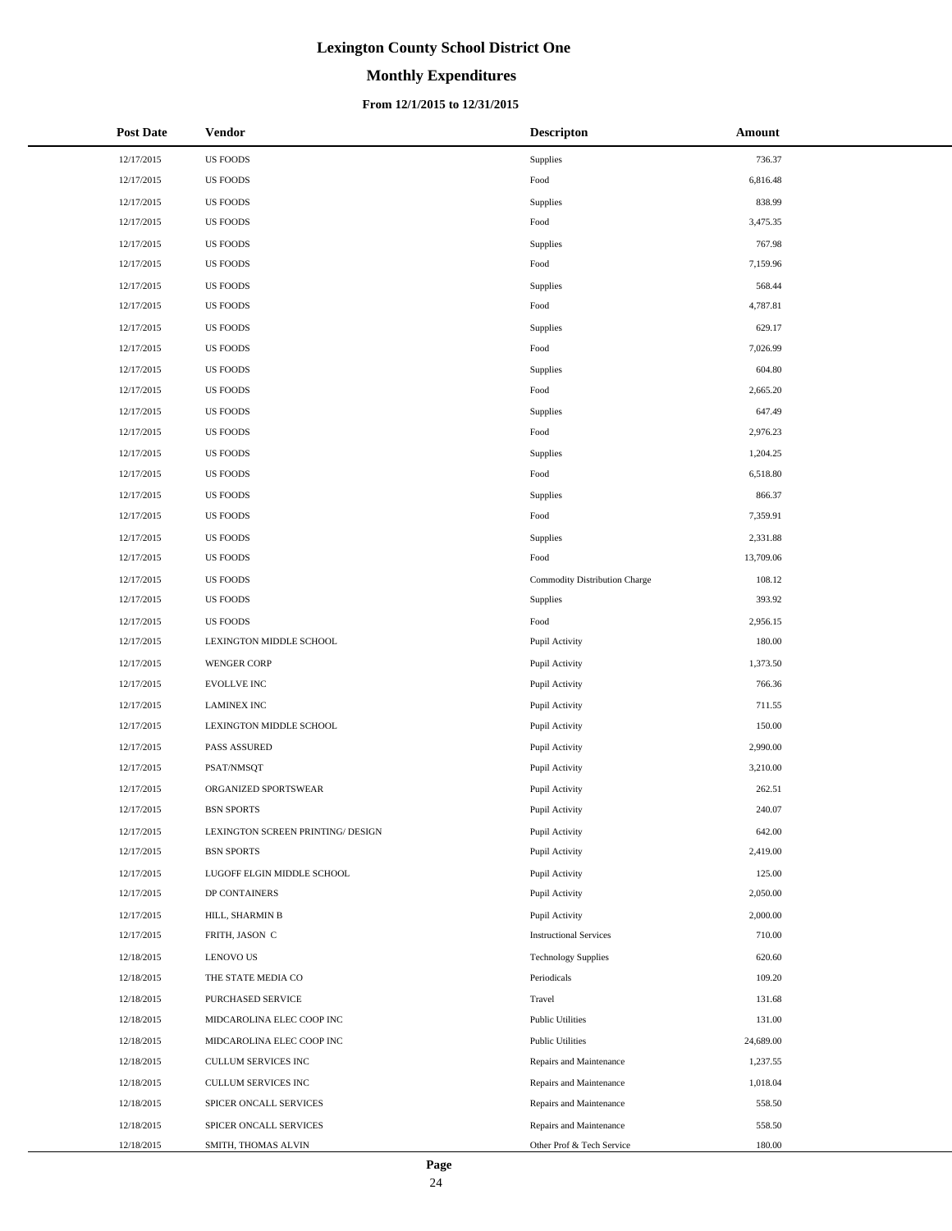# **Monthly Expenditures**

### **From 12/1/2015 to 12/31/2015**

| <b>Post Date</b> | <b>Vendor</b>                     | <b>Descripton</b>             | Amount    |
|------------------|-----------------------------------|-------------------------------|-----------|
| 12/17/2015       | <b>US FOODS</b>                   | Supplies                      | 736.37    |
| 12/17/2015       | <b>US FOODS</b>                   | Food                          | 6,816.48  |
| 12/17/2015       | <b>US FOODS</b>                   | Supplies                      | 838.99    |
| 12/17/2015       | <b>US FOODS</b>                   | Food                          | 3,475.35  |
| 12/17/2015       | <b>US FOODS</b>                   | Supplies                      | 767.98    |
| 12/17/2015       | <b>US FOODS</b>                   | Food                          | 7,159.96  |
| 12/17/2015       | US FOODS                          | Supplies                      | 568.44    |
| 12/17/2015       | <b>US FOODS</b>                   | Food                          | 4,787.81  |
| 12/17/2015       | <b>US FOODS</b>                   | Supplies                      | 629.17    |
| 12/17/2015       | <b>US FOODS</b>                   | Food                          | 7,026.99  |
| 12/17/2015       | US FOODS                          | Supplies                      | 604.80    |
| 12/17/2015       | <b>US FOODS</b>                   | Food                          | 2,665.20  |
| 12/17/2015       | <b>US FOODS</b>                   | Supplies                      | 647.49    |
| 12/17/2015       | <b>US FOODS</b>                   | Food                          | 2,976.23  |
| 12/17/2015       | <b>US FOODS</b>                   | Supplies                      | 1,204.25  |
| 12/17/2015       | <b>US FOODS</b>                   | Food                          | 6,518.80  |
| 12/17/2015       | <b>US FOODS</b>                   | Supplies                      | 866.37    |
| 12/17/2015       | <b>US FOODS</b>                   | Food                          | 7,359.91  |
| 12/17/2015       | US FOODS                          | Supplies                      | 2,331.88  |
| 12/17/2015       | <b>US FOODS</b>                   | Food                          | 13,709.06 |
| 12/17/2015       | <b>US FOODS</b>                   | Commodity Distribution Charge | 108.12    |
| 12/17/2015       | <b>US FOODS</b>                   | Supplies                      | 393.92    |
| 12/17/2015       | <b>US FOODS</b>                   | Food                          | 2,956.15  |
| 12/17/2015       | LEXINGTON MIDDLE SCHOOL           | Pupil Activity                | 180.00    |
| 12/17/2015       | <b>WENGER CORP</b>                | Pupil Activity                | 1,373.50  |
| 12/17/2015       | <b>EVOLLVE INC</b>                | Pupil Activity                | 766.36    |
| 12/17/2015       | <b>LAMINEX INC</b>                | Pupil Activity                | 711.55    |
| 12/17/2015       | LEXINGTON MIDDLE SCHOOL           | Pupil Activity                | 150.00    |
| 12/17/2015       | <b>PASS ASSURED</b>               | Pupil Activity                | 2,990.00  |
| 12/17/2015       | PSAT/NMSQT                        | Pupil Activity                | 3,210.00  |
| 12/17/2015       | ORGANIZED SPORTSWEAR              | Pupil Activity                | 262.51    |
| 12/17/2015       | <b>BSN SPORTS</b>                 | Pupil Activity                | 240.07    |
| 12/17/2015       | LEXINGTON SCREEN PRINTING/ DESIGN | Pupil Activity                | 642.00    |
| 12/17/2015       | <b>BSN SPORTS</b>                 | Pupil Activity                | 2,419.00  |
| 12/17/2015       | LUGOFF ELGIN MIDDLE SCHOOL        | Pupil Activity                | 125.00    |
| 12/17/2015       | DP CONTAINERS                     | Pupil Activity                | 2,050.00  |
| 12/17/2015       | HILL, SHARMIN B                   | Pupil Activity                | 2,000.00  |
| 12/17/2015       | FRITH, JASON C                    | <b>Instructional Services</b> | 710.00    |
| 12/18/2015       | LENOVO US                         | <b>Technology Supplies</b>    | 620.60    |
| 12/18/2015       | THE STATE MEDIA CO                | Periodicals                   | 109.20    |
| 12/18/2015       | PURCHASED SERVICE                 | Travel                        | 131.68    |
| 12/18/2015       | MIDCAROLINA ELEC COOP INC         | <b>Public Utilities</b>       | 131.00    |
| 12/18/2015       | MIDCAROLINA ELEC COOP INC         | <b>Public Utilities</b>       | 24,689.00 |
| 12/18/2015       | CULLUM SERVICES INC               | Repairs and Maintenance       | 1,237.55  |
| 12/18/2015       | CULLUM SERVICES INC               | Repairs and Maintenance       | 1,018.04  |
| 12/18/2015       | SPICER ONCALL SERVICES            | Repairs and Maintenance       | 558.50    |
| 12/18/2015       | SPICER ONCALL SERVICES            | Repairs and Maintenance       | 558.50    |
| 12/18/2015       | SMITH, THOMAS ALVIN               | Other Prof & Tech Service     | 180.00    |

 $\overline{a}$  $\overline{\phantom{a}}$